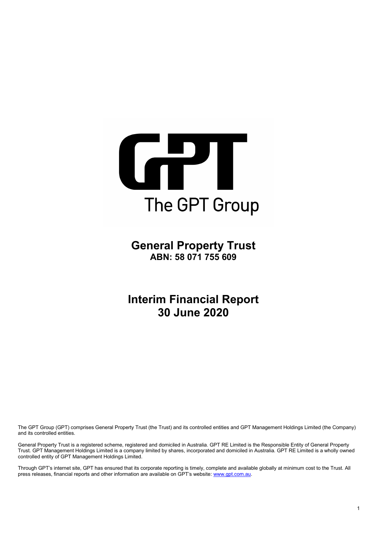

**General Property Trust ABN: 58 071 755 609**

**Interim Financial Report 30 June 2020**

The GPT Group (GPT) comprises General Property Trust (the Trust) and its controlled entities and GPT Management Holdings Limited (the Company) and its controlled entities.

General Property Trust is a registered scheme, registered and domiciled in Australia. GPT RE Limited is the Responsible Entity of General Property Trust. GPT Management Holdings Limited is a company limited by shares, incorporated and domiciled in Australia. GPT RE Limited is a wholly owned controlled entity of GPT Management Holdings Limited.

Through GPT's internet site, GPT has ensured that its corporate reporting is timely, complete and available globally at minimum cost to the Trust. All press releases, financial reports and other information are available on GPT's website: [www.gpt.com.au.](http://www.gpt.com.au/)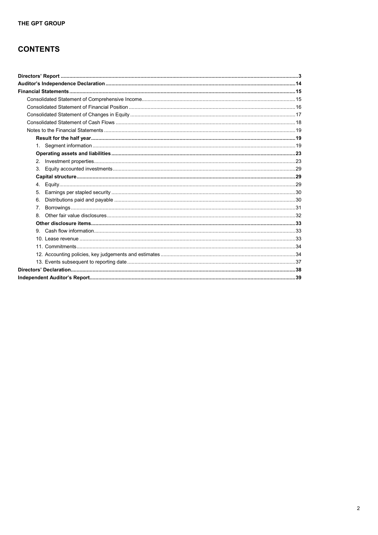# **CONTENTS**

| 6.          |  |
|-------------|--|
| $7^{\circ}$ |  |
| 8           |  |
|             |  |
|             |  |
|             |  |
|             |  |
|             |  |
|             |  |
|             |  |
|             |  |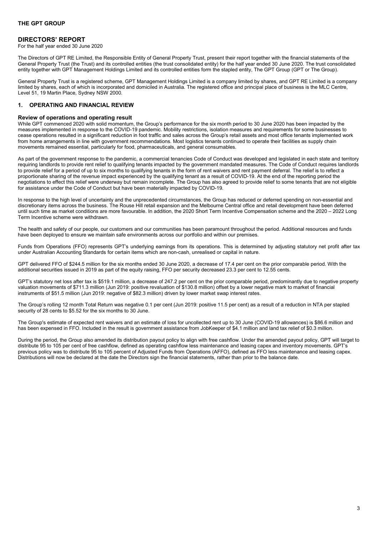<span id="page-2-0"></span>For the half year ended 30 June 2020

The Directors of GPT RE Limited, the Responsible Entity of General Property Trust, present their report together with the financial statements of the General Property Trust (the Trust) and its controlled entities (the trust consolidated entity) for the half year ended 30 June 2020. The trust consolidated entity together with GPT Management Holdings Limited and its controlled entities form the stapled entity, The GPT Group (GPT or The Group).

General Property Trust is a registered scheme, GPT Management Holdings Limited is a company limited by shares, and GPT RE Limited is a company limited by shares, each of which is incorporated and domiciled in Australia. The registered office and principal place of business is the MLC Centre, Level 51, 19 Martin Place, Sydney NSW 2000.

# **1. OPERATING AND FINANCIAL REVIEW**

#### **Review of operations and operating result**

While GPT commenced 2020 with solid momentum, the Group's performance for the six month period to 30 June 2020 has been impacted by the measures implemented in response to the COVID-19 pandemic. Mobility restrictions, isolation measures and requirements for some businesses to cease operations resulted in a significant reduction in foot traffic and sales across the Group's retail assets and most office tenants implemented work from home arrangements in line with government recommendations. Most logistics tenants continued to operate their facilities as supply chain movements remained essential, particularly for food, pharmaceuticals, and general consumables.

As part of the government response to the pandemic, a commercial tenancies Code of Conduct was developed and legislated in each state and territory requiring landlords to provide rent relief to qualifying tenants impacted by the government mandated measures. The Code of Conduct requires landlords to provide relief for a period of up to six months to qualifying tenants in the form of rent waivers and rent payment deferral. The relief is to reflect a proportionate sharing of the revenue impact experienced by the qualifying tenant as a result of COVID-19. At the end of the reporting period the negotiations to effect this relief were underway but remain incomplete. The Group has also agreed to provide relief to some tenants that are not eligible for assistance under the Code of Conduct but have been materially impacted by COVID-19.

In response to the high level of uncertainty and the unprecedented circumstances, the Group has reduced or deferred spending on non-essential and discretionary items across the business. The Rouse Hill retail expansion and the Melbourne Central office and retail development have been deferred until such time as market conditions are more favourable. In addition, the 2020 Short Term Incentive Compensation scheme and the 2020 – 2022 Long Term Incentive scheme were withdrawn.

The health and safety of our people, our customers and our communities has been paramount throughout the period. Additional resources and funds have been deployed to ensure we maintain safe environments across our portfolio and within our premises.

Funds from Operations (FFO) represents GPT's underlying earnings from its operations. This is determined by adjusting statutory net profit after tax under Australian Accounting Standards for certain items which are non-cash, unrealised or capital in nature.

GPT delivered FFO of \$244.5 million for the six months ended 30 June 2020, a decrease of 17.4 per cent on the prior comparable period. With the additional securities issued in 2019 as part of the equity raising, FFO per security decreased 23.3 per cent to 12.55 cents.

GPT's statutory net loss after tax is \$519.1 million, a decrease of 247.2 per cent on the prior comparable period, predominantly due to negative property valuation movements of \$711.3 million (Jun 2019: positive revaluation of \$130.8 million) offset by a lower negative mark to market of financial instruments of \$51.5 million (Jun 2019: negative of \$82.3 million) driven by lower market swap interest rates.

The Group's rolling 12 month Total Return was negative 0.1 per cent (Jun 2019: positive 11.5 per cent) as a result of a reduction in NTA per stapled security of 28 cents to \$5.52 for the six months to 30 June.

The Group's estimate of expected rent waivers and an estimate of loss for uncollected rent up to 30 June (COVID-19 allowances) is \$86.6 million and has been expensed in FFO. Included in the result is government assistance from JobKeeper of \$4.1 million and land tax relief of \$0.3 million.

During the period, the Group also amended its distribution payout policy to align with free cashflow. Under the amended payout policy, GPT will target to distribute 95 to 105 per cent of free cashflow, defined as operating cashflow less maintenance and leasing capex and inventory movements. GPT's previous policy was to distribute 95 to 105 percent of Adjusted Funds from Operations (AFFO), defined as FFO less maintenance and leasing capex. Distributions will now be declared at the date the Directors sign the financial statements, rather than prior to the balance date.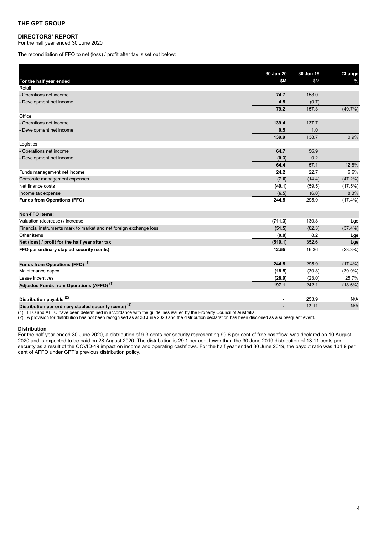#### **DIRECTORS' REPORT**

For the half year ended 30 June 2020

The reconciliation of FFO to net (loss) / profit after tax is set out below:

| For the half year ended                                            | 30 Jun 20<br>\$M | 30 Jun 19<br>\$M | Change<br>$\%$ |
|--------------------------------------------------------------------|------------------|------------------|----------------|
| Retail                                                             |                  |                  |                |
| - Operations net income                                            | 74.7             | 158.0            |                |
| - Development net income                                           | 4.5              | (0.7)            |                |
|                                                                    | 79.2             | 157.3            | (49.7%)        |
| Office                                                             |                  |                  |                |
| - Operations net income                                            | 139.4            | 137.7            |                |
| - Development net income                                           | 0.5              | 1.0              |                |
|                                                                    | 139.9            | 138.7            | 0.9%           |
| Logistics                                                          |                  |                  |                |
| - Operations net income                                            | 64.7             | 56.9             |                |
| - Development net income                                           | (0.3)            | 0.2              |                |
|                                                                    | 64.4             | 57.1             | 12.8%          |
| Funds management net income                                        | 24.2             | 22.7             | 6.6%           |
| Corporate management expenses                                      | (7.6)            | (14.4)           | (47.2%)        |
| Net finance costs                                                  | (49.1)           | (59.5)           | (17.5%)        |
| Income tax expense                                                 | (6.5)            | (6.0)            | 8.3%           |
| <b>Funds from Operations (FFO)</b>                                 | 244.5            | 295.9            | $(17.4\%)$     |
| Non-FFO items:                                                     |                  |                  |                |
| Valuation (decrease) / increase                                    | (711.3)          | 130.8            | Lge            |
| Financial instruments mark to market and net foreign exchange loss | (51.5)           | (82.3)           | $(37.4\%)$     |
| Other items                                                        | (0.8)            | 8.2              | Lge            |
| Net (loss) / profit for the half year after tax                    | (519.1)          | 352.6            | Lge            |
| FFO per ordinary stapled security (cents)                          | 12.55            | 16.36            | (23.3%)        |
| Funds from Operations (FFO) <sup>(1)</sup>                         | 244.5            | 295.9            | $(17.4\%)$     |
| Maintenance capex                                                  | (18.5)           | (30.8)           | $(39.9\%)$     |
| Lease incentives                                                   | (28.9)           | (23.0)           | 25.7%          |
| Adjusted Funds from Operations (AFFO) <sup>(1)</sup>               | 197.1            | 242.1            | $(18.6\%)$     |
| Distribution payable <sup>(2)</sup>                                |                  | 253.9            | N/A            |
| Distribution per ordinary stapled security (cents) <sup>(2)</sup>  | $\blacksquare$   | 13.11            | N/A            |

(1) FFO and AFFO have been determined in accordance with the guidelines issued by the Property Council of Australia.

(2) A provision for distribution has not been recognised as at 30 June 2020 and the distribution declaration has been disclosed as a subsequent event.

#### **Distribution**

For the half year ended 30 June 2020, a distribution of 9.3 cents per security representing 99.6 per cent of free cashflow, was declared on 10 August 2020 and is expected to be paid on 28 August 2020. The distribution is 29.1 per cent lower than the 30 June 2019 distribution of 13.11 cents per security as a result of the COVID-19 impact on income and operating cashflows. For the half year ended 30 June 2019, the payout ratio was 104.9 per cent of AFFO under GPT's previous distribution policy.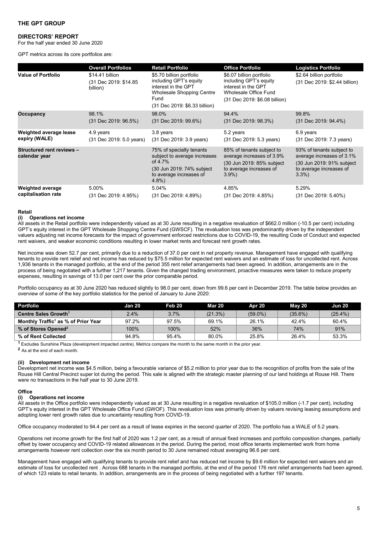For the half year ended 30 June 2020

GPT metrics across its core portfolios are:

|                                            | <b>Overall Portfolios</b>                            | <b>Retail Portfolio</b>                                                                                                                                | <b>Office Portfolio</b>                                                                                                             | <b>Logistics Portfolio</b>                                                                                             |
|--------------------------------------------|------------------------------------------------------|--------------------------------------------------------------------------------------------------------------------------------------------------------|-------------------------------------------------------------------------------------------------------------------------------------|------------------------------------------------------------------------------------------------------------------------|
| <b>Value of Portfolio</b>                  | \$14.41 billion<br>(31 Dec 2019: \$14.85<br>billion) | \$5.70 billion portfolio<br>including GPT's equity<br>interest in the GPT<br><b>Wholesale Shopping Centre</b><br>Fund<br>(31 Dec 2019: \$6.33 billion) | \$6.07 billion portfolio<br>including GPT's equity<br>interest in the GPT<br>Wholesale Office Fund<br>(31 Dec 2019: \$6.08 billion) | \$2.64 billion portfolio<br>(31 Dec 2019: \$2.44 billion)                                                              |
| Occupancy                                  | 98.1%                                                | 98.0%                                                                                                                                                  | 94.4%                                                                                                                               | 99.8%                                                                                                                  |
|                                            | $(31$ Dec 2019: 96.5%)                               | $(31$ Dec 2019: 99.6%)                                                                                                                                 | (31 Dec 2019: 98.3%)                                                                                                                | (31 Dec 2019: 94.4%)                                                                                                   |
| Weighted average lease                     | 4.9 years                                            | 3.8 years                                                                                                                                              | 5.2 years                                                                                                                           | 6.9 years                                                                                                              |
| expiry (WALE)                              | (31 Dec 2019: 5.0 years)                             | (31 Dec 2019: 3.9 years)                                                                                                                               | (31 Dec 2019: 5.3 years)                                                                                                            | (31 Dec 2019: 7.3 years)                                                                                               |
| Structured rent reviews -<br>calendar year |                                                      | 75% of specialty tenants<br>subject to average increases<br>of $4.7\%$<br>(30 Jun 2019: 74% subject<br>to average increases of<br>$4.8\%$              | 85% of tenants subject to<br>average increases of 3.9%<br>(30 Jun 2019: 85% subject<br>to average increases of<br>$3.9\%$           | 93% of tenants subject to<br>average increases of 3.1%<br>(30 Jun 2019: 91% subject<br>to average increases of<br>3.3% |
| <b>Weighted average</b>                    | 5.00%                                                | 5.04%                                                                                                                                                  | 4.85%                                                                                                                               | 5.29%                                                                                                                  |
| capitalisation rate                        | (31 Dec 2019: 4.95%)                                 | (31 Dec 2019: 4.89%)                                                                                                                                   | (31 Dec 2019: 4.85%)                                                                                                                | (31 Dec 2019: 5.40%)                                                                                                   |

#### **Retail**

#### **(i) Operations net income**

All assets in the Retail portfolio were independently valued as at 30 June resulting in a negative revaluation of \$662.0 million (-10.5 per cent) including GPT's equity interest in the GPT Wholesale Shopping Centre Fund (GWSCF). The revaluation loss was predominantly driven by the independent valuers adjusting net income forecasts for the impact of government enforced restrictions due to COVID-19, the resulting Code of Conduct and expected rent waivers, and weaker economic conditions resulting in lower market rents and forecast rent growth rates.

Net income was down 52.7 per cent, primarily due to a reduction of 37.0 per cent in net property revenue. Management have engaged with qualifying tenants to provide rent relief and net income has reduced by \$75.5 million for expected rent waivers and an estimate of loss for uncollected rent. Across 1,936 tenants in the managed portfolio, at the end of the period 355 rent relief arrangements had been agreed. In addition, arrangements are in the process of being negotiated with a further 1,217 tenants. Given the changed trading environment, proactive measures were taken to reduce property expenses, resulting in savings of 13.0 per cent over the prior comparable period.

Portfolio occupancy as at 30 June 2020 has reduced slightly to 98.0 per cent, down from 99.6 per cent in December 2019. The table below provides an overview of some of the key portfolio statistics for the period of January to June 2020:

| <b>Portfolio</b>                                | Jan 20 | Feb 20 | Mar 20  | Apr 20     | Mav 20   | Jun 20     |
|-------------------------------------------------|--------|--------|---------|------------|----------|------------|
| Centre Sales Growth <sup>1</sup>                | 2.4%   | 3.7%   | (21.3%) | $(59.0\%)$ | (35.6%)  | $(25.4\%)$ |
| Monthly Traffic <sup>1</sup> as % of Prior Year | 97.2%  | 97.5%  | 69.1%   | 26.1%      | $42.4\%$ | 60.4%      |
| % of Stores Opened <sup>2</sup>                 | 100%   | 100%   | 52%     | 36%        | 74%      | 91%        |
| % of Rent Collected                             | 94.8%  | 95.4%  | 80.0%   | 25.8%      | 26.4%    | 53.3%      |

**<sup>1</sup>**Excludes Sunshine Plaza (development impacted centre). Metrics compare the month to the same month in the prior year.

**<sup>2</sup>** As at the end of each month.

#### **(ii) Development net income**

Development net income was \$4.5 million, being a favourable variance of \$5.2 million to prior year due to the recognition of profits from the sale of the Rouse Hill Central Precinct super lot during the period. This sale is aligned with the strategic master planning of our land holdings at Rouse Hill. There were no transactions in the half year to 30 June 2019.

#### **Office**

#### **(i) Operations net income**

All assets in the Office portfolio were independently valued as at 30 June resulting in a negative revaluation of \$105.0 million (-1.7 per cent), including GPT's equity interest in the GPT Wholesale Office Fund (GWOF). This revaluation loss was primarily driven by valuers revising leasing assumptions and adopting lower rent growth rates due to uncertainty resulting from COVID-19.

Office occupancy moderated to 94.4 per cent as a result of lease expiries in the second quarter of 2020. The portfolio has a WALE of 5.2 years.

Operations net income growth for the first half of 2020 was 1.2 per cent, as a result of annual fixed increases and portfolio composition changes, partially offset by lower occupancy and COVID-19 related allowances in the period. During the period, most office tenants implemented work from home arrangements however rent collection over the six month period to 30 June remained robust averaging 96.6 per cent.

Management have engaged with qualifying tenants to provide rent relief and has reduced net income by \$9.6 million for expected rent waivers and an estimate of loss for uncollected rent . Across 688 tenants in the managed portfolio, at the end of the period 176 rent relief arrangements had been agreed, of which 123 relate to retail tenants. In addition, arrangements are in the process of being negotiated with a further 197 tenants.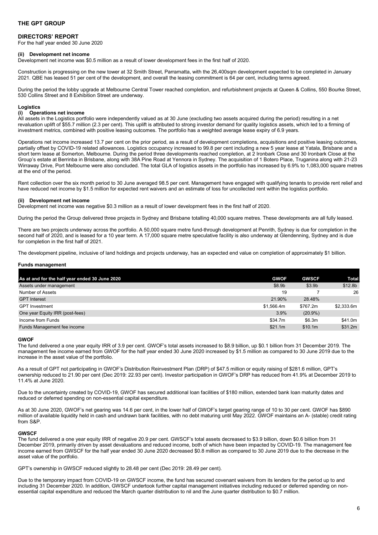For the half year ended 30 June 2020

#### **(ii) Development net income**

Development net income was \$0.5 million as a result of lower development fees in the first half of 2020.

Construction is progressing on the new tower at 32 Smith Street, Parramatta, with the 26,400sqm development expected to be completed in January 2021. QBE has leased 51 per cent of the development, and overall the leasing commitment is 64 per cent, including terms agreed.

During the period the lobby upgrade at Melbourne Central Tower reached completion, and refurbishment projects at Queen & Collins, 550 Bourke Street, 530 Collins Street and 8 Exhibition Street are underway.

# **Logistics**

### **(i) Operations net income**

All assets in the Logistics portfolio were independently valued as at 30 June (excluding two assets acquired during the period) resulting in a net revaluation uplift of \$55.7 million (2.3 per cent). This uplift is attributed to strong investor demand for quality logistics assets, which led to a firming of investment metrics, combined with positive leasing outcomes. The portfolio has a weighted average lease expiry of 6.9 years.

Operations net income increased 13.7 per cent on the prior period, as a result of development completions, acquisitions and positive leasing outcomes, partially offset by COVID-19 related allowances. Logistics occupancy increased to 99.8 per cent including a new 5 year lease at Yatala, Brisbane and a short term lease at Somerton, Melbourne. During the period three developments reached completion, at 2 Ironbark Close and 30 Ironbark Close at the Group's estate at Berrinba in Brisbane, along with 38A Pine Road at Yennora in Sydney. The acquisition of 1 Botero Place, Truganina along with 21-23 Wirraway Drive, Port Melbourne were also concluded. The total GLA of logistics assets in the portfolio has increased by 6.9% to 1,083,000 square metres at the end of the period.

Rent collection over the six month period to 30 June averaged 98.5 per cent. Management have engaged with qualifying tenants to provide rent relief and have reduced net income by \$1.5 million for expected rent waivers and an estimate of loss for uncollected rent within the logistics portfolio.

#### **(ii) Development net income**

Development net income was negative \$0.3 million as a result of lower development fees in the first half of 2020.

During the period the Group delivered three projects in Sydney and Brisbane totalling 40,000 square metres. These developments are all fully leased.

There are two projects underway across the portfolio. A 50,000 square metre fund-through development at Penrith, Sydney is due for completion in the second half of 2020, and is leased for a 10 year term. A 17,000 square metre speculative facility is also underway at Glendenning, Sydney and is due for completion in the first half of 2021.

The development pipeline, inclusive of land holdings and projects underway, has an expected end value on completion of approximately \$1 billion.

#### **Funds management**

| As at and for the half year ended 30 June 2020 | <b>GWOF</b> | <b>GWSCF</b>       | Total               |
|------------------------------------------------|-------------|--------------------|---------------------|
| Assets under management                        | \$8.9b      | \$3.9 <sub>b</sub> | \$12.8 <sub>b</sub> |
| Number of Assets                               | 19          |                    | 26                  |
| <b>GPT</b> Interest                            | 21.90%      | 28.48%             |                     |
| <b>GPT</b> Investment                          | \$1.566.4m  | \$767.2m           | \$2.333.6m          |
| One year Equity IRR (post-fees)                | 3.9%        | $(20.9\%)$         |                     |
| Income from Funds                              | \$34.7m     | \$6.3m             | \$41.0m             |
| Funds Management fee income                    | \$21.1m     | \$10.1m            | \$31.2m             |
|                                                |             |                    |                     |

#### **GWOF**

The fund delivered a one year equity IRR of 3.9 per cent. GWOF's total assets increased to \$8.9 billion, up \$0.1 billion from 31 December 2019. The management fee income earned from GWOF for the half year ended 30 June 2020 increased by \$1.5 million as compared to 30 June 2019 due to the increase in the asset value of the portfolio.

As a result of GPT not participating in GWOF's Distribution Reinvestment Plan (DRP) of \$47.5 million or equity raising of \$281.6 million, GPT's ownership reduced to 21.90 per cent (Dec 2019: 22.93 per cent). Investor participation in GWOF's DRP has reduced from 41.9% at December 2019 to 11.4% at June 2020.

Due to the uncertainty created by COVID-19, GWOF has secured additional loan facilities of \$180 million, extended bank loan maturity dates and reduced or deferred spending on non-essential capital expenditure.

As at 30 June 2020, GWOF's net gearing was 14.6 per cent, in the lower half of GWOF's target gearing range of 10 to 30 per cent. GWOF has \$890 million of available liquidity held in cash and undrawn bank facilities, with no debt maturing until May 2022. GWOF maintains an A- (stable) credit rating from S&P.

#### **GWSCF**

The fund delivered a one year equity IRR of negative 20.9 per cent. GWSCF's total assets decreased to \$3.9 billion, down \$0.6 billion from 31 December 2019, primarily driven by asset devaluations and reduced income, both of which have been impacted by COVID-19. The management fee income earned from GWSCF for the half year ended 30 June 2020 decreased \$0.8 million as compared to 30 June 2019 due to the decrease in the asset value of the portfolio.

GPT's ownership in GWSCF reduced slightly to 28.48 per cent (Dec 2019: 28.49 per cent).

Due to the temporary impact from COVID-19 on GWSCF income, the fund has secured covenant waivers from its lenders for the period up to and including 31 December 2020. In addition, GWSCF undertook further capital management initiatives including reduced or deferred spending on nonessential capital expenditure and reduced the March quarter distribution to nil and the June quarter distribution to \$0.7 million.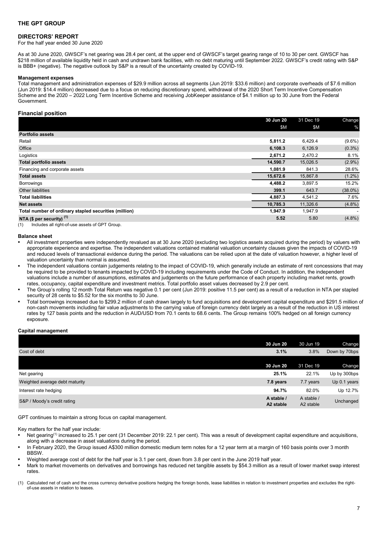For the half year ended 30 June 2020

As at 30 June 2020, GWSCF's net gearing was 28.4 per cent, at the upper end of GWSCF's target gearing range of 10 to 30 per cent. GWSCF has \$218 million of available liquidity held in cash and undrawn bank facilities, with no debt maturing until September 2022. GWSCF's credit rating with S&P is BBB+ (negative). The negative outlook by S&P is a result of the uncertainty created by COVID-19.

#### **Management expenses**

Total management and administration expenses of \$29.9 million across all segments (Jun 2019: \$33.6 million) and corporate overheads of \$7.6 million (Jun 2019: \$14.4 million) decreased due to a focus on reducing discretionary spend, withdrawal of the 2020 Short Term Incentive Compensation Scheme and the 2020 – 2022 Long Term Incentive Scheme and receiving JobKeeper assistance of \$4.1 million up to 30 June from the Federal Government.

#### **Financial position**

|                                                       | 30 Jun 20 | 31 Dec 19 | Change                   |
|-------------------------------------------------------|-----------|-----------|--------------------------|
|                                                       | \$M       | \$M       | %                        |
| <b>Portfolio assets</b>                               |           |           |                          |
| Retail                                                | 5,811.2   | 6,429.4   | $(9.6\%)$                |
| Office                                                | 6,108.3   | 6,126.9   | $(0.3\%)$                |
| Logistics                                             | 2,671.2   | 2,470.2   | 8.1%                     |
| <b>Total portfolio assets</b>                         | 14,590.7  | 15,026.5  | $(2.9\%)$                |
| Financing and corporate assets                        | 1,081.9   | 841.3     | 28.6%                    |
| <b>Total assets</b>                                   | 15,672.6  | 15,867.8  | $(1.2\%)$                |
| <b>Borrowings</b>                                     | 4,488.2   | 3,897.5   | 15.2%                    |
| Other liabilities                                     | 399.1     | 643.7     | $(38.0\%)$               |
| <b>Total liabilities</b>                              | 4,887.3   | 4,541.2   | 7.6%                     |
| <b>Net assets</b>                                     | 10,785.3  | 11,326.6  | $(4.8\%)$                |
| Total number of ordinary stapled securities (million) | 1,947.9   | 1,947.9   | $\overline{\phantom{a}}$ |
| NTA (\$ per security) $(1)$                           | 5.52      | 5.80      | $(4.8\%)$                |

(1) Includes all right-of-use assets of GPT Group.

#### **Balance sheet**

- All investment properties were independently revalued as at 30 June 2020 (excluding two logistics assets acquired during the period) by valuers with appropriate experience and expertise. The independent valuations contained material valuation uncertainty clauses given the impacts of COVID-19 and reduced levels of transactional evidence during the period. The valuations can be relied upon at the date of valuation however, a higher level of valuation uncertainty than normal is assumed.
- The independent valuations contain judgements relating to the impact of COVID-19, which generally include an estimate of rent concessions that may be required to be provided to tenants impacted by COVID-19 including requirements under the Code of Conduct. In addition, the independent valuations include a number of assumptions, estimates and judgements on the future performance of each property including market rents, growth rates, occupancy, capital expenditure and investment metrics. Total portfolio asset values decreased by 2.9 per cent.
- The Group's rolling 12 month Total Return was negative 0.1 per cent (Jun 2019: positive 11.5 per cent) as a result of a reduction in NTA per stapled security of 28 cents to \$5.52 for the six months to 30 June.
- Total borrowings increased due to \$299.2 million of cash drawn largely to fund acquisitions and development capital expenditure and \$291.5 million of non-cash movements including fair value adjustments to the carrying value of foreign currency debt largely as a result of the reduction in US interest rates by 127 basis points and the reduction in AUD/USD from 70.1 cents to 68.6 cents. The Group remains 100% hedged on all foreign currency exposure

#### **Capital management**

|                                | 30 Jun 20                           | 30 Jun 19                           | Change        |
|--------------------------------|-------------------------------------|-------------------------------------|---------------|
| Cost of debt                   | 3.1%                                | 3.8%                                | Down by 70bps |
|                                |                                     |                                     |               |
|                                | 30 Jun 20                           | 31 Dec 19                           | Change        |
| Net gearing                    | 25.1%                               | 22.1%                               | Up by 300bps  |
| Weighted average debt maturity | 7.8 years                           | 7.7 years                           | Up 0.1 years  |
| Interest rate hedging          | 94.7%                               | 82.0%                               | Up 12.7%      |
| S&P / Moody's credit rating    | A stable /<br>A <sub>2</sub> stable | A stable /<br>A <sub>2</sub> stable | Unchanged     |

GPT continues to maintain a strong focus on capital management.

Key matters for the half year include:

- Net gearing<sup>(1)</sup> increased to 25.1 per cent (31 December 2019: 22.1 per cent). This was a result of development capital expenditure and acquisitions. along with a decrease in asset valuations during the period.
- In February 2020, the Group issued A\$300 million domestic medium term notes for a 12 year term at a margin of 160 basis points over 3 month **BBSW**
- Weighted average cost of debt for the half year is 3.1 per cent, down from 3.8 per cent in the June 2019 half year.
- Mark to market movements on derivatives and borrowings has reduced net tangible assets by \$54.3 million as a result of lower market swap interest rates.
- (1) Calculated net of cash and the cross currency derivative positions hedging the foreign bonds, lease liabilities in relation to investment properties and excludes the rightof-use assets in relation to leases.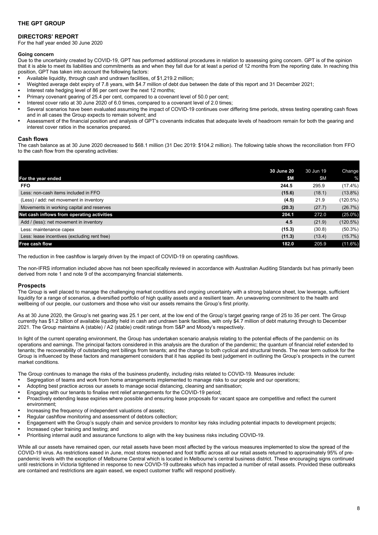### **DIRECTORS' REPORT**

For the half year ended 30 June 2020

#### **Going concern**

Due to the uncertainty created by COVID-19, GPT has performed additional procedures in relation to assessing going concern. GPT is of the opinion that it is able to meet its liabilities and commitments as and when they fall due for at least a period of 12 months from the reporting date. In reaching this position, GPT has taken into account the following factors:

- Available liquidity, through cash and undrawn facilities, of \$1,219.2 million;
- Weighted average debt expiry of 7.8 years, with \$4.7 million of debt due between the date of this report and 31 December 2021;
- Interest rate hedging level of 86 per cent over the next 12 months;
- Primary covenant gearing of 25.4 per cent, compared to a covenant level of 50.0 per cent;
- Interest cover ratio at 30 June 2020 of 6.0 times, compared to a covenant level of 2.0 times;
- Several scenarios have been evaluated assuming the impact of COVID-19 continues over differing time periods, stress testing operating cash flows and in all cases the Group expects to remain solvent; and
- Assessment of the financial position and analysis of GPT's covenants indicates that adequate levels of headroom remain for both the gearing and interest cover ratios in the scenarios prepared.

#### **Cash flows**

The cash balance as at 30 June 2020 decreased to \$68.1 million (31 Dec 2019: \$104.2 million). The following table shows the reconciliation from FFO to the cash flow from the operating activities:

| 30 June 20                                             | 30 Jun 19 | Change     |
|--------------------------------------------------------|-----------|------------|
| \$M<br>For the year ended                              | \$M       | %          |
| <b>FFO</b><br>244.5                                    | 295.9     | $(17.4\%)$ |
| Less: non-cash items included in FFO<br>(15.6)         | (18.1)    | $(13.8\%)$ |
| (Less) / add: net movement in inventory<br>(4.5)       | 21.9      | (120.5%)   |
| Movements in working capital and reserves<br>(20.3)    | (27.7)    | (26.7%)    |
| Net cash inflows from operating activities<br>204.1    | 272.0     | $(25.0\%)$ |
| 4.5<br>Add / (less): net movement in inventory         | (21.9)    | (120.5%)   |
| (15.3)<br>Less: maintenance capex                      | (30.8)    | $(50.3\%)$ |
| Less: lease incentives (excluding rent free)<br>(11.3) | (13.4)    | $(15.7\%)$ |
| Free cash flow<br>182.0                                | 205.9     | (11.6%)    |

The reduction in free cashflow is largely driven by the impact of COVID-19 on operating cashflows.

The non-IFRS information included above has not been specifically reviewed in accordance with Australian Auditing Standards but has primarily been derived from note 1 and note 9 of the accompanying financial statements.

#### **Prospects**

The Group is well placed to manage the challenging market conditions and ongoing uncertainty with a strong balance sheet, low leverage, sufficient liquidity for a range of scenarios, a diversified portfolio of high quality assets and a resilient team. An unwavering commitment to the health and wellbeing of our people, our customers and those who visit our assets remains the Group's first priority.

As at 30 June 2020, the Group's net gearing was 25.1 per cent, at the low end of the Group's target gearing range of 25 to 35 per cent. The Group currently has \$1.2 billion of available liquidity held in cash and undrawn bank facilities, with only \$4.7 million of debt maturing through to December 2021. The Group maintains A (stable) / A2 (stable) credit ratings from S&P and Moody's respectively.

In light of the current operating environment, the Group has undertaken scenario analysis relating to the potential effects of the pandemic on its operations and earnings. The principal factors considered in this analysis are the duration of the pandemic; the quantum of financial relief extended to tenants; the recoverability of outstanding rent billings from tenants; and the change to both cyclical and structural trends. The near term outlook for the Group is influenced by these factors and management considers that it has applied its best judgement in outlining the Group's prospects in the current market conditions.

The Group continues to manage the risks of the business prudently, including risks related to COVID-19. Measures include:

- Segregation of teams and work from home arrangements implemented to manage risks to our people and our operations;
- Adopting best practice across our assets to manage social distancing, cleaning and sanitisation;
- Engaging with our tenants to finalise rent relief arrangements for the COVID-19 period;
- Proactively extending lease expiries where possible and ensuring lease proposals for vacant space are competitive and reflect the current environment;
- Increasing the frequency of independent valuations of assets;
- Regular cashflow monitoring and assessment of debtors collection;
- Engagement with the Group's supply chain and service providers to monitor key risks including potential impacts to development projects;<br>• Increased cyber training and testing: and
- Increased cyber training and testing; and
- Prioritising internal audit and assurance functions to align with the key business risks including COVID-19.

While all our assets have remained open, our retail assets have been most affected by the various measures implemented to slow the spread of the COVID-19 virus. As restrictions eased in June, most stores reopened and foot traffic across all our retail assets returned to approximately 95% of prepandemic levels with the exception of Melbourne Central which is located in Melbourne's central business district. These encouraging signs continued until restrictions in Victoria tightened in response to new COVID-19 outbreaks which has impacted a number of retail assets. Provided these outbreaks are contained and restrictions are again eased, we expect customer traffic will respond positively.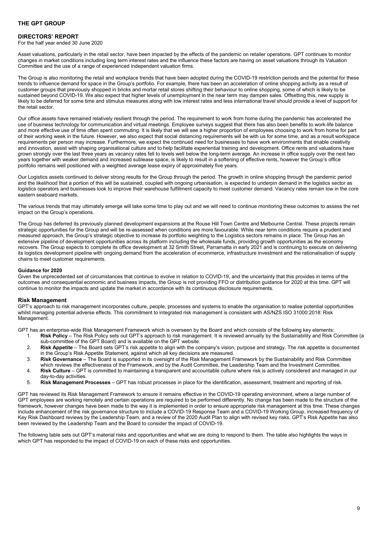For the half year ended 30 June 2020

Asset valuations, particularly in the retail sector, have been impacted by the effects of the pandemic on retailer operations. GPT continues to monitor changes in market conditions including long term interest rates and the influence these factors are having on asset valuations through its Valuation Committee and the use of a range of experienced independent valuation firms.

The Group is also monitoring the retail and workplace trends that have been adopted during the COVID-19 restriction periods and the potential for these trends to influence demand for space in the Group's portfolio. For example, there has been an acceleration of online shopping activity as a result of customer groups that previously shopped in bricks and mortar retail stores shifting their behaviour to online shopping, some of which is likely to be sustained beyond COVID-19. We also expect that higher levels of unemployment in the near term may dampen sales. Offsetting this, new supply is likely to be deferred for some time and stimulus measures along with low interest rates and less international travel should provide a level of support for the retail sector.

Our office assets have remained relatively resilient through the period. The requirement to work from home during the pandemic has accelerated the use of business technology for communication and virtual meetings. Employee surveys suggest that there has also been benefits to work-life balance and more effective use of time often spent commuting. It is likely that we will see a higher proportion of employees choosing to work from home for part of their working week in the future. However, we also expect that social distancing requirements will be with us for some time, and as a result workspace requirements per person may increase. Furthermore, we expect the continued need for businesses to have work environments that enable creativity and innovation, assist with shaping organisational culture and to help facilitate experiential training and development. Office rents and valuations have grown strongly over the last three years as vacancy rates fell to levels well below the long-term average. An increase in office supply over the next two years together with weaker demand and increased sublease space, is likely to result in a softening of effective rents, however the Group's office portfolio remains well positioned with a weighted average lease expiry of approximately five years.

Our Logistics assets continued to deliver strong results for the Group through the period. The growth in online shopping through the pandemic period and the likelihood that a portion of this will be sustained, coupled with ongoing urbanisation, is expected to underpin demand in the logistics sector as logistics operators and businesses look to improve their warehouse fulfillment capacity to meet customer demand. Vacancy rates remain low in the core eastern seaboard markets.

The various trends that may ultimately emerge will take some time to play out and we will need to continue monitoring these outcomes to assess the net impact on the Group's operations.

The Group has deferred its previously planned development expansions at the Rouse Hill Town Centre and Melbourne Central. These projects remain strategic opportunities for the Group and will be re-assessed when conditions are more favourable. While near term conditions require a prudent and measured approach, the Group's strategic objective to increase its portfolio weighting to the Logistics sectors remains in place. The Group has an extensive pipeline of development opportunities across its platform including the wholesale funds, providing growth opportunities as the economy recovers. The Group expects to complete its office development at 32 Smith Street, Parramatta in early 2021 and is continuing to execute on delivering its logistics development pipeline with ongoing demand from the acceleration of ecommerce, infrastructure investment and the rationalisation of supply chains to meet customer requirements.

#### **Guidance for 2020**

Given the unprecedented set of circumstances that continue to evolve in relation to COVID-19, and the uncertainty that this provides in terms of the outcomes and consequential economic and business impacts, the Group is not providing FFO or distribution guidance for 2020 at this time. GPT will continue to monitor the impacts and update the market in accordance with its continuous disclosure requirements.

#### **Risk Management**

GPT's approach to risk management incorporates culture, people, processes and systems to enable the organisation to realise potential opportunities whilst managing potential adverse effects. This commitment to integrated risk management is consistent with AS/NZS ISO 31000:2018: Risk Management.

GPT has an enterprise-wide Risk Management Framework which is overseen by the Board and which consists of the following key elements:

- 1. **Risk Policy**  The Risk Policy sets out GPT's approach to risk management. It is reviewed annually by the Sustainability and Risk Committee (a sub-committee of the GPT Board) and is available on the GPT website.
- 2. **Risk Appetite**  The Board sets GPT's risk appetite to align with the company's vision, purpose and strategy. The risk appetite is documented in the Group's Risk Appetite Statement, against which all key decisions are measured.
- 3. **Risk Governance**  The Board is supported in its oversight of the Risk Management Framework by the Sustainability and Risk Committee which reviews the effectiveness of the Framework, and by the Audit Committee, the Leadership Team and the Investment Committee.
- 4. **Risk Culture**  GPT is committed to maintaining a transparent and accountable culture where risk is actively considered and managed in our day-to-day activities.
- 5. **Risk Management Processes**  GPT has robust processes in place for the identification, assessment, treatment and reporting of risk.

GPT has reviewed its Risk Management Framework to ensure it remains effective in the COVID-19 operating environment, where a large number of GPT employees are working remotely and certain operations are required to be performed differently. No change has been made to the structure of the framework, however changes have been made to the way it is implemented in order to ensure appropriate risk management at this time. These changes include enhancement of the risk governance structure to include a COVID-19 Response Team and a COVID-19 Working Group, increased frequency of Key Risk Dashboard reviews by the Leadership Team, and a review of the 2020 Audit Plan to align with revised key risks. GPT's Risk Appetite has also been reviewed by the Leadership Team and the Board to consider the impact of COVID-19.

The following table sets out GPT's material risks and opportunities and what we are doing to respond to them. The table also highlights the ways in which GPT has responded to the impact of COVID-19 on each of these risks and opportunities.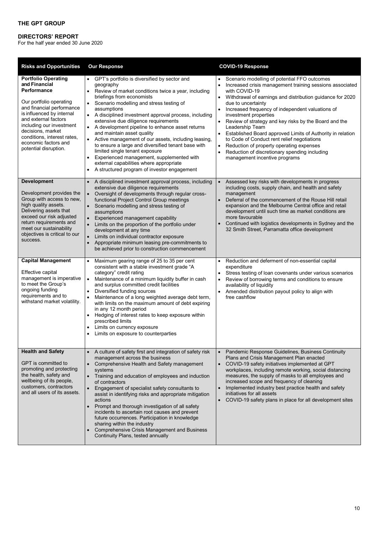# **DIRECTORS' REPORT**

For the half year ended 30 June 2020

| <b>Risks and Opportunities</b>                                                                                                                                                                                                                                                                           | <b>Our Response</b>                                                                                                                                                                                                                                                                                                                                                                                                                                                                                                                                                                                                                                                                                                                                           | <b>COVID-19 Response</b>                                                                                                                                                                                                                                                                                                                                                                                                                                                                                                                                                                                                                                  |
|----------------------------------------------------------------------------------------------------------------------------------------------------------------------------------------------------------------------------------------------------------------------------------------------------------|---------------------------------------------------------------------------------------------------------------------------------------------------------------------------------------------------------------------------------------------------------------------------------------------------------------------------------------------------------------------------------------------------------------------------------------------------------------------------------------------------------------------------------------------------------------------------------------------------------------------------------------------------------------------------------------------------------------------------------------------------------------|-----------------------------------------------------------------------------------------------------------------------------------------------------------------------------------------------------------------------------------------------------------------------------------------------------------------------------------------------------------------------------------------------------------------------------------------------------------------------------------------------------------------------------------------------------------------------------------------------------------------------------------------------------------|
| <b>Portfolio Operating</b><br>and Financial<br>Performance<br>Our portfolio operating<br>and financial performance<br>is influenced by internal<br>and external factors<br>including our investment<br>decisions, market<br>conditions, interest rates,<br>economic factors and<br>potential disruption. | GPT's portfolio is diversified by sector and<br>geography<br>Review of market conditions twice a year, including<br>$\bullet$<br>briefings from economists<br>Scenario modelling and stress testing of<br>$\bullet$<br>assumptions<br>A disciplined investment approval process, including<br>$\bullet$<br>extensive due diligence requirements<br>A development pipeline to enhance asset returns<br>and maintain asset quality<br>Active management of our assets, including leasing,<br>$\bullet$<br>to ensure a large and diversified tenant base with<br>limited single tenant exposure<br>Experienced management, supplemented with<br>$\bullet$<br>external capabilities where appropriate<br>A structured program of investor engagement<br>$\bullet$ | Scenario modelling of potential FFO outcomes<br>Increased crisis management training sessions associated<br>with COVID-19<br>Withdrawal of earnings and distribution guidance for 2020<br>due to uncertainty<br>Increased frequency of independent valuations of<br>investment properties<br>Review of strategy and key risks by the Board and the<br>$\bullet$<br>Leadership Team<br>• Established Board approved Limits of Authority in relation<br>to Code of Conduct rent relief negotiations<br>Reduction of property operating expenses<br>$\bullet$<br>Reduction of discretionary spending including<br>$\bullet$<br>management incentive programs |
| <b>Development</b><br>Development provides the<br>Group with access to new,<br>high quality assets.<br>Delivering assets that<br>exceed our risk adjusted<br>return requirements and<br>meet our sustainability<br>objectives is critical to our<br>success.                                             | A disciplined investment approval process, including<br>extensive due diligence requirements<br>Oversight of developments through regular cross-<br>functional Project Control Group meetings<br>Scenario modelling and stress testing of<br>assumptions<br>Experienced management capability<br>$\bullet$<br>Limits on the proportion of the portfolio under<br>development at any time<br>Limits on individual contractor exposure<br>$\bullet$<br>Appropriate minimum leasing pre-commitments to<br>$\bullet$<br>be achieved prior to construction commencement                                                                                                                                                                                            | Assessed key risks with developments in progress<br>including costs, supply chain, and health and safety<br>management<br>Deferral of the commencement of the Rouse Hill retail<br>expansion and the Melbourne Central office and retail<br>development until such time as market conditions are<br>more favourable<br>Continued with logistics developments in Sydney and the<br>32 Smith Street, Parramatta office development                                                                                                                                                                                                                          |
| <b>Capital Management</b><br>Effective capital<br>management is imperative<br>to meet the Group's<br>ongoing funding<br>requirements and to<br>withstand market volatility.                                                                                                                              | Maximum gearing range of 25 to 35 per cent<br>$\bullet$<br>consistent with a stable investment grade "A<br>category" credit rating<br>$\bullet$<br>Maintenance of a minimum liquidity buffer in cash<br>and surplus committed credit facilities<br>Diversified funding sources<br>$\bullet$<br>$\bullet$<br>Maintenance of a long weighted average debt term,<br>with limits on the maximum amount of debt expiring<br>in any 12 month period<br>Hedging of interest rates to keep exposure within<br>$\bullet$<br>prescribed limits<br>Limits on currency exposure<br>٠<br>Limits on exposure to counterparties                                                                                                                                              | Reduction and deferment of non-essential capital<br>expenditure<br>Stress testing of loan covenants under various scenarios<br>Review of borrowing terms and conditions to ensure<br>$\bullet$<br>availability of liquidity<br>Amended distribution payout policy to align with<br>$\bullet$<br>free cashflow                                                                                                                                                                                                                                                                                                                                             |
| <b>Health and Safety</b><br>GPT is committed to<br>promoting and protecting<br>the health, safety and<br>wellbeing of its people,<br>customers, contractors<br>and all users of its assets.                                                                                                              | A culture of safety first and integration of safety risk<br>$\bullet$<br>management across the business<br>Comprehensive Health and Safety management<br>systems<br>Training and education of employees and induction<br>$\bullet$<br>of contractors<br>Engagement of specialist safety consultants to<br>$\bullet$<br>assist in identifying risks and appropriate mitigation<br>actions<br>Prompt and thorough investigation of all safety<br>incidents to ascertain root causes and prevent<br>future occurrences. Participation in knowledge<br>sharing within the industry<br><b>Comprehensive Crisis Management and Business</b><br>$\bullet$<br>Continuity Plans, tested annually                                                                       | Pandemic Response Guidelines, Business Continuity<br>Plans and Crisis Management Plan enacted<br>COVID-19 safety initiatives implemented at GPT<br>$\bullet$<br>workplaces, including remote working, social distancing<br>measures, the supply of masks to all employees and<br>increased scope and frequency of cleaning<br>Implemented industry best practice health and safety<br>initiatives for all assets<br>• COVID-19 safety plans in place for all development sites                                                                                                                                                                            |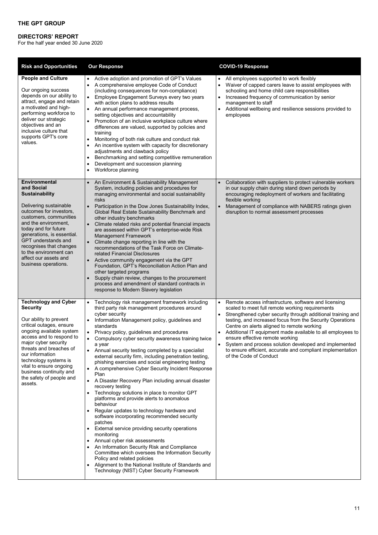# **DIRECTORS' REPORT**

For the half year ended 30 June 2020

| <b>Risk and Opportunities</b>                                                                                                                                                                                                                                                                                                                            | <b>Our Response</b>                                                                                                                                                                                                                                                                                                                                                                                                                                                                                                                                                                                                                                                                                                                                                                                                                                                                                                                                                                                                                                                                                                                                                                              | <b>COVID-19 Response</b>                                                                                                                                                                                                                                                                                                                                                                                                                                                                                                                                        |
|----------------------------------------------------------------------------------------------------------------------------------------------------------------------------------------------------------------------------------------------------------------------------------------------------------------------------------------------------------|--------------------------------------------------------------------------------------------------------------------------------------------------------------------------------------------------------------------------------------------------------------------------------------------------------------------------------------------------------------------------------------------------------------------------------------------------------------------------------------------------------------------------------------------------------------------------------------------------------------------------------------------------------------------------------------------------------------------------------------------------------------------------------------------------------------------------------------------------------------------------------------------------------------------------------------------------------------------------------------------------------------------------------------------------------------------------------------------------------------------------------------------------------------------------------------------------|-----------------------------------------------------------------------------------------------------------------------------------------------------------------------------------------------------------------------------------------------------------------------------------------------------------------------------------------------------------------------------------------------------------------------------------------------------------------------------------------------------------------------------------------------------------------|
| <b>People and Culture</b><br>Our ongoing success<br>depends on our ability to<br>attract, engage and retain<br>a motivated and high-<br>performing workforce to<br>deliver our strategic<br>objectives and an<br>inclusive culture that<br>supports GPT's core<br>values.                                                                                | Active adoption and promotion of GPT's Values<br>$\bullet$<br>A comprehensive employee Code of Conduct<br>(including consequences for non-compliance)<br>Employee Engagement Surveys every two years<br>with action plans to address results<br>An annual performance management process,<br>setting objectives and accountability<br>Promotion of an inclusive workplace culture where<br>differences are valued, supported by policies and<br>training<br>Monitoring of both risk culture and conduct risk<br>An incentive system with capacity for discretionary<br>adjustments and clawback policy<br>Benchmarking and setting competitive remuneration<br>Development and succession planning<br>$\bullet$<br>Workforce planning                                                                                                                                                                                                                                                                                                                                                                                                                                                            | All employees supported to work flexibly<br>$\bullet$<br>Waiver of capped carers leave to assist employees with<br>$\bullet$<br>schooling and home child care responsibilities<br>Increased frequency of communication by senior<br>$\bullet$<br>management to staff<br>Additional wellbeing and resilience sessions provided to<br>$\bullet$<br>employees                                                                                                                                                                                                      |
| <b>Environmental</b><br>and Social<br>Sustainability<br>Delivering sustainable<br>outcomes for investors,<br>customers, communities<br>and the environment,<br>today and for future<br>generations, is essential.<br><b>GPT</b> understands and<br>recognises that changes<br>to the environment can<br>affect our assets and<br>business operations.    | An Environment & Sustainability Management<br>$\bullet$<br>System, including policies and procedures for<br>managing environmental and social sustainability<br>risks<br>$\bullet$<br>Participation in the Dow Jones Sustainability Index,<br>Global Real Estate Sustainability Benchmark and<br>other industry benchmarks<br>Climate related risks and potential financial impacts<br>are assessed within GPT's enterprise-wide Risk<br><b>Management Framework</b><br>Climate change reporting in line with the<br>recommendations of the Task Force on Climate-<br>related Financial Disclosures<br>Active community engagement via the GPT<br>Foundation, GPT's Reconciliation Action Plan and<br>other targeted programs<br>Supply chain review, changes to the procurement<br>process and amendment of standard contracts in<br>response to Modern Slavery legislation                                                                                                                                                                                                                                                                                                                     | Collaboration with suppliers to protect vulnerable workers<br>in our supply chain during stand down periods by<br>encouraging redeployment of workers and facilitating<br>flexible working<br>Management of compliance with NABERS ratings given<br>$\bullet$<br>disruption to normal assessment processes                                                                                                                                                                                                                                                      |
| <b>Technology and Cyber</b><br><b>Security</b><br>Our ability to prevent<br>critical outages, ensure<br>ongoing available system<br>access and to respond to<br>major cyber security<br>threats and breaches of<br>our information<br>technology systems is<br>vital to ensure ongoing<br>business continuity and<br>the safety of people and<br>assets. | Technology risk management framework including<br>third party risk management procedures around<br>cyber security<br>Information Management policy, guidelines and<br>$\bullet$<br>standards<br>Privacy policy, guidelines and procedures<br>$\bullet$<br>Compulsory cyber security awareness training twice<br>a year<br>• Annual security testing completed by a specialist<br>external security firm, including penetration testing,<br>phishing exercises and social engineering testing<br>A comprehensive Cyber Security Incident Response<br>Plan<br>A Disaster Recovery Plan including annual disaster<br>recovery testing<br>• Technology solutions in place to monitor GPT<br>platforms and provide alerts to anomalous<br>behaviour<br>Regular updates to technology hardware and<br>software incorporating recommended security<br>patches<br>External service providing security operations<br>monitoring<br>Annual cyber risk assessments<br>An Information Security Risk and Compliance<br>Committee which oversees the Information Security<br>Policy and related policies<br>Alignment to the National Institute of Standards and<br>Technology (NIST) Cyber Security Framework | Remote access infrastructure, software and licensing<br>$\bullet$<br>scaled to meet full remote working requirements<br>Strengthened cyber security through additional training and<br>testing, and increased focus from the Security Operations<br>Centre on alerts aligned to remote working<br>• Additional IT equipment made available to all employees to<br>ensure effective remote working<br>System and process solution developed and implemented<br>$\bullet$<br>to ensure efficient, accurate and compliant implementation<br>of the Code of Conduct |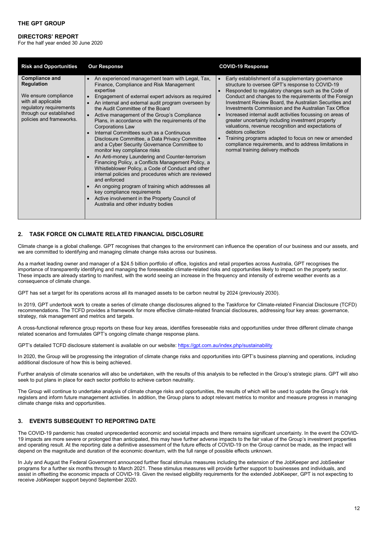#### **DIRECTORS' REPORT**

For the half year ended 30 June 2020

| <b>Risk and Opportunities</b>                                                                                                                                               | <b>Our Response</b>                                                                                                                                                                                                                                                                                                                                                                                                                                                                                                                                                                                                                                                                                                                                                                                                                                                                                                                                                                                             | <b>COVID-19 Response</b>                                                                                                                                                                                                                                                                                                                                                                                                                                                                                                                                                                                                                                                                                  |
|-----------------------------------------------------------------------------------------------------------------------------------------------------------------------------|-----------------------------------------------------------------------------------------------------------------------------------------------------------------------------------------------------------------------------------------------------------------------------------------------------------------------------------------------------------------------------------------------------------------------------------------------------------------------------------------------------------------------------------------------------------------------------------------------------------------------------------------------------------------------------------------------------------------------------------------------------------------------------------------------------------------------------------------------------------------------------------------------------------------------------------------------------------------------------------------------------------------|-----------------------------------------------------------------------------------------------------------------------------------------------------------------------------------------------------------------------------------------------------------------------------------------------------------------------------------------------------------------------------------------------------------------------------------------------------------------------------------------------------------------------------------------------------------------------------------------------------------------------------------------------------------------------------------------------------------|
| <b>Compliance and</b><br><b>Regulation</b><br>We ensure compliance<br>with all applicable<br>regulatory requirements<br>through our established<br>policies and frameworks. | An experienced management team with Legal, Tax,<br>$\bullet$<br>Finance, Compliance and Risk Management<br>expertise<br>Engagement of external expert advisors as required<br>An internal and external audit program overseen by<br>the Audit Committee of the Board<br>Active management of the Group's Compliance<br>Plans, in accordance with the requirements of the<br><b>Corporations Law</b><br>Internal Committees such as a Continuous<br>Disclosure Committee, a Data Privacy Committee<br>and a Cyber Security Governance Committee to<br>monitor key compliance risks<br>An Anti-money Laundering and Counter-terrorism<br>Financing Policy, a Conflicts Management Policy, a<br>Whistleblower Policy, a Code of Conduct and other<br>internal policies and procedures which are reviewed<br>and enforced<br>An ongoing program of training which addresses all<br>$\bullet$<br>key compliance requirements<br>Active involvement in the Property Council of<br>Australia and other industry bodies | Early establishment of a supplementary governance<br>structure to oversee GPT's response to COVID-19<br>Responded to regulatory changes such as the Code of<br>Conduct and changes to the requirements of the Foreign<br>Investment Review Board, the Australian Securities and<br>Investments Commission and the Australian Tax Office<br>Increased internal audit activities focussing on areas of<br>greater uncertainty including investment property<br>valuations, revenue recognition and expectations of<br>debtors collection<br>Training programs adapted to focus on new or amended<br>$\bullet$<br>compliance requirements, and to address limitations in<br>normal training delivery methods |

# **2. TASK FORCE ON CLIMATE RELATED FINANCIAL DISCLOSURE**

Climate change is a global challenge. GPT recognises that changes to the environment can influence the operation of our business and our assets, and we are committed to identifying and managing climate change risks across our business.

As a market leading owner and manager of a \$24.5 billion portfolio of office, logistics and retail properties across Australia, GPT recognises the importance of transparently identifying and managing the foreseeable climate-related risks and opportunities likely to impact on the property sector. These impacts are already starting to manifest, with the world seeing an increase in the frequency and intensity of extreme weather events as a consequence of climate change.

GPT has set a target for its operations across all its managed assets to be carbon neutral by 2024 (previously 2030).

In 2019, GPT undertook work to create a series of climate change disclosures aligned to the Taskforce for Climate-related Financial Disclosure (TCFD) recommendations. The TCFD provides a framework for more effective climate-related financial disclosures, addressing four key areas: governance, strategy, risk management and metrics and targets.

A cross-functional reference group reports on these four key areas, identifies foreseeable risks and opportunities under three different climate change related scenarios and formulates GPT's ongoing climate change response plans.

GPT's detailed TCFD disclosure statement is available on our website[: https://gpt.com.au/index.php/sustainability](https://gpt.com.au/index.php/sustainability)

In 2020, the Group will be progressing the integration of climate change risks and opportunities into GPT's business planning and operations, including additional disclosure of how this is being achieved.

Further analysis of climate scenarios will also be undertaken, with the results of this analysis to be reflected in the Group's strategic plans. GPT will also seek to put plans in place for each sector portfolio to achieve carbon neutrality.

The Group will continue to undertake analysis of climate change risks and opportunities, the results of which will be used to update the Group's risk registers and inform future management activities. In addition, the Group plans to adopt relevant metrics to monitor and measure progress in managing climate change risks and opportunities.

# **3. EVENTS SUBSEQUENT TO REPORTING DATE**

The COVID-19 pandemic has created unprecedented economic and societal impacts and there remains significant uncertainty. In the event the COVID-19 impacts are more severe or prolonged than anticipated, this may have further adverse impacts to the fair value of the Group's investment properties and operating result. At the reporting date a definitive assessment of the future effects of COVID-19 on the Group cannot be made, as the impact will depend on the magnitude and duration of the economic downturn, with the full range of possible effects unknown.

In July and August the Federal Government announced further fiscal stimulus measures including the extension of the JobKeeper and JobSeeker programs for a further six months through to March 2021. These stimulus measures will provide further support to businesses and individuals, and assist in offsetting the economic impacts of COVID-19. Given the revised eligibility requirements for the extended JobKeeper, GPT is not expecting to receive JobKeeper support beyond September 2020.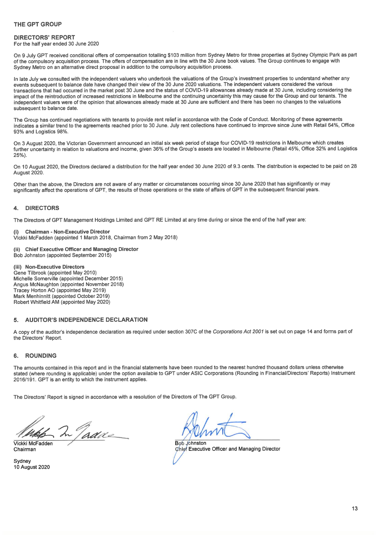For the half year ended 30 June 2020

On 9 July GPT received conditional offers of compensation totalling \$103 million from Sydney Metro for three properties at Sydney Olympic Park as part of the compulsory acquisition process. The offers of compensation are in line with the 30 June book values. The Group continues to engage with Sydney Metro on an alternative direct proposal in addition to the compulsory acquisition process.

In late July we consulted with the independent valuers who undertook the valuations of the Group's investment properties to understand whether any events subsequent to balance date have changed their view of the 30 June 2020 valuations. The independent valuers considered the various transactions that had occurred in the market post 30 June and the status of COVID-19 allowances already made at 30 June, including considering the impact of the reintroduction of increased restrictions in Melbourne and the continuing uncertainty this may cause for the Group and our tenants. The independent valuers were of the opinion that allowances already made at 30 June are sufficient and there has been no changes to the valuations subsequent to balance date.

The Group has continued negotiations with tenants to provide rent relief in accordance with the Code of Conduct. Monitoring of these agreements indicates a similar trend to the agreements reached prior to 30 June. July rent collections have continued to improve since June with Retail 64%, Office 93% and Logistics 98%.

On 3 August 2020, the Victorian Government announced an initial six week period of stage four COVID-19 restrictions in Melbourne which creates further uncertainty in relation to valuations and income, given 36% of the Group's assets are located in Melbourne (Retail 45%, Office 32% and Logistics  $25%$ 

On 10 August 2020, the Directors declared a distribution for the half year ended 30 June 2020 of 9.3 cents. The distribution is expected to be paid on 28 **August 2020.** 

Other than the above, the Directors are not aware of any matter or circumstances occurring since 30 June 2020 that has significantly or may significantly affect the operations of GPT, the results of those operations or the state of affairs of GPT in the subsequent financial years.

#### **DIRECTORS**  $\blacktriangle$

The Directors of GPT Management Holdings Limited and GPT RE Limited at any time during or since the end of the half year are:

**Chairman - Non-Executive Director** Vickki McFadden (appointed 1 March 2018, Chairman from 2 May 2018)

#### (ii) Chief Executive Officer and Managing Director Bob Johnston (appointed September 2015)

(iii) Non-Executive Directors Gene Tilbrook (appointed May 2010) Michelle Somerville (appointed December 2015) Angus McNaughton (appointed November 2018) Tracey Horton AO (appointed May 2019) Mark Menhinnitt (appointed October 2019) Robert Whitfield AM (appointed May 2020)

#### 5. **AUDITOR'S INDEPENDENCE DECLARATION**

A copy of the auditor's independence declaration as required under section 307C of the Corporations Act 2001 is set out on page 14 and forms part of the Directors' Report.

#### **ROUNDING** 6.

The amounts contained in this report and in the financial statements have been rounded to the nearest hundred thousand dollars unless otherwise stated (where rounding is applicable) under the option available to GPT under ASIC Corporations (Rounding in Financial/Directors' Reports) Instrument 2016/191. GPT is an entity to which the instrument applies.

The Directors' Report is signed in accordance with a resolution of the Directors of The GPT Group.

In Tadde

Vickki McFadden Chairman

Sydney 10 August 2020

**Bob Johnston** Chief Executive Officer and Managing Director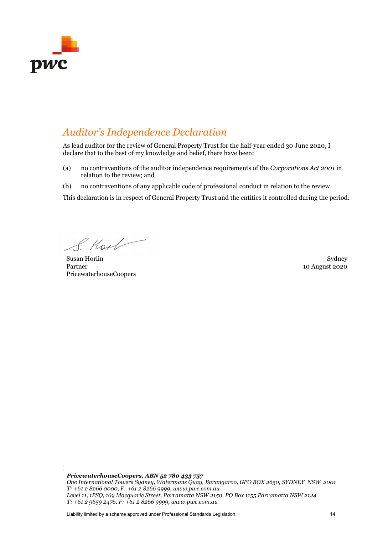<span id="page-13-0"></span>

# *Auditor's Independence Declaration*

As lead auditor for the review of General Property Trust for the half-year ended 30 June 2020, I declare that to the best of my knowledge and belief, there have been:

- (a) no contraventions of the auditor independence requirements of the *Corporations Act 2001* in relation to the review; and
- (b) no contraventions of any applicable code of professional conduct in relation to the review.

This declaration is in respect of General Property Trust and the entities it controlled during the period.

S. Hool

Susan Horlin Sydney Sydney Sydney Sydney Sydney Sydney Sydney Sydney Sydney Sydney Sydney Sydney Sydney Sydney Partner PricewaterhouseCoopers

10 August 2020

*PricewaterhouseCoopers, ABN 52 780 433 757 One International Towers Sydney, Watermans Quay, Barangaroo, GPO BOX 2650, SYDNEY NSW 2001 T: +61 2 8266 0000, F: +61 2 8266 9999, www.pwc.com.au Level 11, 1PSQ, 169 Macquarie Street, Parramatta NSW 2150, PO Box 1155 Parramatta NSW 2124 T: +61 2 9659 2476, F: +61 2 8266 9999, www.pwc.com.au* 

Liability limited by a scheme approved under Professional Standards Legislation. 14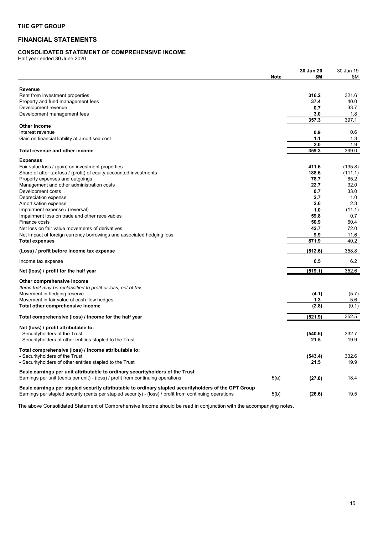# <span id="page-14-0"></span>**FINANCIAL STATEMENTS**

# <span id="page-14-1"></span>**CONSOLIDATED STATEMENT OF COMPREHENSIVE INCOME**

Half year ended 30 June 2020

|                                                                                                         |             | 30 Jun 20 | 30 Jun 19<br>\$Μ |
|---------------------------------------------------------------------------------------------------------|-------------|-----------|------------------|
|                                                                                                         | <b>Note</b> | \$Μ       |                  |
| <b>Revenue</b>                                                                                          |             |           |                  |
| Rent from investment properties                                                                         |             | 316.2     | 321.6            |
| Property and fund management fees                                                                       |             | 37.4      | 40.0             |
| Development revenue                                                                                     |             | 0.7       | 33.7             |
| Development management fees                                                                             |             | 3.0       | 1.8              |
|                                                                                                         |             | 357.3     | 397.1            |
| Other income                                                                                            |             |           |                  |
| Interest revenue                                                                                        |             | 0.9       | 0.6              |
| Gain on financial liability at amortised cost                                                           |             | 1.1       | 1.3              |
|                                                                                                         |             | 2.0       | 1.9              |
| Total revenue and other income                                                                          |             | 359.3     | 399.0            |
| <b>Expenses</b>                                                                                         |             |           |                  |
| Fair value loss / (gain) on investment properties                                                       |             | 411.6     | (135.8)          |
| Share of after tax loss / (profit) of equity accounted investments                                      |             | 188.6     | (111.1)          |
| Property expenses and outgoings                                                                         |             | 78.7      | 85.2             |
| Management and other administration costs                                                               |             | 22.7      | 32.0             |
| Development costs                                                                                       |             | 0.7       | 33.0             |
| Depreciation expense                                                                                    |             | 2.7       | 1.0              |
| Amortisation expense                                                                                    |             | 2.6       | 2.3              |
| Impairment expense / (reversal)                                                                         |             | 1.0       | (11.1)           |
| Impairment loss on trade and other receivables                                                          |             | 59.8      | 0.7              |
| Finance costs                                                                                           |             | 50.9      | 60.4             |
| Net loss on fair value movements of derivatives                                                         |             | 42.7      | 72.0             |
|                                                                                                         |             |           |                  |
| Net impact of foreign currency borrowings and associated hedging loss                                   |             | 9.9       | 11.6<br>40.2     |
| <b>Total expenses</b>                                                                                   |             | 871.9     |                  |
| (Loss) / profit before income tax expense                                                               |             | (512.6)   | 358.8            |
| Income tax expense                                                                                      |             | 6.5       | 6.2              |
| Net (loss) / profit for the half year                                                                   |             | (519.1)   | 352.6            |
| Other comprehensive income                                                                              |             |           |                  |
| Items that may be reclassified to profit or loss, net of tax                                            |             |           |                  |
| Movement in hedging reserve                                                                             |             | (4.1)     | (5.7)            |
| Movement in fair value of cash flow hedges                                                              |             | 1.3       | 5.6              |
| Total other comprehensive income                                                                        |             | (2.8)     | (0.1)            |
| Total comprehensive (loss) / income for the half year                                                   |             | (521.9)   | 352.5            |
|                                                                                                         |             |           |                  |
| Net (loss) / profit attributable to:                                                                    |             |           |                  |
| - Securityholders of the Trust                                                                          |             | (540.6)   | 332.7            |
| - Securityholders of other entities stapled to the Trust                                                |             | 21.5      | 19.9             |
| Total comprehensive (loss) / income attributable to:                                                    |             |           |                  |
| - Securityholders of the Trust                                                                          |             | (543.4)   | 332.6            |
| - Securityholders of other entities stapled to the Trust                                                |             | 21.5      | 19.9             |
|                                                                                                         |             |           |                  |
| Basic earnings per unit attributable to ordinary security holders of the Trust                          |             |           |                  |
| Earnings per unit (cents per unit) - (loss) / profit from continuing operations                         | 5(a)        | (27.8)    | 18.4             |
| Basic earnings per stapled security attributable to ordinary stapled securityholders of the GPT Group   |             |           |                  |
| Earnings per stapled security (cents per stapled security) - (loss) / profit from continuing operations | 5(b)        | (26.6)    | 19.5             |
|                                                                                                         |             |           |                  |

The above Consolidated Statement of Comprehensive Income should be read in conjunction with the accompanying notes.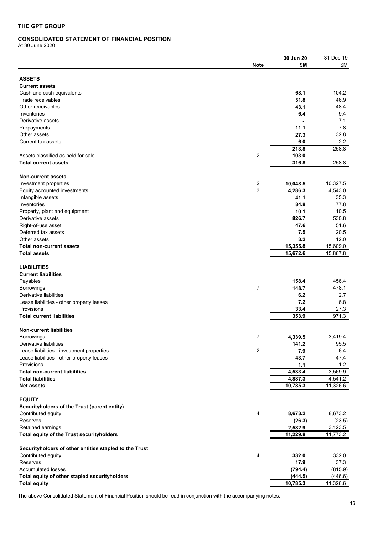# <span id="page-15-0"></span>**CONSOLIDATED STATEMENT OF FINANCIAL POSITION**

At 30 June 2020

|                                                        |                | 30 Jun 20 | 31 Dec 19 |
|--------------------------------------------------------|----------------|-----------|-----------|
|                                                        | Note           | \$M       | \$Μ       |
|                                                        |                |           |           |
|                                                        |                |           |           |
| <b>ASSETS</b>                                          |                |           |           |
| <b>Current assets</b>                                  |                |           |           |
| Cash and cash equivalents                              |                | 68.1      | 104.2     |
| Trade receivables                                      |                | 51.8      | 46.9      |
| Other receivables                                      |                | 43.1      | 48.4      |
| Inventories                                            |                | 6.4       | 9.4       |
| Derivative assets                                      |                |           | 7.1       |
| Prepayments                                            |                | 11.1      | 7.8       |
| Other assets                                           |                | 27.3      | 32.8      |
| Current tax assets                                     |                | 6.0       | 2.2       |
|                                                        |                |           |           |
|                                                        |                | 213.8     | 258.8     |
| Assets classified as held for sale                     | $\overline{2}$ | 103.0     |           |
| <b>Total current assets</b>                            |                | 316.8     | 258.8     |
|                                                        |                |           |           |
| <b>Non-current assets</b>                              |                |           |           |
| Investment properties                                  | 2              | 10,048.5  | 10,327.5  |
| Equity accounted investments                           | 3              | 4,286.3   | 4,543.0   |
| Intangible assets                                      |                | 41.1      | 35.3      |
| Inventories                                            |                | 84.8      | 77.8      |
| Property, plant and equipment                          |                | 10.1      | 10.5      |
|                                                        |                |           |           |
| Derivative assets                                      |                | 826.7     | 530.8     |
| Right-of-use asset                                     |                | 47.6      | 51.6      |
| Deferred tax assets                                    |                | 7.5       | 20.5      |
| Other assets                                           |                | 3.2       | 12.0      |
| <b>Total non-current assets</b>                        |                | 15,355.8  | 15,609.0  |
| <b>Total assets</b>                                    |                | 15,672.6  | 15,867.8  |
|                                                        |                |           |           |
| <b>LIABILITIES</b>                                     |                |           |           |
| <b>Current liabilities</b>                             |                |           |           |
| Payables                                               |                | 158.4     | 456.4     |
|                                                        | $\overline{7}$ |           | 478.1     |
| <b>Borrowings</b>                                      |                | 148.7     |           |
| Derivative liabilities                                 |                | 6.2       | 2.7       |
| Lease liabilities - other property leases              |                | 7.2       | 6.8       |
| Provisions                                             |                | 33.4      | 27.3      |
| <b>Total current liabilities</b>                       |                | 353.9     | 971.3     |
|                                                        |                |           |           |
| <b>Non-current liabilities</b>                         |                |           |           |
| <b>Borrowings</b>                                      | 7              | 4,339.5   | 3,419.4   |
| Derivative liabilities                                 |                | 141.2     | 95.5      |
| Lease liabilities - investment properties              | 2              | 7.9       | 6.4       |
| Lease liabilities - other property leases              |                | 43.7      | 47.4      |
|                                                        |                |           |           |
| Provisions                                             |                | 1.1       | 1.2       |
| <b>Total non-current liabilities</b>                   |                | 4,533.4   | 3,569.9   |
| <b>Total liabilities</b>                               |                | 4,887.3   | 4,541.2   |
| <b>Net assets</b>                                      |                | 10,785.3  | 11,326.6  |
|                                                        |                |           |           |
| <b>EQUITY</b>                                          |                |           |           |
| Securityholders of the Trust (parent entity)           |                |           |           |
| Contributed equity                                     | 4              | 8,673.2   | 8,673.2   |
| <b>Reserves</b>                                        |                | (26.3)    | (23.5)    |
| Retained earnings                                      |                | 2,582.9   | 3,123.5   |
|                                                        |                |           |           |
| Total equity of the Trust securityholders              |                | 11,229.8  | 11,773.2  |
|                                                        |                |           |           |
| Securityholders of other entities stapled to the Trust |                |           |           |
| Contributed equity                                     | 4              | 332.0     | 332.0     |
| <b>Reserves</b>                                        |                | 17.9      | 37.3      |
| <b>Accumulated losses</b>                              |                | (794.4)   | (815.9)   |
| Total equity of other stapled securityholders          |                | (444.5)   | (446.6)   |
| <b>Total equity</b>                                    |                | 10,785.3  | 11,326.6  |
|                                                        |                |           |           |

The above Consolidated Statement of Financial Position should be read in conjunction with the accompanying notes.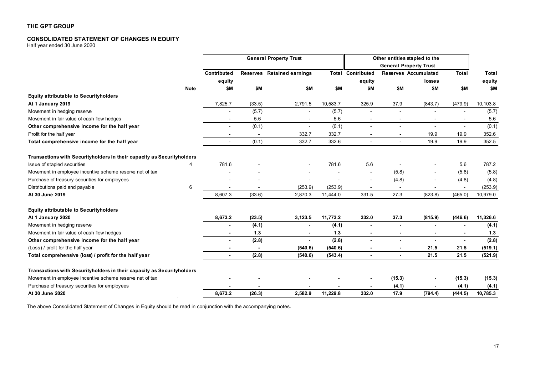# **CONSOLIDATED STATEMENT OF CHANGES IN EQUITY**

Half year ended 30 June 2020

|                                                                        |             | <b>General Property Trust</b> |        |                            | Other entities stapled to the |                          |                          |                               |                |          |
|------------------------------------------------------------------------|-------------|-------------------------------|--------|----------------------------|-------------------------------|--------------------------|--------------------------|-------------------------------|----------------|----------|
|                                                                        |             |                               |        |                            |                               |                          |                          | <b>General Property Trust</b> |                |          |
|                                                                        |             | <b>Contributed</b>            |        | Reserves Retained earnings |                               | <b>Total Contributed</b> |                          | Reserves Accumulated          | <b>Total</b>   | Total    |
|                                                                        |             | equity                        |        |                            |                               | equity                   |                          | losses                        |                | equity   |
|                                                                        | <b>Note</b> | \$M                           | \$M    | \$M                        | \$M                           | \$Μ                      | \$M                      | \$M                           | \$M            | \$M      |
| <b>Equity attributable to Securityholders</b>                          |             |                               |        |                            |                               |                          |                          |                               |                |          |
| At 1 January 2019                                                      |             | 7,825.7                       | (33.5) | 2,791.5                    | 10,583.7                      | 325.9                    | 37.9                     | (843.7)                       | (479.9)        | 10,103.8 |
| Movement in hedging reserve                                            |             |                               | (5.7)  |                            | (5.7)                         |                          |                          |                               | $\blacksquare$ | (5.7)    |
| Movement in fair value of cash flow hedges                             |             | $\overline{a}$                | 5.6    |                            | 5.6                           |                          | $\overline{\phantom{a}}$ |                               |                | 5.6      |
| Other comprehensive income for the half year                           |             | $\overline{\phantom{a}}$      | (0.1)  | $\overline{\phantom{a}}$   | (0.1)                         |                          | $\overline{\phantom{a}}$ |                               | $\blacksquare$ | (0.1)    |
| Profit for the half year                                               |             |                               |        | 332.7                      | 332.7                         |                          |                          | 19.9                          | 19.9           | 352.6    |
| Total comprehensive income for the half year                           |             | $\blacksquare$                | (0.1)  | 332.7                      | 332.6                         |                          |                          | 19.9                          | 19.9           | 352.5    |
| Transactions with Securityholders in their capacity as Securityholders |             |                               |        |                            |                               |                          |                          |                               |                |          |
| Issue of stapled securities                                            | 4           | 781.6                         |        |                            | 781.6                         | 5.6                      |                          |                               | 5.6            | 787.2    |
| Movement in employee incentive scheme reserve net of tax               |             |                               |        |                            |                               | $\overline{\phantom{a}}$ | (5.8)                    |                               | (5.8)          | (5.8)    |
| Purchase of treasury securities for employees                          |             |                               |        |                            |                               | $\overline{\phantom{a}}$ | (4.8)                    |                               | (4.8)          | (4.8)    |
| Distributions paid and payable                                         | 6           |                               |        | (253.9)                    | (253.9)                       |                          |                          |                               |                | (253.9)  |
| At 30 June 2019                                                        |             | 8,607.3                       | (33.6) | 2,870.3                    | 11,444.0                      | 331.5                    | 27.3                     | (823.8)                       | (465.0)        | 10,979.0 |
| <b>Equity attributable to Securityholders</b>                          |             |                               |        |                            |                               |                          |                          |                               |                |          |
| At 1 January 2020                                                      |             | 8,673.2                       | (23.5) | 3.123.5                    | 11,773.2                      | 332.0                    | 37.3                     | (815.9)                       | (446.6)        | 11,326.6 |
| Movement in hedging reserve                                            |             |                               | (4.1)  |                            | (4.1)                         |                          |                          |                               |                | (4.1)    |
| Movement in fair value of cash flow hedges                             |             |                               | 1.3    |                            | 1.3                           |                          |                          |                               |                | 1.3      |
| Other comprehensive income for the half year                           |             | $\blacksquare$                | (2.8)  |                            | (2.8)                         |                          |                          |                               | $\blacksquare$ | (2.8)    |
| (Loss) / profit for the half year                                      |             |                               |        | (540.6)                    | (540.6)                       |                          |                          | 21.5                          | 21.5           | (519.1)  |
| Total comprehensive (loss) / profit for the half year                  |             | ۰                             | (2.8)  | (540.6)                    | (543.4)                       |                          |                          | 21.5                          | 21.5           | (521.9)  |
| Transactions with Securityholders in their capacity as Securityholders |             |                               |        |                            |                               |                          |                          |                               |                |          |
| Movement in employee incentive scheme reserve net of tax               |             |                               |        |                            |                               |                          | (15.3)                   |                               | (15.3)         | (15.3)   |
| Purchase of treasury securities for employees                          |             |                               |        |                            |                               |                          | (4.1)                    |                               | (4.1)          | (4.1)    |
| At 30 June 2020                                                        |             | 8,673.2                       | (26.3) | 2,582.9                    | 11,229.8                      | 332.0                    | 17.9                     | (794.4)                       | (444.5)        | 10,785.3 |

<span id="page-16-0"></span>The above Consolidated Statement of Changes in Equity should be read in conjunction with the accompanying notes.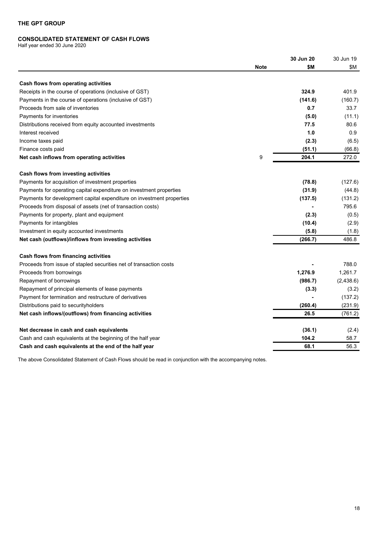# <span id="page-17-0"></span>**CONSOLIDATED STATEMENT OF CASH FLOWS**

Half year ended 30 June 2020

| \$M<br>\$M<br><b>Note</b><br>Cash flows from operating activities<br>324.9<br>401.9<br>Receipts in the course of operations (inclusive of GST)<br>Payments in the course of operations (inclusive of GST)<br>(141.6)<br>(160.7)<br>Proceeds from sale of inventories<br>0.7<br>33.7<br>(5.0)<br>Payments for inventories<br>(11.1)<br>Distributions received from equity accounted investments<br>77.5<br>80.6<br>1.0<br>Interest received<br>0.9<br>Income taxes paid<br>(2.3)<br>(6.5)<br>(51.1)<br>Finance costs paid<br>(66.8)<br>9<br>204.1<br>272.0<br>Net cash inflows from operating activities<br>Cash flows from investing activities<br>(78.8)<br>Payments for acquisition of investment properties<br>Payments for operating capital expenditure on investment properties<br>(31.9)<br>Payments for development capital expenditure on investment properties<br>(137.5)<br>Proceeds from disposal of assets (net of transaction costs)<br>795.6<br>Payments for property, plant and equipment<br>(2.3)<br>Payments for intangibles<br>(10.4)<br>(2.9)<br>Investment in equity accounted investments<br>(5.8)<br>(1.8)<br>486.8<br>Net cash (outflows)/inflows from investing activities<br>(266.7)<br>Cash flows from financing activities<br>788.0<br>Proceeds from issue of stapled securities net of transaction costs<br>1,276.9<br>1,261.7<br>Proceeds from borrowings<br>Repayment of borrowings<br>(986.7)<br>Repayment of principal elements of lease payments<br>(3.3)<br>(3.2)<br>Payment for termination and restructure of derivatives<br>(137.2)<br>(231.9)<br>Distributions paid to security holders<br>(260.4)<br>26.5<br>(761.2)<br>Net cash inflows/(outflows) from financing activities<br>(36.1)<br>Net decrease in cash and cash equivalents<br>(2.4)<br>Cash and cash equivalents at the beginning of the half year<br>104.2<br>58.7<br>68.1<br>56.3<br>Cash and cash equivalents at the end of the half year |  | 30 Jun 20 | 30 Jun 19  |
|------------------------------------------------------------------------------------------------------------------------------------------------------------------------------------------------------------------------------------------------------------------------------------------------------------------------------------------------------------------------------------------------------------------------------------------------------------------------------------------------------------------------------------------------------------------------------------------------------------------------------------------------------------------------------------------------------------------------------------------------------------------------------------------------------------------------------------------------------------------------------------------------------------------------------------------------------------------------------------------------------------------------------------------------------------------------------------------------------------------------------------------------------------------------------------------------------------------------------------------------------------------------------------------------------------------------------------------------------------------------------------------------------------------------------------------------------------------------------------------------------------------------------------------------------------------------------------------------------------------------------------------------------------------------------------------------------------------------------------------------------------------------------------------------------------------------------------------------------------------------------------------------------------------------------------------------|--|-----------|------------|
|                                                                                                                                                                                                                                                                                                                                                                                                                                                                                                                                                                                                                                                                                                                                                                                                                                                                                                                                                                                                                                                                                                                                                                                                                                                                                                                                                                                                                                                                                                                                                                                                                                                                                                                                                                                                                                                                                                                                                |  |           |            |
|                                                                                                                                                                                                                                                                                                                                                                                                                                                                                                                                                                                                                                                                                                                                                                                                                                                                                                                                                                                                                                                                                                                                                                                                                                                                                                                                                                                                                                                                                                                                                                                                                                                                                                                                                                                                                                                                                                                                                |  |           |            |
|                                                                                                                                                                                                                                                                                                                                                                                                                                                                                                                                                                                                                                                                                                                                                                                                                                                                                                                                                                                                                                                                                                                                                                                                                                                                                                                                                                                                                                                                                                                                                                                                                                                                                                                                                                                                                                                                                                                                                |  |           |            |
|                                                                                                                                                                                                                                                                                                                                                                                                                                                                                                                                                                                                                                                                                                                                                                                                                                                                                                                                                                                                                                                                                                                                                                                                                                                                                                                                                                                                                                                                                                                                                                                                                                                                                                                                                                                                                                                                                                                                                |  |           |            |
|                                                                                                                                                                                                                                                                                                                                                                                                                                                                                                                                                                                                                                                                                                                                                                                                                                                                                                                                                                                                                                                                                                                                                                                                                                                                                                                                                                                                                                                                                                                                                                                                                                                                                                                                                                                                                                                                                                                                                |  |           |            |
|                                                                                                                                                                                                                                                                                                                                                                                                                                                                                                                                                                                                                                                                                                                                                                                                                                                                                                                                                                                                                                                                                                                                                                                                                                                                                                                                                                                                                                                                                                                                                                                                                                                                                                                                                                                                                                                                                                                                                |  |           |            |
|                                                                                                                                                                                                                                                                                                                                                                                                                                                                                                                                                                                                                                                                                                                                                                                                                                                                                                                                                                                                                                                                                                                                                                                                                                                                                                                                                                                                                                                                                                                                                                                                                                                                                                                                                                                                                                                                                                                                                |  |           |            |
|                                                                                                                                                                                                                                                                                                                                                                                                                                                                                                                                                                                                                                                                                                                                                                                                                                                                                                                                                                                                                                                                                                                                                                                                                                                                                                                                                                                                                                                                                                                                                                                                                                                                                                                                                                                                                                                                                                                                                |  |           |            |
|                                                                                                                                                                                                                                                                                                                                                                                                                                                                                                                                                                                                                                                                                                                                                                                                                                                                                                                                                                                                                                                                                                                                                                                                                                                                                                                                                                                                                                                                                                                                                                                                                                                                                                                                                                                                                                                                                                                                                |  |           |            |
|                                                                                                                                                                                                                                                                                                                                                                                                                                                                                                                                                                                                                                                                                                                                                                                                                                                                                                                                                                                                                                                                                                                                                                                                                                                                                                                                                                                                                                                                                                                                                                                                                                                                                                                                                                                                                                                                                                                                                |  |           |            |
|                                                                                                                                                                                                                                                                                                                                                                                                                                                                                                                                                                                                                                                                                                                                                                                                                                                                                                                                                                                                                                                                                                                                                                                                                                                                                                                                                                                                                                                                                                                                                                                                                                                                                                                                                                                                                                                                                                                                                |  |           |            |
|                                                                                                                                                                                                                                                                                                                                                                                                                                                                                                                                                                                                                                                                                                                                                                                                                                                                                                                                                                                                                                                                                                                                                                                                                                                                                                                                                                                                                                                                                                                                                                                                                                                                                                                                                                                                                                                                                                                                                |  |           |            |
|                                                                                                                                                                                                                                                                                                                                                                                                                                                                                                                                                                                                                                                                                                                                                                                                                                                                                                                                                                                                                                                                                                                                                                                                                                                                                                                                                                                                                                                                                                                                                                                                                                                                                                                                                                                                                                                                                                                                                |  |           |            |
|                                                                                                                                                                                                                                                                                                                                                                                                                                                                                                                                                                                                                                                                                                                                                                                                                                                                                                                                                                                                                                                                                                                                                                                                                                                                                                                                                                                                                                                                                                                                                                                                                                                                                                                                                                                                                                                                                                                                                |  |           | (127.6)    |
|                                                                                                                                                                                                                                                                                                                                                                                                                                                                                                                                                                                                                                                                                                                                                                                                                                                                                                                                                                                                                                                                                                                                                                                                                                                                                                                                                                                                                                                                                                                                                                                                                                                                                                                                                                                                                                                                                                                                                |  |           | (44.8)     |
|                                                                                                                                                                                                                                                                                                                                                                                                                                                                                                                                                                                                                                                                                                                                                                                                                                                                                                                                                                                                                                                                                                                                                                                                                                                                                                                                                                                                                                                                                                                                                                                                                                                                                                                                                                                                                                                                                                                                                |  |           | (131.2)    |
|                                                                                                                                                                                                                                                                                                                                                                                                                                                                                                                                                                                                                                                                                                                                                                                                                                                                                                                                                                                                                                                                                                                                                                                                                                                                                                                                                                                                                                                                                                                                                                                                                                                                                                                                                                                                                                                                                                                                                |  |           |            |
|                                                                                                                                                                                                                                                                                                                                                                                                                                                                                                                                                                                                                                                                                                                                                                                                                                                                                                                                                                                                                                                                                                                                                                                                                                                                                                                                                                                                                                                                                                                                                                                                                                                                                                                                                                                                                                                                                                                                                |  |           | (0.5)      |
|                                                                                                                                                                                                                                                                                                                                                                                                                                                                                                                                                                                                                                                                                                                                                                                                                                                                                                                                                                                                                                                                                                                                                                                                                                                                                                                                                                                                                                                                                                                                                                                                                                                                                                                                                                                                                                                                                                                                                |  |           |            |
|                                                                                                                                                                                                                                                                                                                                                                                                                                                                                                                                                                                                                                                                                                                                                                                                                                                                                                                                                                                                                                                                                                                                                                                                                                                                                                                                                                                                                                                                                                                                                                                                                                                                                                                                                                                                                                                                                                                                                |  |           |            |
|                                                                                                                                                                                                                                                                                                                                                                                                                                                                                                                                                                                                                                                                                                                                                                                                                                                                                                                                                                                                                                                                                                                                                                                                                                                                                                                                                                                                                                                                                                                                                                                                                                                                                                                                                                                                                                                                                                                                                |  |           |            |
|                                                                                                                                                                                                                                                                                                                                                                                                                                                                                                                                                                                                                                                                                                                                                                                                                                                                                                                                                                                                                                                                                                                                                                                                                                                                                                                                                                                                                                                                                                                                                                                                                                                                                                                                                                                                                                                                                                                                                |  |           |            |
|                                                                                                                                                                                                                                                                                                                                                                                                                                                                                                                                                                                                                                                                                                                                                                                                                                                                                                                                                                                                                                                                                                                                                                                                                                                                                                                                                                                                                                                                                                                                                                                                                                                                                                                                                                                                                                                                                                                                                |  |           |            |
|                                                                                                                                                                                                                                                                                                                                                                                                                                                                                                                                                                                                                                                                                                                                                                                                                                                                                                                                                                                                                                                                                                                                                                                                                                                                                                                                                                                                                                                                                                                                                                                                                                                                                                                                                                                                                                                                                                                                                |  |           |            |
|                                                                                                                                                                                                                                                                                                                                                                                                                                                                                                                                                                                                                                                                                                                                                                                                                                                                                                                                                                                                                                                                                                                                                                                                                                                                                                                                                                                                                                                                                                                                                                                                                                                                                                                                                                                                                                                                                                                                                |  |           | (2, 438.6) |
|                                                                                                                                                                                                                                                                                                                                                                                                                                                                                                                                                                                                                                                                                                                                                                                                                                                                                                                                                                                                                                                                                                                                                                                                                                                                                                                                                                                                                                                                                                                                                                                                                                                                                                                                                                                                                                                                                                                                                |  |           |            |
|                                                                                                                                                                                                                                                                                                                                                                                                                                                                                                                                                                                                                                                                                                                                                                                                                                                                                                                                                                                                                                                                                                                                                                                                                                                                                                                                                                                                                                                                                                                                                                                                                                                                                                                                                                                                                                                                                                                                                |  |           |            |
|                                                                                                                                                                                                                                                                                                                                                                                                                                                                                                                                                                                                                                                                                                                                                                                                                                                                                                                                                                                                                                                                                                                                                                                                                                                                                                                                                                                                                                                                                                                                                                                                                                                                                                                                                                                                                                                                                                                                                |  |           |            |
|                                                                                                                                                                                                                                                                                                                                                                                                                                                                                                                                                                                                                                                                                                                                                                                                                                                                                                                                                                                                                                                                                                                                                                                                                                                                                                                                                                                                                                                                                                                                                                                                                                                                                                                                                                                                                                                                                                                                                |  |           |            |
|                                                                                                                                                                                                                                                                                                                                                                                                                                                                                                                                                                                                                                                                                                                                                                                                                                                                                                                                                                                                                                                                                                                                                                                                                                                                                                                                                                                                                                                                                                                                                                                                                                                                                                                                                                                                                                                                                                                                                |  |           |            |
|                                                                                                                                                                                                                                                                                                                                                                                                                                                                                                                                                                                                                                                                                                                                                                                                                                                                                                                                                                                                                                                                                                                                                                                                                                                                                                                                                                                                                                                                                                                                                                                                                                                                                                                                                                                                                                                                                                                                                |  |           |            |
|                                                                                                                                                                                                                                                                                                                                                                                                                                                                                                                                                                                                                                                                                                                                                                                                                                                                                                                                                                                                                                                                                                                                                                                                                                                                                                                                                                                                                                                                                                                                                                                                                                                                                                                                                                                                                                                                                                                                                |  |           |            |

The above Consolidated Statement of Cash Flows should be read in conjunction with the accompanying notes.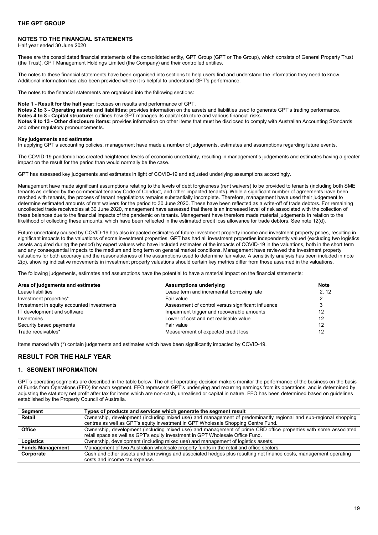# <span id="page-18-0"></span>**NOTES TO THE FINANCIAL STATEMENTS**

Half year ended 30 June 2020

These are the consolidated financial statements of the consolidated entity, GPT Group (GPT or The Group), which consists of General Property Trust (the Trust), GPT Management Holdings Limited (the Company) and their controlled entities.

The notes to these financial statements have been organised into sections to help users find and understand the information they need to know. Additional information has also been provided where it is helpful to understand GPT's performance.

The notes to the financial statements are organised into the following sections:

#### **Note 1 - Result for the half year:** focuses on results and performance of GPT.

**Notes 2 to 3 - Operating assets and liabilities:** provides information on the assets and liabilities used to generate GPT's trading performance.

**Notes 4 to 8 - Capital structure:** outlines how GPT manages its capital structure and various financial risks.

**Notes 9 to 13 - Other disclosure items:** provides information on other items that must be disclosed to comply with Australian Accounting Standards and other regulatory pronouncements.

#### **Key judgements and estimates**

In applying GPT's accounting policies, management have made a number of judgements, estimates and assumptions regarding future events.

The COVID-19 pandemic has created heightened levels of economic uncertainty, resulting in management's judgements and estimates having a greater impact on the result for the period than would normally be the case.

GPT has assessed key judgements and estimates in light of COVID-19 and adjusted underlying assumptions accordingly.

Management have made significant assumptions relating to the levels of debt forgiveness (rent waivers) to be provided to tenants (including both SME tenants as defined by the commercial tenancy Code of Conduct, and other impacted tenants). While a significant number of agreements have been reached with tenants, the process of tenant negotiations remains substantially incomplete. Therefore, management have used their judgement to determine estimated amounts of rent waivers for the period to 30 June 2020. These have been reflected as a write-off of trade debtors. For remaining uncollected trade receivables at 30 June 2020, management have assessed that there is an increased level of risk associated with the collection of these balances due to the financial impacts of the pandemic on tenants. Management have therefore made material judgements in relation to the likelihood of collecting these amounts, which have been reflected in the estimated credit loss allowance for trade debtors. See note 12(d).

Future uncertainty caused by COVID-19 has also impacted estimates of future investment property income and investment property prices, resulting in significant impacts to the valuations of some investment properties. GPT has had all investment properties independently valued (excluding two logistics assets acquired during the period) by expert valuers who have included estimates of the impacts of COVID-19 in the valuations, both in the short term and any consequential impacts to the medium and long term on general market conditions. Management have reviewed the investment property valuations for both accuracy and the reasonableness of the assumptions used to determine fair value. A sensitivity analysis has been included in note 2(c), showing indicative movements in investment property valuations should certain key metrics differ from those assumed in the valuations.

The following judgements, estimates and assumptions have the potential to have a material impact on the financial statements:

| Area of judgements and estimates           | <b>Assumptions underlying</b>                      | <b>Note</b> |
|--------------------------------------------|----------------------------------------------------|-------------|
| Lease liabilities                          | Lease term and incremental borrowing rate          | 2.12        |
| Investment properties*                     | Fair value                                         |             |
| Investment in equity accounted investments | Assessment of control versus significant influence | 3           |
| IT development and software                | Impairment trigger and recoverable amounts         | 12          |
| Inventories                                | Lower of cost and net realisable value             | 12          |
| Security based payments                    | Fair value                                         | 12          |
| Trade receivables*                         | Measurement of expected credit loss                | 12          |

Items marked with (\*) contain judgements and estimates which have been significantly impacted by COVID-19.

# <span id="page-18-1"></span>**RESULT FOR THE HALF YEAR**

### <span id="page-18-2"></span>**1. SEGMENT INFORMATION**

GPT's operating segments are described in the table below. The chief operating decision makers monitor the performance of the business on the basis of Funds from Operations (FFO) for each segment. FFO represents GPT's underlying and recurring earnings from its operations, and is determined by adjusting the statutory net profit after tax for items which are non-cash, unrealised or capital in nature. FFO has been determined based on guidelines established by the Property Council of Australia.

| Segment                 | Types of products and services which generate the segment result                                                  |
|-------------------------|-------------------------------------------------------------------------------------------------------------------|
| Retail                  | Ownership, development (including mixed use) and management of predominantly regional and sub-regional shopping   |
|                         | centres as well as GPT's equity investment in GPT Wholesale Shopping Centre Fund.                                 |
| Office                  | Ownership, development (including mixed use) and management of prime CBD office properties with some associated   |
|                         | retail space as well as GPT's equity investment in GPT Wholesale Office Fund.                                     |
| Logistics               | Ownership, development (including mixed use) and management of logistics assets.                                  |
| <b>Funds Management</b> | Management of two Australian wholesale property funds in the retail and office sectors.                           |
| Corporate               | Cash and other assets and borrowings and associated hedges plus resulting net finance costs, management operating |
|                         | costs and income tax expense.                                                                                     |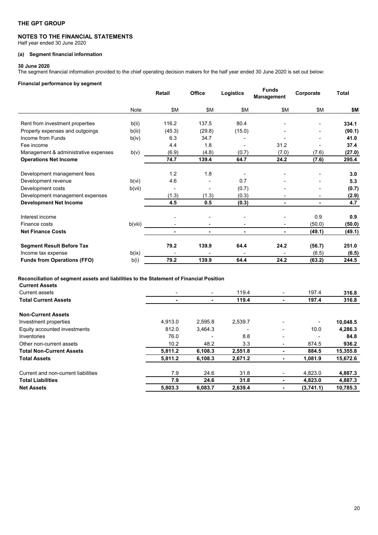# **NOTES TO THE FINANCIAL STATEMENTS**

Half year ended 30 June 2020

# **(a) Segment financial information**

#### **30 June 2020**

The segment financial information provided to the chief operating decision makers for the half year ended 30 June 2020 is set out below:

#### **Financial performance by segment**

|                                      |         | <b>Retail</b> | Office | Logistics      | <b>Funds</b><br>Management | Corporate | <b>Total</b> |
|--------------------------------------|---------|---------------|--------|----------------|----------------------------|-----------|--------------|
|                                      | Note    | \$Μ           | \$Μ    | \$Μ            | \$Μ                        | \$Μ       | \$Μ          |
| Rent from investment properties      | b(ii)   | 116.2         | 137.5  | 80.4           |                            |           | 334.1        |
| Property expenses and outgoings      | b(iii)  | (45.3)        | (29.8) | (15.0)         |                            |           | (90.1)       |
| Income from Funds                    | b(iv)   | 6.3           | 34.7   |                |                            |           | 41.0         |
| Fee income                           |         | 4.4           | 1.8    | ٠              | 31.2                       |           | 37.4         |
| Management & administrative expenses | b(v)    | (6.9)         | (4.8)  | (0.7)          | (7.0)                      | (7.6)     | (27.0)       |
| <b>Operations Net Income</b>         |         | 74.7          | 139.4  | 64.7           | 24.2                       | (7.6)     | 295.4        |
| Development management fees          |         | 1.2           | 1.8    | -              | ٠                          |           | 3.0          |
| Development revenue                  | b(vi)   | 4.6           |        | 0.7            |                            |           | 5.3          |
| Development costs                    | b(vii)  |               |        | (0.7)          |                            |           | (0.7)        |
| Development management expenses      |         | (1.3)         | (1.3)  | (0.3)          |                            |           | (2.9)        |
| <b>Development Net Income</b>        |         | 4.5           | 0.5    | (0.3)          | ۰                          | ٠.        | 4.7          |
| Interest income                      |         |               |        |                |                            | 0.9       | 0.9          |
| Finance costs                        | b(viii) |               |        | ٠              | ٠                          | (50.0)    | (50.0)       |
| <b>Net Finance Costs</b>             |         | ٠             | ٠      | $\blacksquare$ | ٠                          | (49.1)    | (49.1)       |
| <b>Segment Result Before Tax</b>     |         | 79.2          | 139.9  | 64.4           | 24.2                       | (56.7)    | 251.0        |
| Income tax expense                   | b(ix)   |               |        | ٠              |                            | (6.5)     | (6.5)        |
| <b>Funds from Operations (FFO)</b>   | b(i)    | 79.2          | 139.9  | 64.4           | 24.2                       | (63.2)    | 244.5        |

# **Reconciliation of segment assets and liabilities to the Statement of Financial Position**

| $\overline{\phantom{0}}$ | $\overline{\phantom{a}}$ | 119.4   |   | 197.4     | 316.8    |
|--------------------------|--------------------------|---------|---|-----------|----------|
|                          |                          | 119.4   |   | 197.4     | 316.8    |
|                          |                          |         |   |           |          |
| 4,913.0                  | 2.595.8                  | 2,539.7 | ۰ | ٠         | 10,048.5 |
| 812.0                    | 3.464.3                  | -       | - | 10.0      | 4,286.3  |
| 76.0                     |                          | 8.8     | - |           | 84.8     |
| 10.2                     | 48.2                     | 3.3     | ۰ | 874.5     | 936.2    |
| 5,811.2                  | 6,108.3                  | 2.551.8 | ۰ | 884.5     | 15,355.8 |
| 5.811.2                  | 6,108.3                  | 2,671.2 | ٠ | 1.081.9   | 15,672.6 |
| 7.9                      | 24.6                     | 31.8    | ٠ | 4.823.0   | 4,887.3  |
| 7.9                      | 24.6                     | 31.8    | ٠ | 4.823.0   | 4,887.3  |
| 5,803.3                  | 6,083.7                  | 2,639.4 |   | (3,741.1) | 10,785.3 |
|                          |                          |         |   |           |          |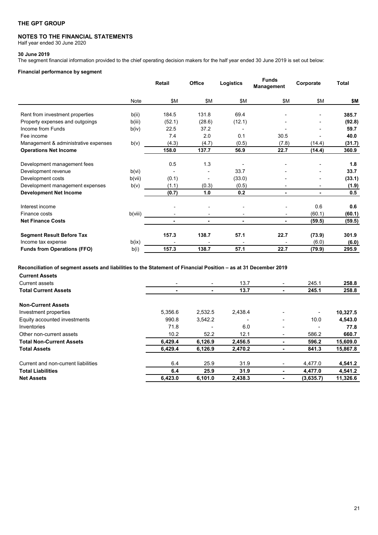# **NOTES TO THE FINANCIAL STATEMENTS**

Half year ended 30 June 2020

#### **30 June 2019**

The segment financial information provided to the chief operating decision makers for the half year ended 30 June 2019 is set out below:

# **Financial performance by segment**

|                                      |         | Retail | <b>Office</b>  | Logistics | <b>Funds</b><br>Management | Corporate | <b>Total</b> |
|--------------------------------------|---------|--------|----------------|-----------|----------------------------|-----------|--------------|
|                                      | Note    | \$Μ    | \$Μ            | \$Μ       | \$Μ                        | \$Μ       | \$Μ          |
| Rent from investment properties      | b(ii)   | 184.5  | 131.8          | 69.4      |                            |           | 385.7        |
| Property expenses and outgoings      | b(iii)  | (52.1) | (28.6)         | (12.1)    |                            |           | (92.8)       |
| Income from Funds                    | b(iv)   | 22.5   | 37.2           |           |                            |           | 59.7         |
| Fee income                           |         | 7.4    | 2.0            | 0.1       | 30.5                       |           | 40.0         |
| Management & administrative expenses | b(v)    | (4.3)  | (4.7)          | (0.5)     | (7.8)                      | (14.4)    | (31.7)       |
| <b>Operations Net Income</b>         |         | 158.0  | 137.7          | 56.9      | 22.7                       | (14.4)    | 360.9        |
| Development management fees          |         | 0.5    | 1.3            |           |                            |           | 1.8          |
| Development revenue                  | b(vi)   |        |                | 33.7      |                            |           | 33.7         |
| Development costs                    | b(vii)  | (0.1)  |                | (33.0)    |                            |           | (33.1)       |
| Development management expenses      | b(v)    | (1.1)  | (0.3)          | (0.5)     |                            |           | (1.9)        |
| <b>Development Net Income</b>        |         | (0.7)  | 1.0            | 0.2       | ۰                          | ٠         | 0.5          |
| Interest income                      |         |        |                |           |                            | 0.6       | 0.6          |
| Finance costs                        | b(viii) |        |                |           |                            | (60.1)    | (60.1)       |
| <b>Net Finance Costs</b>             |         | ٠      | $\blacksquare$ | $\sim$    | ۰                          | (59.5)    | (59.5)       |
| <b>Segment Result Before Tax</b>     |         | 157.3  | 138.7          | 57.1      | 22.7                       | (73.9)    | 301.9        |
| Income tax expense                   | b(ix)   |        |                |           |                            | (6.0)     | (6.0)        |
| <b>Funds from Operations (FFO)</b>   | b(i)    | 157.3  | 138.7          | 57.1      | 22.7                       | (79.9)    | 295.9        |

# **Reconciliation of segment assets and liabilities to the Statement of Financial Position – as at 31 December 2019**

| <b>Current Assets</b>               |         |                          |         |                          |           |          |
|-------------------------------------|---------|--------------------------|---------|--------------------------|-----------|----------|
| Current assets                      | ۰       | ۰                        | 13.7    | ۰.                       | 245.1     | 258.8    |
| <b>Total Current Assets</b>         |         |                          | 13.7    |                          | 245.1     | 258.8    |
| <b>Non-Current Assets</b>           |         |                          |         |                          |           |          |
| Investment properties               | 5,356.6 | 2.532.5                  | 2,438.4 | $\overline{\phantom{0}}$ | ۰         | 10,327.5 |
| Equity accounted investments        | 990.8   | 3,542.2                  |         | ۰.                       | 10.0      | 4,543.0  |
| Inventories                         | 71.8    | $\overline{\phantom{a}}$ | 6.0     | ۰.                       |           | 77.8     |
| Other non-current assets            | 10.2    | 52.2                     | 12.1    | ٠                        | 586.2     | 660.7    |
| <b>Total Non-Current Assets</b>     | 6,429.4 | 6,126.9                  | 2,456.5 | ٠                        | 596.2     | 15,609.0 |
| <b>Total Assets</b>                 | 6,429.4 | 6,126.9                  | 2,470.2 |                          | 841.3     | 15,867.8 |
| Current and non-current liabilities | 6.4     | 25.9                     | 31.9    | ٠                        | 4,477.0   | 4,541.2  |
| <b>Total Liabilities</b>            | 6.4     | 25.9                     | 31.9    |                          | 4,477.0   | 4,541.2  |
| <b>Net Assets</b>                   | 6.423.0 | 6,101.0                  | 2,438.3 |                          | (3,635.7) | 11,326.6 |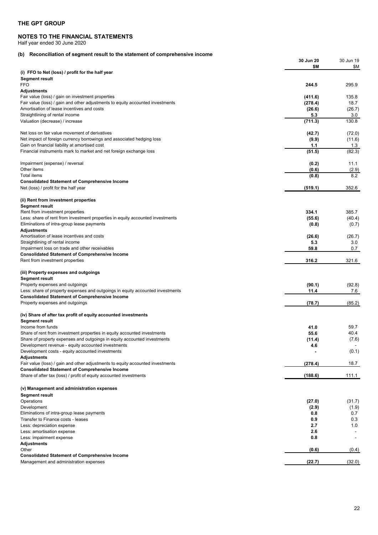### **NOTES TO THE FINANCIAL STATEMENTS**

Half year ended 30 June 2020

# **(b) Reconciliation of segment result to the statement of comprehensive income**

| <u>Reconciliation of segment result to the statement or comprehensive income</u>                                                        | 30 Jun 20<br>\$M  | 30 Jun 19<br>\$Μ |
|-----------------------------------------------------------------------------------------------------------------------------------------|-------------------|------------------|
| (i) FFO to Net (loss) / profit for the half year                                                                                        |                   |                  |
| <b>Segment result</b><br>FFO                                                                                                            | 244.5             | 295.9            |
| <b>Adjustments</b>                                                                                                                      |                   |                  |
| Fair value (loss) / gain on investment properties                                                                                       | (411.6)           | 135.8            |
| Fair value (loss) / gain and other adjustments to equity accounted investments<br>Amortisation of lease incentives and costs            | (278.4)<br>(26.6) | 18.7<br>(26.7)   |
| Straightlining of rental income                                                                                                         | 5.3               | 3.0              |
| Valuation (decrease) / increase                                                                                                         | (711.3)           | 130.8            |
| Net loss on fair value movement of derivatives                                                                                          | (42.7)            | (72.0)           |
| Net impact of foreign currency borrowings and associated hedging loss                                                                   | (9.9)             | (11.6)           |
| Gain on financial liability at amortised cost<br>Financial instruments mark to market and net foreign exchange loss                     | 1.1<br>(51.5)     | 1.3<br>(82.3)    |
|                                                                                                                                         |                   |                  |
| Impairment (expense) / reversal<br>Other items                                                                                          | (0.2)             | 11.1             |
| Total items                                                                                                                             | (0.6)<br>(0.8)    | (2.9)<br>8.2     |
| <b>Consolidated Statement of Comprehensive Income</b>                                                                                   |                   |                  |
| Net (loss) / profit for the half year                                                                                                   | (519.1)           | 352.6            |
| (ii) Rent from investment properties                                                                                                    |                   |                  |
| <b>Segment result</b>                                                                                                                   |                   | 385.7            |
| Rent from investment properties<br>Less: share of rent from investment properties in equity accounted investments                       | 334.1<br>(55.6)   | (40.4)           |
| Eliminations of intra-group lease payments                                                                                              | (0.8)             | (0.7)            |
| <b>Adjustments</b><br>Amortisation of lease incentives and costs                                                                        |                   |                  |
| Straightlining of rental income                                                                                                         | (26.6)<br>5.3     | (26.7)<br>3.0    |
| Impairment loss on trade and other receivables                                                                                          | 59.8              | 0.7              |
| <b>Consolidated Statement of Comprehensive Income</b><br>Rent from investment properties                                                | 316.2             | 321.6            |
|                                                                                                                                         |                   |                  |
| (iii) Property expenses and outgoings<br><b>Segment result</b>                                                                          |                   |                  |
| Property expenses and outgoings                                                                                                         | (90.1)            | (92.8)           |
| Less: share of property expenses and outgoings in equity accounted investments                                                          | 11.4              | 7.6              |
| <b>Consolidated Statement of Comprehensive Income</b><br>Property expenses and outgoings                                                | (78.7)            | (85.2)           |
|                                                                                                                                         |                   |                  |
| (iv) Share of after tax profit of equity accounted investments<br><b>Segment result</b>                                                 |                   |                  |
| Income from funds                                                                                                                       | 41.0              | 59.7             |
| Share of rent from investment properties in equity accounted investments                                                                | 55.6              | 40.4             |
| Share of property expenses and outgoings in equity accounted investments<br>Development revenue - equity accounted investments          | (11.4)<br>4.6     | (7.6)            |
| Development costs - equity accounted investments                                                                                        |                   | (0.1)            |
| Adjustments                                                                                                                             |                   |                  |
| Fair value (loss) / gain and other adjustments to equity accounted investments<br><b>Consolidated Statement of Comprehensive Income</b> | (278.4)           | 18.7             |
| Share of after tax (loss) / profit of equity accounted investments                                                                      | (188.6)           | 111.1            |
| (v) Management and administration expenses                                                                                              |                   |                  |
| Segment result                                                                                                                          |                   |                  |
| Operations                                                                                                                              | (27.0)            | (31.7)           |
| Development<br>Eliminations of intra-group lease payments                                                                               | (2.9)<br>0.8      | (1.9)<br>0.7     |
| Transfer to Finance costs - leases                                                                                                      | 0.9               | 0.3              |
| Less: depreciation expense                                                                                                              | 2.7               | 1.0              |
| Less: amortisation expense<br>Less: impairment expense                                                                                  | 2.6<br>0.8        |                  |
| Adjustments                                                                                                                             |                   |                  |
| Other                                                                                                                                   | (0.6)             | (0.4)            |
| <b>Consolidated Statement of Comprehensive Income</b><br>Management and administration expenses                                         | (22.7)            | (32.0)           |
|                                                                                                                                         |                   |                  |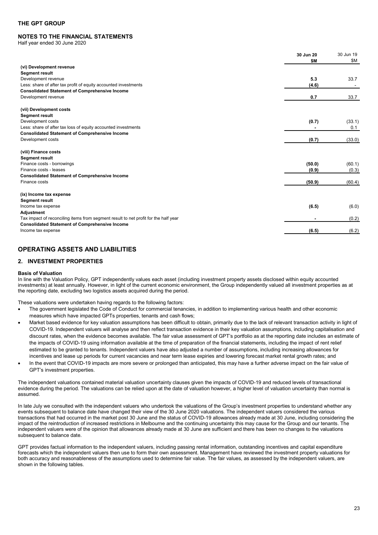# **NOTES TO THE FINANCIAL STATEMENTS**

Half year ended 30 June 2020

|                                                                                                                          | 30 Jun 20<br>\$M | 30 Jun 19<br>\$Μ |
|--------------------------------------------------------------------------------------------------------------------------|------------------|------------------|
| (vi) Development revenue                                                                                                 |                  |                  |
| <b>Segment result</b>                                                                                                    |                  |                  |
| Development revenue                                                                                                      | 5.3              | 33.7             |
| Less: share of after tax profit of equity accounted investments<br><b>Consolidated Statement of Comprehensive Income</b> | (4.6)            |                  |
| Development revenue                                                                                                      | 0.7              | 33.7             |
|                                                                                                                          |                  |                  |
| (vii) Development costs                                                                                                  |                  |                  |
| <b>Segment result</b>                                                                                                    |                  |                  |
| Development costs                                                                                                        | (0.7)            | (33.1)           |
| Less: share of after tax loss of equity accounted investments                                                            |                  | 0.1              |
| <b>Consolidated Statement of Comprehensive Income</b>                                                                    |                  |                  |
| Development costs                                                                                                        | (0.7)            | (33.0)           |
|                                                                                                                          |                  |                  |
| (viii) Finance costs                                                                                                     |                  |                  |
| <b>Segment result</b><br>Finance costs - borrowings                                                                      | (50.0)           | (60.1)           |
| Finance costs - leases                                                                                                   | (0.9)            | (0.3)            |
| <b>Consolidated Statement of Comprehensive Income</b>                                                                    |                  |                  |
| Finance costs                                                                                                            | (50.9)           | (60.4)           |
|                                                                                                                          |                  |                  |
| (ix) Income tax expense                                                                                                  |                  |                  |
| <b>Segment result</b>                                                                                                    |                  |                  |
| Income tax expense                                                                                                       | (6.5)            | (6.0)            |
| <b>Adjustment</b>                                                                                                        |                  |                  |
| Tax impact of reconciling items from segment result to net profit for the half year                                      |                  | (0.2)            |
| <b>Consolidated Statement of Comprehensive Income</b>                                                                    |                  |                  |
| Income tax expense                                                                                                       | (6.5)            | (6.2)            |

# <span id="page-22-0"></span>**OPERATING ASSETS AND LIABILITIES**

# <span id="page-22-1"></span>**2. INVESTMENT PROPERTIES**

#### **Basis of Valuation**

In line with the Valuation Policy, GPT independently values each asset (including investment property assets disclosed within equity accounted investments) at least annually. However, in light of the current economic environment, the Group independently valued all investment properties as at the reporting date, excluding two logistics assets acquired during the period.

These valuations were undertaken having regards to the following factors:

- The government legislated the Code of Conduct for commercial tenancies, in addition to implementing various health and other economic measures which have impacted GPTs properties, tenants and cash flows;
- Market based evidence for key valuation assumptions has been difficult to obtain, primarily due to the lack of relevant transaction activity in light of COVID-19. Independent valuers will analyse and then reflect transaction evidence in their key valuation assumptions, including capitalisation and discount rates, when the evidence becomes available. The fair value assessment of GPT's portfolio as at the reporting date includes an estimate of the impacts of COVID-19 using information available at the time of preparation of the financial statements, including the impact of rent relief estimated to be granted to tenants. Independent valuers have also adjusted a number of assumptions, including increasing allowances for incentives and lease up periods for current vacancies and near term lease expiries and lowering forecast market rental growth rates; and
- In the event that COVID-19 impacts are more severe or prolonged than anticipated, this may have a further adverse impact on the fair value of GPT's investment properties.

The independent valuations contained material valuation uncertainty clauses given the impacts of COVID-19 and reduced levels of transactional evidence during the period. The valuations can be relied upon at the date of valuation however, a higher level of valuation uncertainty than normal is assumed.

In late July we consulted with the independent valuers who undertook the valuations of the Group's investment properties to understand whether any events subsequent to balance date have changed their view of the 30 June 2020 valuations. The independent valuers considered the various transactions that had occurred in the market post 30 June and the status of COVID-19 allowances already made at 30 June, including considering the impact of the reintroduction of increased restrictions in Melbourne and the continuing uncertainty this may cause for the Group and our tenants. The independent valuers were of the opinion that allowances already made at 30 June are sufficient and there has been no changes to the valuations subsequent to balance date.

GPT provides factual information to the independent valuers, including passing rental information, outstanding incentives and capital expenditure forecasts which the independent valuers then use to form their own assessment. Management have reviewed the investment property valuations for both accuracy and reasonableness of the assumptions used to determine fair value. The fair values, as assessed by the independent valuers, are shown in the following tables.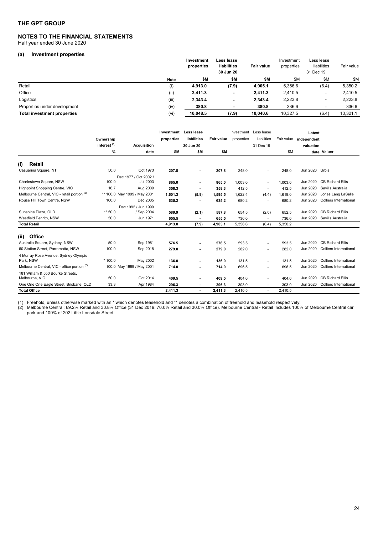#### **NOTES TO THE FINANCIAL STATEMENTS**  Half year ended 30 June 2020

# **(a) Investment properties**

|                                    |             | Investment<br>properties | Less lease<br>liabilities<br>30 Jun 20 | <b>Fair value</b> | Investment<br>properties | Less lease<br>liabilities<br>31 Dec 19 | Fair value |
|------------------------------------|-------------|--------------------------|----------------------------------------|-------------------|--------------------------|----------------------------------------|------------|
|                                    | <b>Note</b> | \$Μ                      | \$M                                    | \$Μ               | \$Μ                      | \$M                                    | \$Μ        |
| Retail                             | (i)         | 4,913.0                  | (7.9)                                  | 4,905.1           | 5,356.6                  | (6.4)                                  | 5,350.2    |
| Office                             | (i)         | 2,411.3                  |                                        | 2,411.3           | 2,410.5                  |                                        | 2,410.5    |
| Logistics                          | (iii)       | 2,343.4                  | -                                      | 2,343.4           | 2,223.8                  | -                                      | 2,223.8    |
| Properties under development       | (iv)        | 380.8                    |                                        | 380.8             | 336.6                    |                                        | 336.6      |
| <b>Total investment properties</b> | (vi)        | 10,048.5                 | (7.9)                                  | 10.040.6          | 10,327.5                 | (6.4)                                  | 10,321.1   |

|                                                        |                         |                              | Investment | Less lease  |                   | Investment | Less lease     |            | Latest      |                               |
|--------------------------------------------------------|-------------------------|------------------------------|------------|-------------|-------------------|------------|----------------|------------|-------------|-------------------------------|
|                                                        | Ownership               |                              | properties | liabilities | <b>Fair value</b> | properties | liabilities    | Fair value | independent |                               |
|                                                        | interest <sup>(1)</sup> | <b>Acquisition</b>           |            | 30 Jun 20   |                   |            | 31 Dec 19      |            | valuation   |                               |
|                                                        | %                       | date                         | \$M        | \$M         | \$M               |            |                | \$M        |             | date Valuer                   |
| (i)<br>Retail                                          |                         |                              |            |             |                   |            |                |            |             |                               |
| Casuarina Square, NT                                   | 50.0                    | Oct 1973                     | 207.8      |             | 207.8             | 248.0      |                | 248.0      | Jun 2020    | Urbis                         |
|                                                        |                         | Dec 1977 / Oct 2002 /        |            |             |                   |            |                |            |             |                               |
| Charlestown Square, NSW                                | 100.0                   | <b>Jul 2003</b>              | 865.0      |             | 865.0             | 1,003.0    | ٠              | 1.003.0    | Jun 2020    | <b>CB Richard Ellis</b>       |
| Highpoint Shopping Centre, VIC                         | 16.7                    | Aug 2009                     | 358.3      |             | 358.3             | 412.5      |                | 412.5      | Jun 2020    | Savills Australia             |
| Melbourne Central, VIC - retail portion <sup>(2)</sup> |                         | ** 100.0 May 1999 / May 2001 | 1.601.3    | (5.8)       | 1,595.5           | 1,622.4    | (4.4)          | 1.618.0    | Jun 2020    | Jones Lang LaSalle            |
| Rouse Hill Town Centre, NSW                            | 100.0                   | Dec 2005                     | 635.2      |             | 635.2             | 680.2      | $\blacksquare$ | 680.2      | Jun 2020    | <b>Colliers International</b> |
|                                                        |                         | Dec 1992 / Jun 1999          |            |             |                   |            |                |            |             |                               |
| Sunshine Plaza, QLD                                    | $** 50.0$               | / Sep 2004                   | 589.9      | (2.1)       | 587.8             | 654.5      | (2.0)          | 652.5      | Jun 2020    | <b>CB Richard Ellis</b>       |
| Westfield Penrith, NSW                                 | 50.0                    | Jun 1971                     | 655.5      |             | 655.5             | 736.0      |                | 736.0      | Jun 2020    | Savills Australia             |
| <b>Total Retail</b>                                    |                         |                              | 4,913.0    | (7.9)       | 4,905.1           | 5,356.6    | (6.4)          | 5,350.2    |             |                               |
| Office<br>(ii)                                         |                         |                              |            |             |                   |            |                |            |             |                               |
| Australia Square, Sydney, NSW                          | 50.0                    | Sep 1981                     | 576.5      |             | 576.5             | 593.5      |                | 593.5      | Jun 2020    | <b>CB Richard Ellis</b>       |
| 60 Station Street, Parramatta, NSW                     | 100.0                   | Sep 2018                     | 279.0      |             | 279.0             | 282.0      |                | 282.0      | Jun 2020    | <b>Colliers International</b> |
| 4 Murray Rose Avenue, Sydney Olympic<br>Park, NSW      | $*100.0$                | May 2002                     | 136.0      |             | 136.0             | 131.5      |                | 131.5      | Jun 2020    | Colliers International        |
| Melbourne Central, VIC - office portion (2)            |                         | 100.0 May 1999 / May 2001    | 714.0      |             | 714.0             | 696.5      | $\sim$         | 696.5      | Jun 2020    | <b>Colliers International</b> |
| 181 William & 550 Bourke Streets,<br>Melbourne, VIC    | 50.0                    | Oct 2014                     | 409.5      |             | 409.5             | 404.0      | ٠              | 404.0      | Jun 2020    | <b>CB Richard Ellis</b>       |
| One One One Eagle Street, Brisbane, QLD                | 33.3                    | Apr 1984                     | 296.3      |             | 296.3             | 303.0      |                | 303.0      | Jun 2020    | <b>Colliers International</b> |
| <b>Total Office</b>                                    |                         |                              | 2,411.3    | ۰           | 2,411.3           | 2,410.5    |                | 2,410.5    |             |                               |

(1) Freehold, unless otherwise marked with an \* which denotes leasehold and \*\* denotes a combination of freehold and leasehold respectively.

(2) Melbourne Central: 69.2% Retail and 30.8% Office (31 Dec 2019: 70.0% Retail and 30.0% Office). Melbourne Central - Retail Includes 100% of Melbourne Central car park and 100% of 202 Little Lonsdale Street.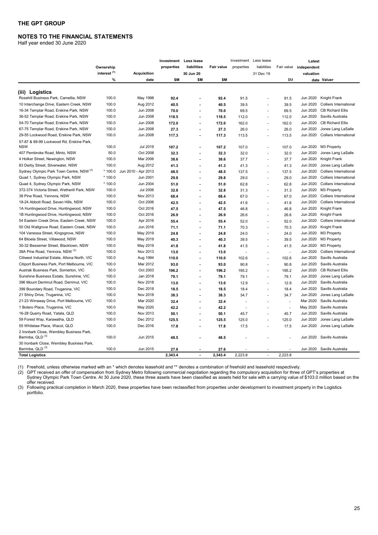# **NOTES TO THE FINANCIAL STATEMENTS**

Half year ended 30 June 2020

|                                                     |                         |                     |            | Investment Less lease |            |                | Investment Less lease |         | Latest                 |                               |
|-----------------------------------------------------|-------------------------|---------------------|------------|-----------------------|------------|----------------|-----------------------|---------|------------------------|-------------------------------|
|                                                     | Ownership               |                     | properties | liabilities           | Fair value | properties     | liabilities           |         | Fair value independent |                               |
|                                                     | interest <sup>(1)</sup> | <b>Acquisition</b>  |            | 30 Jun 20             |            |                | 31 Dec 19             |         | valuation              |                               |
|                                                     | %                       | date                | \$M        | \$M                   | \$M        |                |                       | \$M     |                        | date Valuer                   |
|                                                     |                         |                     |            |                       |            |                |                       |         |                        |                               |
| (iii) Logistics                                     |                         |                     |            |                       |            |                |                       |         |                        |                               |
| Rosehill Business Park, Camellia, NSW               | 100.0                   | May 1998            | 92.4       | ä,                    | 92.4       | 91.5           |                       | 91.5    | Jun 2020               | Knight Frank                  |
| 10 Interchange Drive, Eastern Creek, NSW            | 100.0                   | Aug 2012            | 40.5       | ä,                    | 40.5       | 39.5           | ÷.                    | 39.5    | Jun 2020               | <b>Colliers International</b> |
| 16-34 Templar Road, Erskine Park, NSW               | 100.0                   | Jun 2008            | 70.0       | ä,                    | 70.0       | 69.5           | ÷,                    | 69.5    | Jun 2020               | <b>CB Richard Ellis</b>       |
| 36-52 Templar Road, Erskine Park, NSW               | 100.0                   | Jun 2008            | 118.5      |                       | 118.5      | 112.0          | ÷,                    | 112.0   | Jun 2020               | Savills Australia             |
| 54-70 Templar Road, Erskine Park, NSW               | 100.0                   | Jun 2008            | 172.0      | $\blacksquare$        | 172.0      | 162.0          | ÷,                    | 162.0   | Jun 2020               | <b>CB Richard Ellis</b>       |
| 67-75 Templar Road, Erskine Park, NSW               | 100.0                   | Jun 2008            | 27.3       |                       | 27.3       | 26.0           | ٠                     | 26.0    | Jun 2020               | Jones Lang LaSalle            |
| 29-55 Lockwood Road, Erskine Park, NSW              | 100.0                   | Jun 2008            | 117.3      | ä,                    | 117.3      | 113.5          | ٠                     | 113.5   | Jun 2020               | <b>Colliers International</b> |
| 57-87 & 89-99 Lockwood Rd, Erskine Park,            |                         |                     |            |                       |            |                |                       |         |                        |                               |
| <b>NSW</b>                                          | 100.0                   | Jul 2019            | 107.2      | ä,                    | 107.2      | 107.0          |                       | 107.0   | Jun 2020               | M3 Property                   |
| 407 Pembroke Road, Minto, NSW                       | 50.0                    | Oct 2008            | 32.3       | L.                    | 32.3       | 32.0           | ٠                     | 32.0    | Jun 2020               | Jones Lang LaSalle            |
| 4 Holker Street, Newington, NSW                     | 100.0                   | Mar 2006            | 38.6       |                       | 38.6       | 37.7           | ÷,                    | 37.7    | Jun 2020               | Knight Frank                  |
| 83 Derby Street, Silverwater, NSW                   | 100.0                   | Aug 2012            | 41.3       |                       | 41.3       | 41.3           | ٠                     | 41.3    | Jun 2020               | Jones Lang LaSalle            |
| Sydney Olympic Park Town Centre, NSW <sup>(2)</sup> | $*100.0$                | Jun 2010 - Apr 2013 | 48.5       | ä,                    | 48.5       | 137.5          | $\blacksquare$        | 137.5   | Jun 2020               | <b>Colliers International</b> |
| Quad 1, Sydney Olympic Park, NSW                    | * 100.0                 | Jun 2001            | 29.8       |                       | 29.8       | 29.0           | ÷.                    | 29.0    | Jun 2020               | <b>Colliers International</b> |
| Quad 4, Sydney Olympic Park, NSW                    | $*100.0$                | Jun 2004            | 51.0       | ä.                    | 51.0       | 62.8           | ٠                     | 62.8    | Jun 2020               | <b>Colliers International</b> |
| 372-374 Victoria Street, Wetherill Park, NSW        | 100.0                   | <b>Jul 2006</b>     | 32.8       |                       | 32.8       | 31.3           | ÷                     | 31.3    | Jun 2020               | M3 Property                   |
| 38 Pine Road, Yennora, NSW                          | 100.0                   | Nov 2013            | 68.4       | ä,                    | 68.4       | 67.0           | ÷,                    | 67.0    | Jun 2020               | <b>Colliers International</b> |
| 18-24 Abbott Road, Seven Hills, NSW                 | 100.0                   | Oct 2006            | 42.5       |                       | 42.5       | 41.6           | $\overline{a}$        | 41.6    | Jun 2020               | <b>Colliers International</b> |
| 1A Huntingwood Drive, Huntingwood, NSW              | 100.0                   | Oct 2016            | 47.5       | L                     | 47.5       | 46.8           | ÷,                    | 46.8    | Jun 2020               | Knight Frank                  |
| 1B Huntingwood Drive, Huntingwood, NSW              | 100.0                   | Oct 2016            | 26.9       | L.                    | 26.9       | 26.6           | ÷                     | 26.6    | Jun 2020               | Knight Frank                  |
| 54 Eastern Creek Drive, Eastern Creek, NSW          | 100.0                   | Apr 2016            | 55.4       | ä,                    | 55.4       | 52.0           | ÷,                    | 52.0    | Jun 2020               | <b>Colliers International</b> |
| 50 Old Wallgrove Road, Eastern Creek, NSW           | 100.0                   | Jun 2016            | 71.1       |                       | 71.1       | 70.3           |                       | 70.3    | Jun 2020               | Knight Frank                  |
| 104 Vanessa Street, Kingsgrove, NSW                 | 100.0                   | May 2019            | 24.8       | $\overline{a}$        | 24.8       | 24.0           | ä,                    | 24.0    | Jun 2020               | M3 Property                   |
| 64 Biloela Street, Villawood, NSW                   | 100.0                   | May 2019            | 40.3       |                       | 40.3       | 39.5           |                       | 39.5    | Jun 2020               | M3 Property                   |
| 30-32 Bessemer Street, Blacktown, NSW               | 100.0                   | May 2019            | 41.8       | L.                    | 41.8       | 41.5           | ä,                    | 41.5    | Jun 2020               | M3 Property                   |
| 38A Pine Road, Yennora, NSW <sup>(3)</sup>          | 100.0                   | Nov 2013            | 13.0       | ä,                    | 13.0       | $\overline{a}$ |                       | ×.      | Jun 2020               | <b>Colliers International</b> |
| Citiwest Industrial Estate, Altona North, VIC       | 100.0                   | Aug 1994            | 110.0      | ä,                    | 110.0      | 102.6          | ÷.                    | 102.6   | Jun 2020               | Savills Australia             |
| Citiport Business Park, Port Melbourne, VIC         | 100.0                   | Mar 2012            | 93.0       | ä.                    | 93.0       | 90.8           | ÷.                    | 90.8    | Jun 2020               | Savills Australia             |
| Austrak Business Park, Somerton, VIC                | 50.0                    | Oct 2003            | 196.2      | L.                    | 196.2      | 195.2          | ä,                    | 195.2   | Jun 2020               | <b>CB Richard Ellis</b>       |
| Sunshine Business Estate, Sunshine, VIC             | 100.0                   | Jan 2018            | 79.1       |                       | 79.1       | 79.1           | ÷,                    | 79.1    | Jun 2020               | Jones Lang LaSalle            |
| 396 Mount Derrimut Road, Derrimut, VIC              | 100.0                   | Nov 2018            | 13.0       |                       | 13.0       | 12.9           |                       | 12.9    | Jun 2020               | Savills Australia             |
| 399 Boundary Road, Truganina, VIC                   | 100.0                   | Dec 2018            | 18.5       | ä,                    | 18.5       | 18.4           | ٠                     | 18.4    | Jun 2020               | Savills Australia             |
| 21 Shiny Drive, Truganina, VIC                      | 100.0                   | Nov 2018            | 38.3       |                       | 38.3       | 34.7           |                       | 34.7    | Jun 2020               | Jones Lang LaSalle            |
| 21-23 Wirraway Drive, Port Melbourne, VIC           | 100.0                   | Mar 2020            | 32.4       | ä,                    | 32.4       | ÷.             | $\overline{a}$        | ÷,      | Mar 2020               | Savills Australia             |
| 1 Botero Place, Truganina, VIC                      | 100.0                   | May 2020            | 42.2       |                       | 42.2       |                | ×.                    | ÷,      | May 2020               | Savills Australia             |
| 16-28 Quarry Road, Yatala, QLD                      | 100.0                   | Nov 2013            | 50.1       | ä,                    | 50.1       | 45.7           | $\overline{a}$        | 45.7    | Jun 2020               | Savills Australia             |
| 59 Forest Way, Karawatha, QLD                       | 100.0                   | Dec 2012            | 125.5      | ä,                    | 125.5      | 125.0          | $\overline{a}$        | 125.0   | Jun 2020               | Jones Lang LaSalle            |
| 55 Whitelaw Place, Wacol, QLD                       | 100.0                   | Dec 2016            | 17.8       | $\blacksquare$        | 17.8       | 17.5           | ÷,                    | 17.5    | Jun 2020               | Jones Lang LaSalle            |
| 2 Ironbark Close, Wembley Business Park,            |                         |                     |            |                       |            |                |                       |         |                        |                               |
| Berrinba, QLD <sup>(3)</sup>                        | 100.0                   | Jun 2015            | 48.5       |                       | 48.5       |                |                       |         | Jun 2020               | Savills Australia             |
| 30 Ironbark Close, Wembley Business Park,           |                         |                     |            |                       |            |                |                       |         |                        |                               |
| Berrinba, QLD <sup>(3)</sup>                        | 100.0                   | Jun 2015            | 27.6       |                       | 27.6       |                |                       |         | Jun 2020               | Savills Australia             |
| <b>Total Logistics</b>                              |                         |                     | 2,343.4    | $\sim$                | 2,343.4    | 2,223.8        | L.                    | 2,223.8 |                        |                               |

(1) Freehold, unless otherwise marked with an \* which denotes leasehold and \*\* denotes a combination of freehold and leasehold respectively.

(2) GPT received an offer of compensation from Sydney Metro following commercial negotiation regarding the compulsory acquisition for three of GPT's properties at Sydney Olympic Park Town Centre. At 30 June 2020, these three assets have been classified as assets held for sale with a carrying value of \$103.0 million based on the offer received.

(3) Following practical completion in March 2020, these properties have been reclassified from properties under development to investment property in the Logistics portfolio.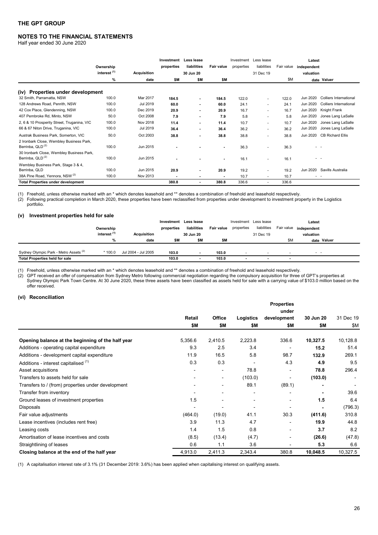# **NOTES TO THE FINANCIAL STATEMENTS**

Half year ended 30 June 2020

|                                                                           | Ownership               |             | Investment<br>properties | Less lease<br>liabilities | <b>Fair value</b> | properties | Investment Less lease<br>liabilities | Fair value | Latest<br>independent |                               |
|---------------------------------------------------------------------------|-------------------------|-------------|--------------------------|---------------------------|-------------------|------------|--------------------------------------|------------|-----------------------|-------------------------------|
|                                                                           | interest <sup>(1)</sup> | Acquisition |                          | 30 Jun 20                 |                   |            | 31 Dec 19                            |            | valuation             |                               |
|                                                                           | %                       | date        | \$M                      | \$Μ                       | \$Μ               |            |                                      | \$M        |                       | date Valuer                   |
| (iv) Properties under development                                         |                         |             |                          |                           |                   |            |                                      |            |                       |                               |
| 32 Smith, Parramatta, NSW                                                 | 100.0                   | Mar 2017    | 184.5                    |                           | 184.5             | 122.0      | $\sim$                               | 122.0      | Jun 2020              | Colliers International        |
| 128 Andrews Road, Penrith, NSW                                            | 100.0                   | Jul 2019    | 60.0                     |                           | 60.0              | 24.1       | ٠                                    | 24.1       | Jun 2020              | <b>Colliers International</b> |
| 42 Cox Place, Glendenning, NSW                                            | 100.0                   | Dec 2019    | 20.9                     |                           | 20.9              | 16.7       | ٠                                    | 16.7       | Jun 2020              | Knight Frank                  |
| 407 Pembroke Rd, Minto, NSW                                               | 50.0                    | Oct 2008    | 7.9                      |                           | 7.9               | 5.8        | ٠                                    | 5.8        | Jun 2020              | Jones Lang LaSalle            |
| 2, 6 & 10 Prosperity Street, Truganina, VIC                               | 100.0                   | Nov 2018    | 11.4                     | $\sim$                    | 11.4              | 10.7       | ٠                                    | 10.7       | Jun 2020              | Jones Lang LaSalle            |
| 66 & 67 Niton Drive, Truganina, VIC                                       | 100.0                   | Jul 2019    | 36.4                     |                           | 36.4              | 36.2       | ٠                                    | 36.2       | Jun 2020              | Jones Lang LaSalle            |
| Austrak Business Park, Somerton, VIC                                      | 50.0                    | Oct 2003    | 38.8                     |                           | 38.8              | 38.8       | ٠                                    | 38.8       | Jun 2020              | <b>CB Richard Ellis</b>       |
| 2 Ironbark Close, Wembley Business Park,<br>Berrinba, QLD <sup>(2)</sup>  | 100.0                   | Jun 2015    |                          |                           |                   | 36.3       | ۰                                    | 36.3       |                       |                               |
| 30 Ironbark Close, Wembley Business Park,<br>Berrinba, QLD <sup>(2)</sup> | 100.0                   | Jun 2015    |                          |                           |                   | 16.1       | ٠                                    | 16.1       | - -                   |                               |
| Wembley Business Park, Stage 3 & 4,<br>Berrinba, QLD                      | 100.0                   | Jun 2015    | 20.9                     |                           | 20.9              | 19.2       |                                      | 19.2       | Jun 2020              | Savills Australia             |
| 38A Pine Road, Yennora, NSW <sup>(2)</sup>                                | 100.0                   | Nov 2013    |                          |                           |                   | 10.7       | ۰                                    | 10.7       | - -                   |                               |
| <b>Total Properties under development</b>                                 |                         |             | 380.8                    | $\sim$                    | 380.8             | 336.6      | ۰.                                   | 336.6      |                       |                               |

(1) Freehold, unless otherwise marked with an \* which denotes leasehold and \*\* denotes a combination of freehold and leasehold respectively.<br>(2) Following practical completion in March 2020, these properties have been recl Following practical completion in March 2020, these properties have been reclassified from properties under development to investment property in the Logistics portfolio.

#### **(v) Investment properties held for sale**

|                                                   | Ownership<br>interest <sup>(1)</sup> | Acquisition         | Investment<br>properties | Less lease<br>liabilities<br>30 Jun 20 | Fair value | Investment Less lease<br>properties | liabilities<br>31 Dec 19 |     | Latest<br>Fair value independent<br>valuation |             |
|---------------------------------------------------|--------------------------------------|---------------------|--------------------------|----------------------------------------|------------|-------------------------------------|--------------------------|-----|-----------------------------------------------|-------------|
|                                                   | %                                    | date                | \$M                      | \$M                                    | \$M        |                                     |                          | \$M |                                               | date Valuer |
| Sydney Olympic Park - Metro Assets <sup>(2)</sup> | $*100.0$                             | Jul 2004 - Jul 2005 | 103.0                    |                                        | 103.0      |                                     |                          |     | $ -$                                          |             |
| <b>Total Properties held for sale</b>             |                                      |                     | 103.0                    |                                        | 103.0      |                                     |                          |     |                                               |             |

(1) Freehold, unless otherwise marked with an \* which denotes leasehold and \*\* denotes a combination of freehold and leasehold respectively.

(2) GPT received an offer of compensation from Sydney Metro following commercial negotiation regarding the compulsory acquisition for three of GPT's properties at Sydney Olympic Park Town Centre. At 30 June 2020, these three assets have been classified as assets held for sale with a carrying value of \$103.0 million based on the offer received.

#### **(vi) Reconciliation**

|                                                    |                          |                          |           | <b>Properties</b> |           |           |
|----------------------------------------------------|--------------------------|--------------------------|-----------|-------------------|-----------|-----------|
|                                                    |                          |                          |           | under             |           |           |
|                                                    | Retail                   | <b>Office</b>            | Logistics | development       | 30 Jun 20 | 31 Dec 19 |
|                                                    | \$Μ                      | \$Μ                      | \$Μ       | \$Μ               | \$Μ       | \$Μ       |
| Opening balance at the beginning of the half year  | 5,356.6                  | 2,410.5                  | 2,223.8   | 336.6             | 10,327.5  | 10,128.8  |
| Additions - operating capital expenditure          | 9.3                      | 2.5                      | 3.4       |                   | 15.2      | 51.4      |
| Additions - development capital expenditure        | 11.9                     | 16.5                     | 5.8       | 98.7              | 132.9     | 269.1     |
| Additions - interest capitalised (1)               | 0.3                      | 0.3                      |           | 4.3               | 4.9       | 9.5       |
| Asset acquisitions                                 |                          | $\overline{\phantom{a}}$ | 78.8      |                   | 78.8      | 296.4     |
| Transfers to assets held for sale                  |                          | $\overline{\phantom{a}}$ | (103.0)   | -                 | (103.0)   |           |
| Transfers to / (from) properties under development |                          | $\overline{\phantom{a}}$ | 89.1      | (89.1)            | ٠         |           |
| Transfer from inventory                            | $\overline{\phantom{0}}$ |                          |           |                   |           | 39.6      |
| Ground leases of investment properties             | 1.5                      |                          |           |                   | 1.5       | 6.4       |
| Disposals                                          |                          |                          |           |                   |           | (796.3)   |
| Fair value adjustments                             | (464.0)                  | (19.0)                   | 41.1      | 30.3              | (411.6)   | 310.8     |
| Lease incentives (includes rent free)              | 3.9                      | 11.3                     | 4.7       | $\blacksquare$    | 19.9      | 44.8      |
| Leasing costs                                      | 1.4                      | 1.5                      | 0.8       |                   | 3.7       | 8.2       |
| Amortisation of lease incentives and costs         | (8.5)                    | (13.4)                   | (4.7)     | -                 | (26.6)    | (47.8)    |
| Straightlining of leases                           | 0.6                      | 1.1                      | 3.6       |                   | 5.3       | 6.6       |
| Closing balance at the end of the half year        | 4,913.0                  | 2,411.3                  | 2,343.4   | 380.8             | 10,048.5  | 10,327.5  |

(1) A capitalisation interest rate of 3.1% (31 December 2019: 3.6%) has been applied when capitalising interest on qualifying assets.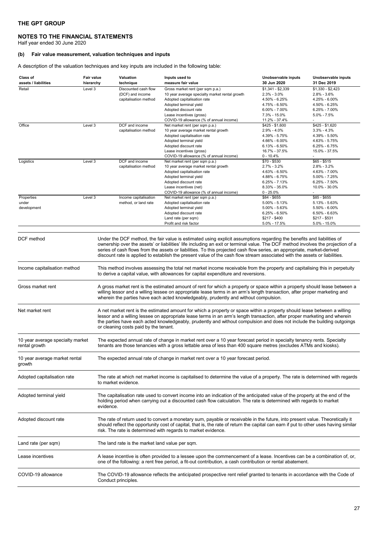#### **NOTES TO THE FINANCIAL STATEMENTS**

Half year ended 30 June 2020

# **(b) Fair value measurement, valuation techniques and inputs**

A description of the valuation techniques and key inputs are included in the following table:

| Class of<br>assets / liabilities                  | Fair value<br>hierarchy | Valuation<br>technique                          | Inputs used to<br>measure fair value                                                                                                                                                                                                                                                                                                                                             | Unobservable inputs<br>30 Jun 2020   | Unobservable inputs<br>31 Dec 2019   |
|---------------------------------------------------|-------------------------|-------------------------------------------------|----------------------------------------------------------------------------------------------------------------------------------------------------------------------------------------------------------------------------------------------------------------------------------------------------------------------------------------------------------------------------------|--------------------------------------|--------------------------------------|
| Retail                                            | Level 3                 | Discounted cash flow<br>(DCF) and income        | Gross market rent (per sqm p.a.)<br>10 year average specialty market rental growth                                                                                                                                                                                                                                                                                               | $$1,341 - $2,339$<br>$2.3\% - 3.0\%$ | $$1,330 - $2,423$<br>$2.8\% - 3.6\%$ |
|                                                   |                         | capitalisation method                           | Adopted capitalisation rate                                                                                                                                                                                                                                                                                                                                                      | 4.50% - 6.25%                        | 4.25% - 6.00%                        |
|                                                   |                         |                                                 | Adopted terminal yield                                                                                                                                                                                                                                                                                                                                                           | 4.75% - 6.50%                        | 4.50% - 6.25%                        |
|                                                   |                         |                                                 | Adopted discount rate                                                                                                                                                                                                                                                                                                                                                            | $6.00\% - 7.00\%$                    | $6.25\% - 7.00\%$                    |
|                                                   |                         |                                                 | Lease incentives (gross)                                                                                                                                                                                                                                                                                                                                                         | 7.3% - 15.0%                         | $5.0\% - 7.5\%$                      |
|                                                   |                         |                                                 | COVID-19 allowance (% of annual income)                                                                                                                                                                                                                                                                                                                                          | 11.2% - 37.4%                        |                                      |
| Office                                            | Level 3                 | DCF and income                                  | Net market rent (per sqm p.a.)                                                                                                                                                                                                                                                                                                                                                   | $$425 - $1,600$                      | \$425 - \$1,620                      |
|                                                   |                         | capitalisation method                           | 10 year average market rental growth                                                                                                                                                                                                                                                                                                                                             | $2.9\% - 4.0\%$                      | $3.3\% - 4.3\%$                      |
|                                                   |                         |                                                 | Adopted capitalisation rate                                                                                                                                                                                                                                                                                                                                                      | 4.39% - 5.75%                        | 4.39% - 5.50%                        |
|                                                   |                         |                                                 | Adopted terminal yield                                                                                                                                                                                                                                                                                                                                                           | 4.66% - 6.00%                        | 4.63% - 5.75%                        |
|                                                   |                         |                                                 | Adopted discount rate                                                                                                                                                                                                                                                                                                                                                            | $6.13\% - 6.50\%$                    | $6.25\% - 6.75\%$<br>15.0% - 37.5%   |
|                                                   |                         |                                                 | Lease incentives (gross)<br>COVID-19 allowance (% of annual income)                                                                                                                                                                                                                                                                                                              | 16.7% - 37.5%<br>$0 - 10.4%$         |                                      |
| Logistics                                         | Level 3                 | DCF and income                                  | Net market rent (per sqm p.a.)                                                                                                                                                                                                                                                                                                                                                   | \$70 - \$530                         | $$65 - $515$                         |
|                                                   |                         | capitalisation method                           | 10 year average market rental growth                                                                                                                                                                                                                                                                                                                                             | $2.7\% - 3.2\%$                      | $2.8\% - 3.2\%$                      |
|                                                   |                         |                                                 | Adopted capitalisation rate                                                                                                                                                                                                                                                                                                                                                      | 4.63% - 6.50%                        | 4.63% - 7.00%                        |
|                                                   |                         |                                                 | Adopted terminal yield                                                                                                                                                                                                                                                                                                                                                           | 4.88% - 6.75%                        | 5.00% - 7.25%                        |
|                                                   |                         |                                                 | Adopted discount rate                                                                                                                                                                                                                                                                                                                                                            | $6.25\% - 7.13\%$                    | $6.25\% - 7.50\%$                    |
|                                                   |                         |                                                 | Lease incentives (net)                                                                                                                                                                                                                                                                                                                                                           | 8.33% - 35.0%                        | 10.0% - 30.0%                        |
|                                                   |                         |                                                 | COVID-19 allowance (% of annual income)                                                                                                                                                                                                                                                                                                                                          | $0 - 25.0%$                          |                                      |
| Properties                                        | Level 3                 | Income capitalisation                           | Net market rent (per sqm p.a.)                                                                                                                                                                                                                                                                                                                                                   | \$84 - \$655                         | $$85 - $655$                         |
| under                                             |                         | method, or land rate                            | Adopted capitalisation rate                                                                                                                                                                                                                                                                                                                                                      | $5.00\% - 5.13\%$                    | 5.13% - 5.63%                        |
| development                                       |                         |                                                 | Adopted terminal yield                                                                                                                                                                                                                                                                                                                                                           | 5.00% - 5.63%                        | 5.50% - 6.00%                        |
|                                                   |                         |                                                 | Adopted discount rate                                                                                                                                                                                                                                                                                                                                                            | $6.25\% - 6.50\%$                    | $6.50\% - 6.63\%$                    |
|                                                   |                         |                                                 | Land rate (per sqm)                                                                                                                                                                                                                                                                                                                                                              | $$217 - $400$<br>5.0% - 17.5%        | $$217 - $531$                        |
|                                                   |                         |                                                 | Profit and risk factor                                                                                                                                                                                                                                                                                                                                                           |                                      | 5.0% - 15.0%                         |
|                                                   |                         |                                                 | discount rate is applied to establish the present value of the cash flow stream associated with the assets or liabilities.                                                                                                                                                                                                                                                       |                                      |                                      |
| Income capitalisation method                      |                         |                                                 | This method involves assessing the total net market income receivable from the property and capitalising this in perpetuity<br>to derive a capital value, with allowances for capital expenditure and reversions.                                                                                                                                                                |                                      |                                      |
| Gross market rent                                 |                         |                                                 | A gross market rent is the estimated amount of rent for which a property or space within a property should lease between a<br>willing lessor and a willing lessee on appropriate lease terms in an arm's length transaction, after proper marketing and<br>wherein the parties have each acted knowledgeably, prudently and without compulsion.                                  |                                      |                                      |
| Net market rent                                   |                         | or cleaning costs paid by the tenant.           | A net market rent is the estimated amount for which a property or space within a property should lease between a willing<br>lessor and a willing lessee on appropriate lease terms in an arm's length transaction, after proper marketing and wherein<br>the parties have each acted knowledgeably, prudently and without compulsion and does not include the building outgoings |                                      |                                      |
| 10 year average specialty market<br>rental growth |                         |                                                 | The expected annual rate of change in market rent over a 10 year forecast period in specialty tenancy rents. Specialty<br>tenants are those tenancies with a gross lettable area of less than 400 square metres (excludes ATMs and kiosks).                                                                                                                                      |                                      |                                      |
| 10 year average market rental<br>growth           |                         |                                                 | The expected annual rate of change in market rent over a 10 year forecast period.                                                                                                                                                                                                                                                                                                |                                      |                                      |
| Adopted capitalisation rate                       |                         | to market evidence.                             | The rate at which net market income is capitalised to determine the value of a property. The rate is determined with regards                                                                                                                                                                                                                                                     |                                      |                                      |
| Adopted terminal yield                            | evidence.               |                                                 | The capitalisation rate used to convert income into an indication of the anticipated value of the property at the end of the<br>holding period when carrying out a discounted cash flow calculation. The rate is determined with regards to market                                                                                                                               |                                      |                                      |
| Adopted discount rate                             |                         |                                                 | The rate of return used to convert a monetary sum, payable or receivable in the future, into present value. Theoretically it<br>should reflect the opportunity cost of capital, that is, the rate of return the capital can earn if put to other uses having similar<br>risk. The rate is determined with regards to market evidence.                                            |                                      |                                      |
| Land rate (per sqm)                               |                         | The land rate is the market land value per sqm. |                                                                                                                                                                                                                                                                                                                                                                                  |                                      |                                      |
| Lease incentives                                  |                         |                                                 | A lease incentive is often provided to a lessee upon the commencement of a lease. Incentives can be a combination of, or,<br>one of the following: a rent free period, a fit-out contribution, a cash contribution or rental abatement.                                                                                                                                          |                                      |                                      |
| COVID-19 allowance                                |                         | Conduct principles.                             | The COVID-19 allowance reflects the anticipated prospective rent relief granted to tenants in accordance with the Code of                                                                                                                                                                                                                                                        |                                      |                                      |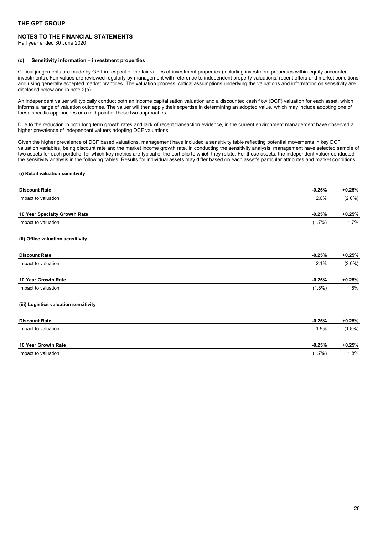# **NOTES TO THE FINANCIAL STATEMENTS**

Half year ended 30 June 2020

#### **(c) Sensitivity information – investment properties**

Critical judgements are made by GPT in respect of the fair values of investment properties (including investment properties within equity accounted investments). Fair values are reviewed regularly by management with reference to independent property valuations, recent offers and market conditions, and using generally accepted market practices. The valuation process, critical assumptions underlying the valuations and information on sensitivity are disclosed below and in note 2(b).

An independent valuer will typically conduct both an income capitalisation valuation and a discounted cash flow (DCF) valuation for each asset, which informs a range of valuation outcomes. The valuer will then apply their expertise in determining an adopted value, which may include adopting one of these specific approaches or a mid-point of these two approaches.

Due to the reduction in both long term growth rates and lack of recent transaction evidence, in the current environment management have observed a higher prevalence of independent valuers adopting DCF valuations.

Given the higher prevalence of DCF based valuations, management have included a sensitivity table reflecting potential movements in key DCF valuation variables, being discount rate and the market income growth rate. In conducting the sensitivity analysis, management have selected sample of two assets for each portfolio, for which key metrics are typical of the portfolio to which they relate. For those assets, the independent valuer conducted the sensitivity analysis in the following tables. Results for individual assets may differ based on each asset's particular attributes and market conditions.

### **(i) Retail valuation sensitivity**

| <b>Discount Rate</b>                  | $-0.25%$  | $+0.25%$  |
|---------------------------------------|-----------|-----------|
| Impact to valuation                   | 2.0%      | $(2.0\%)$ |
| 10 Year Specialty Growth Rate         | $-0.25%$  | $+0.25%$  |
| Impact to valuation                   | (1.7%)    | 1.7%      |
| (ii) Office valuation sensitivity     |           |           |
| <b>Discount Rate</b>                  | $-0.25%$  | $+0.25%$  |
| Impact to valuation                   | 2.1%      | $(2.0\%)$ |
| 10 Year Growth Rate                   | $-0.25%$  | $+0.25%$  |
| Impact to valuation                   | $(1.8\%)$ | 1.8%      |
| (iii) Logistics valuation sensitivity |           |           |
| <b>Discount Rate</b>                  | $-0.25%$  | $+0.25%$  |
| Impact to valuation                   | 1.9%      | $(1.8\%)$ |
| 10 Year Growth Rate                   | $-0.25%$  | $+0.25%$  |
| Impact to valuation                   | (1.7%)    | 1.8%      |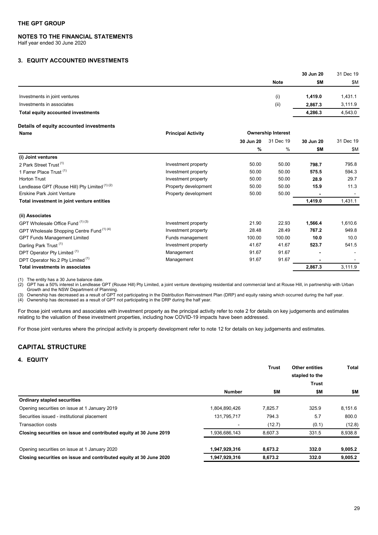# **NOTES TO THE FINANCIAL STATEMENTS**

Half year ended 30 June 2020

# <span id="page-28-0"></span>**3. EQUITY ACCOUNTED INVESTMENTS**

|                                    |             | 30 Jun 20 | 31 Dec 19 |  |
|------------------------------------|-------------|-----------|-----------|--|
|                                    | <b>Note</b> | \$M       | \$M       |  |
| Investments in joint ventures      | (i)         | 1,419.0   | 1,431.1   |  |
| Investments in associates          | (ii)        | 2.867.3   | 3,111.9   |  |
| Total equity accounted investments |             | 4,286.3   | 4,543.0   |  |
|                                    |             |           |           |  |

# **Details of equity accounted investments**

| Name                                           | <b>Principal Activity</b> |        | <b>Ownership Interest</b><br>31 Dec 19<br>30 Jun 20<br>30 Jun 20 |         |           |
|------------------------------------------------|---------------------------|--------|------------------------------------------------------------------|---------|-----------|
|                                                |                           |        |                                                                  |         | 31 Dec 19 |
|                                                |                           | %      | %                                                                | \$Μ     | \$M       |
| (i) Joint ventures                             |                           |        |                                                                  |         |           |
| 2 Park Street Trust <sup>(1)</sup>             | Investment property       | 50.00  | 50.00                                                            | 798.7   | 795.8     |
| 1 Farrer Place Trust <sup>(1)</sup>            | Investment property       | 50.00  | 50.00                                                            | 575.5   | 594.3     |
| <b>Horton Trust</b>                            | Investment property       | 50.00  | 50.00                                                            | 28.9    | 29.7      |
| Lendlease GPT (Rouse Hill) Pty Limited (1) (2) | Property development      | 50.00  | 50.00                                                            | 15.9    | 11.3      |
| <b>Erskine Park Joint Venture</b>              | Property development      | 50.00  | 50.00                                                            |         |           |
| Total investment in joint venture entities     |                           |        |                                                                  | 1,419.0 | 1,431.1   |
| (ii) Associates                                |                           |        |                                                                  |         |           |
| GPT Wholesale Office Fund (1) (3)              | Investment property       | 21.90  | 22.93                                                            | 1,566.4 | 1,610.6   |
| GPT Wholesale Shopping Centre Fund (1) (4)     | Investment property       | 28.48  | 28.49                                                            | 767.2   | 949.8     |
| <b>GPT Funds Management Limited</b>            | Funds management          | 100.00 | 100.00                                                           | 10.0    | 10.0      |
| Darling Park Trust <sup>(1)</sup>              | Investment property       | 41.67  | 41.67                                                            | 523.7   | 541.5     |
| DPT Operator Pty Limited (1)                   | Management                | 91.67  | 91.67                                                            |         |           |
| DPT Operator No.2 Pty Limited <sup>(1)</sup>   | Management                | 91.67  | 91.67                                                            |         |           |
| Total investments in associates                |                           |        |                                                                  | 2,867.3 | 3,111.9   |

(1) The entity has a 30 June balance date.

(2) GPT has a 50% interest in Lendlease GPT (Rouse Hill) Pty Limited, a joint venture developing residential and commercial land at Rouse Hill, in partnership with Urban Growth and the NSW Department of Planning.

(3) Ownership has decreased as a result of GPT not participating in the Distribution Reinvestment Plan (DRP) and equity raising which occurred during the half year.

(4) Ownership has decreased as a result of GPT not participating in the DRP during the half year.

For those joint ventures and associates with investment property as the principal activity refer to note 2 for details on key judgements and estimates relating to the valuation of these investment properties, including how COVID-19 impacts have been addressed.

For those joint ventures where the principal activity is property development refer to note 12 for details on key judgements and estimates.

# <span id="page-28-1"></span>**CAPITAL STRUCTURE**

# <span id="page-28-2"></span>**4. EQUITY**

|                                                                    |               | <b>Trust</b> | <b>Other entities</b> | Total   |  |
|--------------------------------------------------------------------|---------------|--------------|-----------------------|---------|--|
|                                                                    |               |              | stapled to the        |         |  |
|                                                                    |               |              | <b>Trust</b>          |         |  |
|                                                                    | <b>Number</b> | \$Μ          | \$Μ                   | \$Μ     |  |
| <b>Ordinary stapled securities</b>                                 |               |              |                       |         |  |
| Opening securities on issue at 1 January 2019                      | 1,804,890,426 | 7.825.7      | 325.9                 | 8,151.6 |  |
| Securities issued - institutional placement                        | 131,795,717   | 794.3        | 5.7                   | 800.0   |  |
| <b>Transaction costs</b>                                           |               | (12.7)       | (0.1)                 | (12.8)  |  |
| Closing securities on issue and contributed equity at 30 June 2019 | 1,936,686,143 | 8.607.3      | 331.5                 | 8,938.8 |  |
| Opening securities on issue at 1 January 2020                      | 1,947,929,316 | 8,673.2      | 332.0                 | 9,005.2 |  |
| Closing securities on issue and contributed equity at 30 June 2020 | 1,947,929,316 | 8,673.2      | 332.0                 | 9,005.2 |  |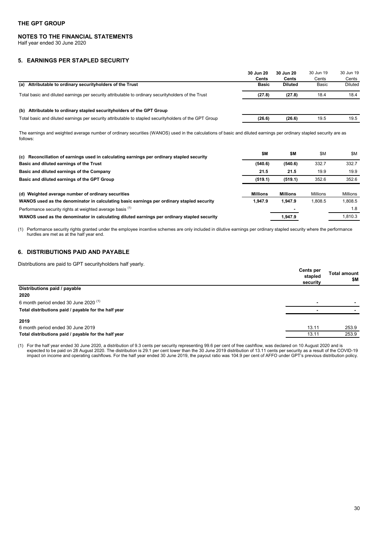# **NOTES TO THE FINANCIAL STATEMENTS**

Half year ended 30 June 2020

# <span id="page-29-0"></span>**5. EARNINGS PER STAPLED SECURITY**

|                                                                                                        | 30 Jun 20<br><b>Cents</b> | 30 Jun 20<br><b>Cents</b> | 30 Jun 19<br>Cents | 30 Jun 19<br>Cents |
|--------------------------------------------------------------------------------------------------------|---------------------------|---------------------------|--------------------|--------------------|
| (a) Attributable to ordinary security holders of the Trust                                             | <b>Basic</b>              | <b>Diluted</b>            | Basic              | Diluted            |
| Total basic and diluted earnings per security attributable to ordinary security holders of the Trust   | (27.8)                    | (27.8)                    | 18.4               | 18.4               |
| (b) Attributable to ordinary stapled security holders of the GPT Group                                 |                           |                           |                    |                    |
| Total basic and diluted earnings per security attributable to stapled securityholders of the GPT Group | (26.6)                    | (26.6)                    | 19.5               | 19.5               |

The earnings and weighted average number of ordinary securities (WANOS) used in the calculations of basic and diluted earnings per ordinary stapled security are as follows:

| (c) Reconciliation of earnings used in calculating earnings per ordinary stapled security   | \$M             | \$M             | \$M             | \$M      |
|---------------------------------------------------------------------------------------------|-----------------|-----------------|-----------------|----------|
| Basic and diluted earnings of the Trust                                                     | (540.6)         | (540.6)         | 332.7           | 332.7    |
| Basic and diluted earnings of the Company                                                   | 21.5            | 21.5            | 19.9            | 19.9     |
| Basic and diluted earnings of the GPT Group                                                 | (519.1)         | (519.1)         | 352.6           | 352.6    |
|                                                                                             |                 |                 |                 |          |
| (d) Weighted average number of ordinary securities                                          | <b>Millions</b> | <b>Millions</b> | <b>Millions</b> | Millions |
| WANOS used as the denominator in calculating basic earnings per ordinary stapled security   | 1.947.9         | 1.947.9         | 1.808.5         | 1.808.5  |
| Performance security rights at weighted average basis (1)                                   |                 |                 |                 | 1.8      |
| WANOS used as the denominator in calculating diluted earnings per ordinary stapled security |                 | 1.947.9         |                 | 1.810.3  |

(1) Performance security rights granted under the employee incentive schemes are only included in dilutive earnings per ordinary stapled security where the performance hurdles are met as at the half year end.

# <span id="page-29-1"></span>**6. DISTRIBUTIONS PAID AND PAYABLE**

Distributions are paid to GPT securityholders half yearly.

|                                                      | <b>Cents per</b><br>stapled<br>security | <b>Total amount</b><br>\$Μ |
|------------------------------------------------------|-----------------------------------------|----------------------------|
| Distributions paid / payable                         |                                         |                            |
| 2020                                                 |                                         |                            |
| 6 month period ended 30 June 2020 <sup>(1)</sup>     | $\blacksquare$                          |                            |
| Total distributions paid / payable for the half year |                                         |                            |
| 2019                                                 |                                         |                            |
| 6 month period ended 30 June 2019                    | 13.11                                   | 253.9                      |
| Total distributions paid / payable for the half year | 13.11                                   | 253.9                      |

(1) For the half year ended 30 June 2020, a distribution of 9.3 cents per security representing 99.6 per cent of free cashflow, was declared on 10 August 2020 and is expected to be paid on 28 August 2020. The distribution is 29.1 per cent lower than the 30 June 2019 distribution of 13.11 cents per security as a result of the COVID-19 impact on income and operating cashflows. For the half year ended 30 June 2019, the payout ratio was 104.9 per cent of AFFO under GPT's previous distribution policy.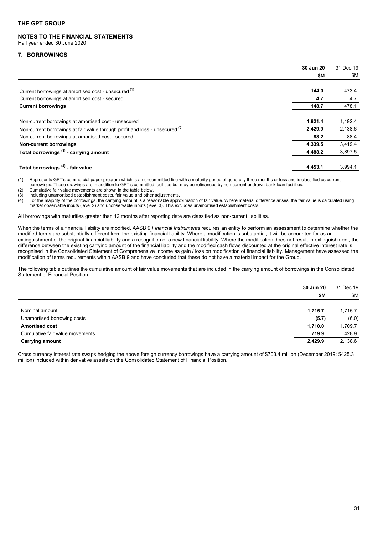#### **NOTES TO THE FINANCIAL STATEMENTS**  Half year ended 30 June 2020

# <span id="page-30-0"></span>**7. BORROWINGS**

|                                                                              | 30 Jun 20 | 31 Dec 19 |
|------------------------------------------------------------------------------|-----------|-----------|
|                                                                              | \$Μ       | \$Μ       |
| Current borrowings at amortised cost - unsecured (1)                         | 144.0     | 473.4     |
| Current borrowings at amortised cost - secured                               | 4.7       | 4.7       |
| <b>Current borrowings</b>                                                    | 148.7     | 478.1     |
| Non-current borrowings at amortised cost - unsecured                         | 1,821.4   | 1,192.4   |
| Non-current borrowings at fair value through profit and loss - unsecured (2) | 2,429.9   | 2,138.6   |
| Non-current borrowings at amortised cost - secured                           | 88.2      | 88.4      |
| Non-current borrowings                                                       | 4,339.5   | 3,419.4   |
| Total borrowings <sup>(3)</sup> - carrying amount                            | 4,488.2   | 3,897.5   |
| Total borrowings <sup>(4)</sup> - fair value                                 | 4,453.1   | 3,994.1   |

(1) Represents GPT's commercial paper program which is an uncommitted line with a maturity period of generally three months or less and is classified as current

borrowings. These drawings are in addition to GPT's committed facilities but may be refinanced by non-current undrawn bank loan facilities.

(2) Cumulative fair value movements are shown in the table below.

(3) Including unamortised establishment costs, fair value and other adjustments.

 $\overline{44}$  For the majority of the borrowings, the carrying amount is a reasonable approximation of fair value. Where material difference arises, the fair value is calculated using market observable inputs (level 2) and unobservable inputs (level 3). This excludes unamortised establishment costs.

All borrowings with maturities greater than 12 months after reporting date are classified as non-current liabilities.

When the terms of a financial liability are modified, AASB 9 *Financial Instruments* requires an entity to perform an assessment to determine whether the modified terms are substantially different from the existing financial liability. Where a modification is substantial, it will be accounted for as an extinguishment of the original financial liability and a recognition of a new financial liability. Where the modification does not result in extinguishment, the difference between the existing carrying amount of the financial liability and the modified cash flows discounted at the original effective interest rate is recognised in the Consolidated Statement of Comprehensive Income as gain / loss on modification of financial liability. Management have assessed the modification of terms requirements within AASB 9 and have concluded that these do not have a material impact for the Group.

The following table outlines the cumulative amount of fair value movements that are included in the carrying amount of borrowings in the Consolidated Statement of Financial Position:

|                                 | 30 Jun 20 | 31 Dec 19  |
|---------------------------------|-----------|------------|
|                                 | \$Μ       | <b>\$M</b> |
|                                 |           |            |
| Nominal amount                  | 1,715.7   | 1,715.7    |
| Unamortised borrowing costs     | (5.7)     | (6.0)      |
| <b>Amortised cost</b>           | 1,710.0   | 1,709.7    |
| Cumulative fair value movements | 719.9     | 428.9      |
| <b>Carrying amount</b>          | 2,429.9   | 2,138.6    |
|                                 |           |            |

Cross currency interest rate swaps hedging the above foreign currency borrowings have a carrying amount of \$703.4 million (December 2019: \$425.3 million) included within derivative assets on the Consolidated Statement of Financial Position.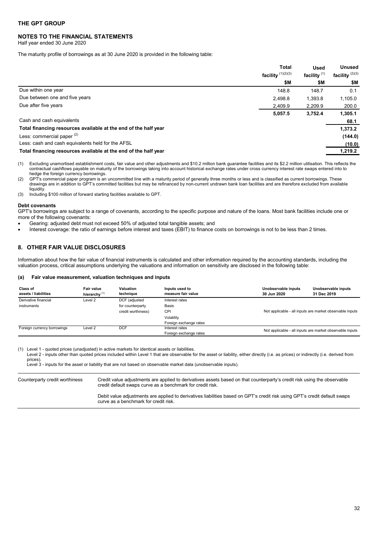# **NOTES TO THE FINANCIAL STATEMENTS**

Half year ended 30 June 2020

The maturity profile of borrowings as at 30 June 2020 is provided in the following table:

|                                                                 | <b>Total</b><br>facility $(1)(2)(3)$ | <b>Used</b><br>facility $(1)$ | <b>Unused</b><br>facility $(2)(3)$ |
|-----------------------------------------------------------------|--------------------------------------|-------------------------------|------------------------------------|
|                                                                 | \$M                                  | \$Μ                           | \$M                                |
| Due within one year                                             | 148.8                                | 148.7                         | 0.1                                |
| Due between one and five years                                  | 2.498.8                              | 1,393.8                       | 1,105.0                            |
| Due after five years                                            | 2,409.9                              | 2,209.9                       | 200.0                              |
|                                                                 | 5,057.5                              | 3,752.4                       | 1,305.1                            |
| Cash and cash equivalents                                       |                                      |                               | 68.1                               |
| Total financing resources available at the end of the half year |                                      |                               | 1,373.2                            |
| Less: commercial paper <sup>(2)</sup>                           |                                      |                               | (144.0)                            |
| Less: cash and cash equivalents held for the AFSL               |                                      |                               | (10.0)                             |
| Total financing resources available at the end of the half year |                                      |                               | 1,219.2                            |

(1) Excluding unamortised establishment costs, fair value and other adjustments and \$10.2 million bank guarantee facilities and its \$2.2 million utilisation. This reflects the contractual cashflows payable on maturity of the borrowings taking into account historical exchange rates under cross currency interest rate swaps entered into to hedge the foreign currency borrowings.

(2) GPT's commercial paper program is an uncommitted line with a maturity period of generally three months or less and is classified as current borrowings. These drawings are in addition to GPT's committed facilities but may be refinanced by non-current undrawn bank loan facilities and are therefore excluded from available liquidity.

(3) Including \$100 million of forward starting facilities available to GPT.

#### **Debt covenants**

GPT's borrowings are subject to a range of covenants, according to the specific purpose and nature of the loans. Most bank facilities include one or more of the following covenants:

- Gearing: adjusted debt must not exceed 50% of adjusted total tangible assets; and
- Interest coverage: the ratio of earnings before interest and taxes (EBIT) to finance costs on borrowings is not to be less than 2 times.

# <span id="page-31-0"></span>**8. OTHER FAIR VALUE DISCLOSURES**

Information about how the fair value of financial instruments is calculated and other information required by the accounting standards, including the valuation process, critical assumptions underlying the valuations and information on sensitivity are disclosed in the following table:

#### **(a) Fair value measurement, valuation techniques and inputs**

| <b>Class of</b><br>assets / liabilities | <b>Fair value</b><br>hierarchy $(1)$ | Valuation<br>technique | Inputs used to<br>measure fair value | Unobservable inputs<br>30 Jun 2020                       | Unobservable inputs<br>31 Dec 2019                       |  |
|-----------------------------------------|--------------------------------------|------------------------|--------------------------------------|----------------------------------------------------------|----------------------------------------------------------|--|
| Derivative financial                    | Level 2                              | DCF (adjusted          | Interest rates                       |                                                          |                                                          |  |
| instruments                             |                                      | for counterparty       | Basis                                |                                                          |                                                          |  |
|                                         |                                      | credit worthiness)     | CPI                                  |                                                          | Not applicable - all inputs are market observable inputs |  |
|                                         |                                      |                        | Volatility                           |                                                          |                                                          |  |
|                                         |                                      |                        | Foreign exchange rates               |                                                          |                                                          |  |
| Foreign currency borrowings             | Level 2                              | DCF                    | Interest rates                       | Not applicable - all inputs are market observable inputs |                                                          |  |
|                                         |                                      |                        | Foreign exchange rates               |                                                          |                                                          |  |

(1) Level 1 - quoted prices (unadjusted) in active markets for identical assets or liabilities.

Level 2 - inputs other than quoted prices included within Level 1 that are observable for the asset or liability, either directly (i.e. as prices) or indirectly (i.e. derived from prices).

Level 3 - inputs for the asset or liability that are not based on observable market data (unobservable inputs).

| Counterparty credit worthiness | Credit value adjustments are applied to derivatives assets based on that counterparty's credit risk using the observable<br>credit default swaps curve as a benchmark for credit risk. |
|--------------------------------|----------------------------------------------------------------------------------------------------------------------------------------------------------------------------------------|
|                                | Debit value adjustments are applied to derivatives liabilities based on GPT's credit risk using GPT's credit default swaps<br>curve as a benchmark for credit risk.                    |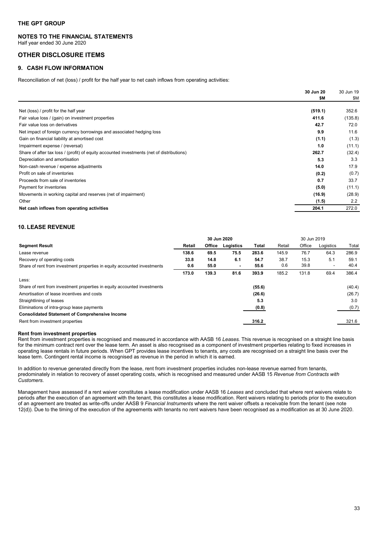# **NOTES TO THE FINANCIAL STATEMENTS**

Half year ended 30 June 2020

# <span id="page-32-0"></span>**OTHER DISCLOSURE ITEMS**

# <span id="page-32-1"></span>**9. CASH FLOW INFORMATION**

Reconciliation of net (loss) / profit for the half year to net cash inflows from operating activities:

|                                                                                           | 30 Jun 20 | 30 Jun 19 |
|-------------------------------------------------------------------------------------------|-----------|-----------|
|                                                                                           | \$M       | \$M       |
| Net (loss) / profit for the half year                                                     | (519.1)   | 352.6     |
| Fair value loss / (gain) on investment properties                                         | 411.6     | (135.8)   |
| Fair value loss on derivatives                                                            | 42.7      | 72.0      |
| Net impact of foreign currency borrowings and associated hedging loss                     | 9.9       | 11.6      |
| Gain on financial liability at amortised cost                                             | (1.1)     | (1.3)     |
| Impairment expense / (reversal)                                                           | 1.0       | (11.1)    |
| Share of after tax loss / (profit) of equity accounted investments (net of distributions) | 262.7     | (32.4)    |
| Depreciation and amortisation                                                             | 5.3       | 3.3       |
| Non-cash revenue / expense adjustments                                                    | 14.0      | 17.9      |
| Profit on sale of inventories                                                             | (0.2)     | (0.7)     |
| Proceeds from sale of inventories                                                         | 0.7       | 33.7      |
| Payment for inventories                                                                   | (5.0)     | (11.1)    |
| Movements in working capital and reserves (net of impairment)                             | (16.9)    | (28.9)    |
| Other                                                                                     | (1.5)     | 2.2       |
| Net cash inflows from operating activities                                                | 204.1     | 272.0     |

# <span id="page-32-2"></span>**10. LEASE REVENUE**

|                                                                          |        | 30 Jun 2020 |                |              |        | 30 Jun 2019 |           |        |
|--------------------------------------------------------------------------|--------|-------------|----------------|--------------|--------|-------------|-----------|--------|
| <b>Segment Result</b>                                                    | Retail | Office      | Logistics      | <b>Total</b> | Retail | Office      | Logistics | Total  |
| Lease revenue                                                            | 138.6  | 69.5        | 75.5           | 283.6        | 145.9  | 76.7        | 64.3      | 286.9  |
| Recovery of operating costs                                              | 33.8   | 14.8        | 6.1            | 54.7         | 38.7   | 15.3        | 5.1       | 59.1   |
| Share of rent from investment properties in equity accounted investments | 0.6    | 55.0        | $\blacksquare$ | 55.6         | 0.6    | 39.8        |           | 40.4   |
|                                                                          | 173.0  | 139.3       | 81.6           | 393.9        | 185.2  | 131.8       | 69.4      | 386.4  |
| Less:                                                                    |        |             |                |              |        |             |           |        |
| Share of rent from investment properties in equity accounted investments |        |             |                | (55.6)       |        |             |           | (40.4) |
| Amortisation of lease incentives and costs                               |        |             |                | (26.6)       |        |             |           | (26.7) |
| Straightlining of leases                                                 |        |             |                | 5.3          |        |             |           | 3.0    |
| Eliminations of intra-group lease payments                               |        |             |                | (0.8)        |        |             |           | (0.7)  |
| <b>Consolidated Statement of Comprehensive Income</b>                    |        |             |                |              |        |             |           |        |
| Rent from investment properties                                          |        |             |                | 316.2        |        |             |           | 321.6  |

#### **Rent from investment properties**

Rent from investment properties is recognised and measured in accordance with AASB 16 *Leases.* This revenue is recognised on a straight line basis for the minimum contract rent over the lease term. An asset is also recognised as a component of investment properties relating to fixed increases in operating lease rentals in future periods. When GPT provides lease incentives to tenants, any costs are recognised on a straight line basis over the lease term. Contingent rental income is recognised as revenue in the period in which it is earned.

In addition to revenue generated directly from the lease, rent from investment properties includes non-lease revenue earned from tenants, predominately in relation to recovery of asset operating costs, which is recognised and measured under AASB 15 *Revenue from Contracts with Customers.*

Management have assessed if a rent waiver constitutes a lease modification under AASB 16 *Leases* and concluded that where rent waivers relate to periods after the execution of an agreement with the tenant, this constitutes a lease modification. Rent waivers relating to periods prior to the execution of an agreement are treated as write-offs under AASB 9 *Financial Instruments* where the rent waiver offsets a receivable from the tenant (see note 12(d)). Due to the timing of the execution of the agreements with tenants no rent waivers have been recognised as a modification as at  $30$  June 2020.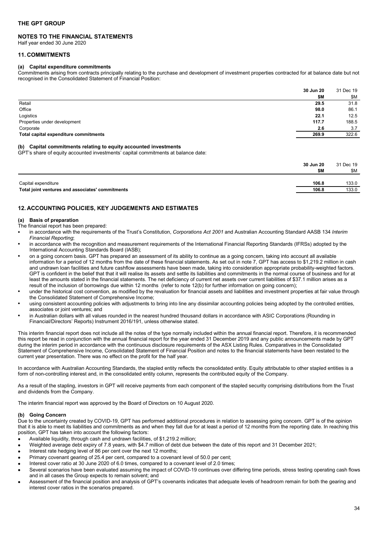# **NOTES TO THE FINANCIAL STATEMENTS**

Half year ended 30 June 2020

# <span id="page-33-0"></span>**11. COMMITMENTS**

# **(a) Capital expenditure commitments**

Commitments arising from contracts principally relating to the purchase and development of investment properties contracted for at balance date but not recognised in the Consolidated Statement of Financial Position:

|                                       | 30 Jun 20 | 31 Dec 19 |
|---------------------------------------|-----------|-----------|
|                                       | \$M       | \$Μ       |
| Retail                                | 29.5      | 31.8      |
| Office                                | 98.0      | 86.1      |
| Logistics                             | 22.1      | 12.5      |
| Properties under development          | 117.7     | 188.5     |
| Corporate                             | 2.6       | 3.7       |
| Total capital expenditure commitments | 269.9     | 322.6     |
|                                       |           |           |

# **(b) Capital commitments relating to equity accounted investments**

GPT's share of equity accounted investments' capital commitments at balance date:

|                                                  | 30 Jun 20<br>\$M | 31 Dec 19<br>\$M |
|--------------------------------------------------|------------------|------------------|
| Capital expenditure                              | 106.8            | 133.0            |
| Total joint ventures and associates' commitments | 106.8            | 133.0            |

# <span id="page-33-1"></span>**12. ACCOUNTING POLICIES, KEY JUDGEMENTS AND ESTIMATES**

# **(a) Basis of preparation**

The financial report has been prepared:

- in accordance with the requirements of the Trust's Constitution, *Corporations Act 2001* and Australian Accounting Standard AASB 134 *Interim Financial Reporting*;
- in accordance with the recognition and measurement requirements of the International Financial Reporting Standards (IFRSs) adopted by the International Accounting Standards Board (IASB);
- on a going concern basis. GPT has prepared an assessment of its ability to continue as a going concern, taking into account all available information for a period of 12 months from the date of these financial statements. As set out in note 7, GPT has access to \$1,219.2 million in cash and undrawn loan facilities and future cashflow assessments have been made, taking into consideration appropriate probability-weighted factors. GPT is confident in the belief that that it will realise its assets and settle its liabilities and commitments in the normal course of business and for at least the amounts stated in the financial statements. The net deficiency of current net assets over current liabilities of \$37.1 million arises as a result of the inclusion of borrowings due within 12 months (refer to note 12(b) for further information on going concern);
- under the historical cost convention, as modified by the revaluation for financial assets and liabilities and investment properties at fair value through the Consolidated Statement of Comprehensive Income;
- using consistent accounting policies with adjustments to bring into line any dissimilar accounting policies being adopted by the controlled entities, associates or joint ventures; and
- in Australian dollars with all values rounded in the nearest hundred thousand dollars in accordance with ASIC Corporations (Rounding in Financial/Directors' Reports) Instrument 2016/191, unless otherwise stated.

This interim financial report does not include all the notes of the type normally included within the annual financial report. Therefore, it is recommended this report be read in conjunction with the annual financial report for the year ended 31 December 2019 and any public announcements made by GPT during the interim period in accordance with the continuous disclosure requirements of the ASX Listing Rules. Comparatives in the Consolidated Statement of Comprehensive Income, Consolidated Statement of Financial Position and notes to the financial statements have been restated to the current year presentation. There was no effect on the profit for the half year.

In accordance with Australian Accounting Standards, the stapled entity reflects the consolidated entity. Equity attributable to other stapled entities is a form of non-controlling interest and, in the consolidated entity column, represents the contributed equity of the Company.

As a result of the stapling, investors in GPT will receive payments from each component of the stapled security comprising distributions from the Trust and dividends from the Company.

The interim financial report was approved by the Board of Directors on 10 August 2020.

#### **(b) Going Concern**

Due to the uncertainty created by COVID-19, GPT has performed additional procedures in relation to assessing going concern. GPT is of the opinion that it is able to meet its liabilities and commitments as and when they fall due for at least a period of 12 months from the reporting date. In reaching this position, GPT has taken into account the following factors:

- Available liquidity, through cash and undrawn facilities, of \$1,219.2 million;
- Weighted average debt expiry of 7.8 years, with \$4.7 million of debt due between the date of this report and 31 December 2021;
- Interest rate hedging level of 86 per cent over the next 12 months;
- Primary covenant gearing of 25.4 per cent, compared to a covenant level of 50.0 per cent;
- Interest cover ratio at 30 June 2020 of 6.0 times, compared to a covenant level of 2.0 times;
- Several scenarios have been evaluated assuming the impact of COVID-19 continues over differing time periods, stress testing operating cash flows and in all cases the Group expects to remain solvent; and
- Assessment of the financial position and analysis of GPT's covenants indicates that adequate levels of headroom remain for both the gearing and interest cover ratios in the scenarios prepared.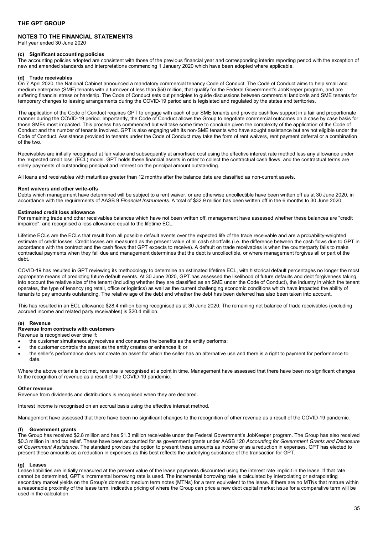# **NOTES TO THE FINANCIAL STATEMENTS**

Half year ended 30 June 2020

# **(c) Significant accounting policies**

The accounting policies adopted are consistent with those of the previous financial year and corresponding interim reporting period with the exception of new and amended standards and interpretations commencing 1 January 2020 which have been adopted where applicable.

#### **(d) Trade receivables**

On 7 April 2020, the National Cabinet announced a mandatory commercial tenancy Code of Conduct. The Code of Conduct aims to help small and medium enterprise (SME) tenants with a turnover of less than \$50 million, that qualify for the Federal Government's JobKeeper program, and are suffering financial stress or hardship. The Code of Conduct sets out principles to guide discussions between commercial landlords and SME tenants for temporary changes to leasing arrangements during the COVID-19 period and is legislated and regulated by the states and territories.

The application of the Code of Conduct requires GPT to engage with each of our SME tenants and provide cashflow support in a fair and proportionate manner during the COVID-19 period. Importantly, the Code of Conduct allows the Group to negotiate commercial outcomes on a case by case basis for those SMEs most impacted. This process has commenced but will take some time to conclude given the complexity of the application of the Code of Conduct and the number of tenants involved. GPT is also engaging with its non-SME tenants who have sought assistance but are not eligible under the Code of Conduct. Assistance provided to tenants under the Code of Conduct may take the form of rent waivers, rent payment deferral or a combination of the two.

Receivables are initially recognised at fair value and subsequently at amortised cost using the effective interest rate method less any allowance under the 'expected credit loss' (ECL) model. GPT holds these financial assets in order to collect the contractual cash flows, and the contractual terms are solely payments of outstanding principal and interest on the principal amount outstanding.

All loans and receivables with maturities greater than 12 months after the balance date are classified as non-current assets.

#### **Rent waivers and other write-offs**

Debts which management have determined will be subject to a rent waiver, or are otherwise uncollectible have been written off as at 30 June 2020, in accordance with the requirements of AASB 9 *Financial Instruments*. A total of \$32.9 million has been written off in the 6 months to 30 June 2020.

#### **Estimated credit loss allowance**

For remaining trade and other receivables balances which have not been written off, management have assessed whether these balances are "credit impaired", and recognised a loss allowance equal to the lifetime ECL.

Lifetime ECLs are the ECLs that result from all possible default events over the expected life of the trade receivable and are a probability-weighted estimate of credit losses. Credit losses are measured as the present value of all cash shortfalls (i.e. the difference between the cash flows due to GPT in accordance with the contract and the cash flows that GPT expects to receive). A default on trade receivables is when the counterparty fails to make contractual payments when they fall due and management determines that the debt is uncollectible, or where management forgives all or part of the debt.

COVID-19 has resulted in GPT reviewing its methodology to determine an estimated lifetime ECL, with historical default percentages no longer the most appropriate means of predicting future default events. At 30 June 2020, GPT has assessed the likelihood of future defaults and debt forgiveness taking into account the relative size of the tenant (including whether they are classified as an SME under the Code of Conduct), the industry in which the tenant operates, the type of tenancy (eg retail, office or logistics) as well as the current challenging economic conditions which have impacted the ability of tenants to pay amounts outstanding. The relative age of the debt and whether the debt has been deferred has also been taken into account.

This has resulted in an ECL allowance \$28.4 million being recognised as at 30 June 2020. The remaining net balance of trade receivables (excluding accrued income and related party receivables) is \$20.4 million.

#### **(e) Revenue**

### **Revenue from contracts with customers**

Revenue is recognised over time if:

- the customer simultaneously receives and consumes the benefits as the entity performs;
- the customer controls the asset as the entity creates or enhances it; or
- the seller's performance does not create an asset for which the seller has an alternative use and there is a right to payment for performance to date.

Where the above criteria is not met, revenue is recognised at a point in time. Management have assessed that there have been no significant changes to the recognition of revenue as a result of the COVID-19 pandemic.

#### **Other revenue**

Revenue from dividends and distributions is recognised when they are declared.

Interest income is recognised on an accrual basis using the effective interest method.

Management have assessed that there have been no significant changes to the recognition of other revenue as a result of the COVID-19 pandemic.

#### **(f) Government grants**

The Group has received \$2.8 million and has \$1.3 million receivable under the Federal Government's JobKeeper program. The Group has also received \$0.3 million in land tax relief. These have been accounted for as government grants under AASB 120 *Accounting for Government Grants and Disclosure of Government Assistance*. The standard provides the option to present these amounts as income or as a reduction in expenses. GPT has elected to present these amounts as a reduction in expenses as this best reflects the underlying substance of the transaction for GPT.

#### **(g) Leases**

Lease liabilities are initially measured at the present value of the lease payments discounted using the interest rate implicit in the lease. If that rate cannot be determined, GPT's incremental borrowing rate is used. The incremental borrowing rate is calculated by interpolating or extrapolating secondary market yields on the Group's domestic medium term notes (MTNs) for a term equivalent to the lease. If there are no MTNs that mature within a reasonable proximity of the lease term, indicative pricing of where the Group can price a new debt capital market issue for a comparative term will be used in the calculation.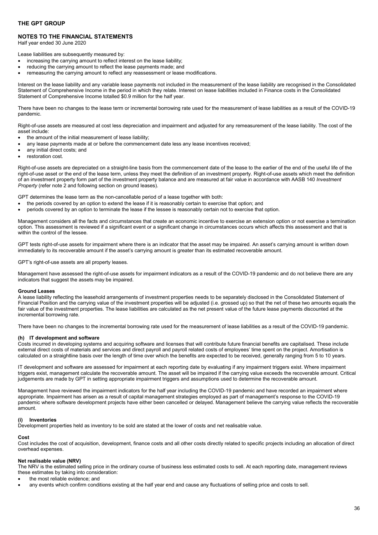# **NOTES TO THE FINANCIAL STATEMENTS**

Half year ended 30 June 2020

Lease liabilities are subsequently measured by:

- increasing the carrying amount to reflect interest on the lease liability;
- reducing the carrying amount to reflect the lease payments made; and
- remeasuring the carrying amount to reflect any reassessment or lease modifications.

Interest on the lease liability and any variable lease payments not included in the measurement of the lease liability are recognised in the Consolidated Statement of Comprehensive Income in the period in which they relate. Interest on lease liabilities included in Finance costs in the Consolidated Statement of Comprehensive Income totalled \$0.9 million for the half year.

There have been no changes to the lease term or incremental borrowing rate used for the measurement of lease liabilities as a result of the COVID-19 pandemic.

Right-of-use assets are measured at cost less depreciation and impairment and adjusted for any remeasurement of the lease liability. The cost of the asset include:

- the amount of the initial measurement of lease liability:
- any lease payments made at or before the commencement date less any lease incentives received;
- any initial direct costs; and
- restoration cost.

Right-of-use assets are depreciated on a straight-line basis from the commencement date of the lease to the earlier of the end of the useful life of the right-of-use asset or the end of the lease term, unless they meet the definition of an investment property. Right-of-use assets which meet the definition of an investment property form part of the investment property balance and are measured at fair value in accordance with AASB 140 *Investment Property* (refer note 2 and following section on ground leases).

GPT determines the lease term as the non-cancellable period of a lease together with both:

- the periods covered by an option to extend the lease if it is reasonably certain to exercise that option; and
- periods covered by an option to terminate the lease if the lessee is reasonably certain not to exercise that option.

Management considers all the facts and circumstances that create an economic incentive to exercise an extension option or not exercise a termination option. This assessment is reviewed if a significant event or a significant change in circumstances occurs which affects this assessment and that is within the control of the lessee.

GPT tests right-of-use assets for impairment where there is an indicator that the asset may be impaired. An asset's carrying amount is written down immediately to its recoverable amount if the asset's carrying amount is greater than its estimated recoverable amount.

GPT's right-of-use assets are all property leases.

Management have assessed the right-of-use assets for impairment indicators as a result of the COVID-19 pandemic and do not believe there are any indicators that suggest the assets may be impaired.

#### **Ground Leases**

A lease liability reflecting the leasehold arrangements of investment properties needs to be separately disclosed in the Consolidated Statement of Financial Position and the carrying value of the investment properties will be adjusted (i.e. grossed up) so that the net of these two amounts equals the fair value of the investment properties. The lease liabilities are calculated as the net present value of the future lease payments discounted at the incremental borrowing rate.

There have been no changes to the incremental borrowing rate used for the measurement of lease liabilities as a result of the COVID-19 pandemic.

#### **(h) IT development and software**

Costs incurred in developing systems and acquiring software and licenses that will contribute future financial benefits are capitalised. These include external direct costs of materials and services and direct payroll and payroll related costs of employees' time spent on the project. Amortisation is calculated on a straightline basis over the length of time over which the benefits are expected to be received, generally ranging from 5 to 10 years.

IT development and software are assessed for impairment at each reporting date by evaluating if any impairment triggers exist. Where impairment triggers exist, management calculate the recoverable amount. The asset will be impaired if the carrying value exceeds the recoverable amount. Critical judgements are made by GPT in setting appropriate impairment triggers and assumptions used to determine the recoverable amount.

Management have reviewed the impairment indicators for the half year including the COVID-19 pandemic and have recorded an impairment where appropriate. Impairment has arisen as a result of capital management strategies employed as part of management's response to the COVID-19 pandemic where software development projects have either been cancelled or delayed. Management believe the carrying value reflects the recoverable amount.

### **(i) Inventories**

Development properties held as inventory to be sold are stated at the lower of costs and net realisable value.

#### **Cost**

Cost includes the cost of acquisition, development, finance costs and all other costs directly related to specific projects including an allocation of direct overhead expenses.

#### **Net realisable value (NRV)**

The NRV is the estimated selling price in the ordinary course of business less estimated costs to sell. At each reporting date, management reviews these estimates by taking into consideration:

- the most reliable evidence; and
- any events which confirm conditions existing at the half year end and cause any fluctuations of selling price and costs to sell.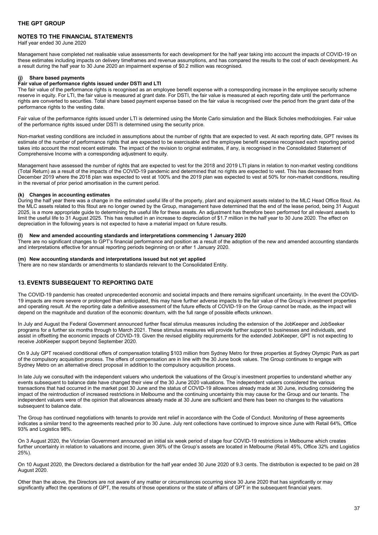# **NOTES TO THE FINANCIAL STATEMENTS**

Half year ended 30 June 2020

Management have completed net realisable value assessments for each development for the half year taking into account the impacts of COVID-19 on these estimates including impacts on delivery timeframes and revenue assumptions, and has compared the results to the cost of each development. As a result during the half year to 30 June 2020 an impairment expense of \$0.2 million was recognised.

#### **(j) Share based payments**

### **Fair value of performance rights issued under DSTI and LTI**

The fair value of the performance rights is recognised as an employee benefit expense with a corresponding increase in the employee security scheme reserve in equity. For LTI, the fair value is measured at grant date. For DSTI, the fair value is measured at each reporting date until the performance rights are converted to securities. Total share based payment expense based on the fair value is recognised over the period from the grant date of the performance rights to the vesting date.

Fair value of the performance rights issued under LTI is determined using the Monte Carlo simulation and the Black Scholes methodologies. Fair value of the performance rights issued under DSTI is determined using the security price.

Non-market vesting conditions are included in assumptions about the number of rights that are expected to vest. At each reporting date, GPT revises its estimate of the number of performance rights that are expected to be exercisable and the employee benefit expense recognised each reporting period takes into account the most recent estimate. The impact of the revision to original estimates, if any, is recognised in the Consolidated Statement of Comprehensive Income with a corresponding adjustment to equity.

Management have assessed the number of rights that are expected to vest for the 2018 and 2019 LTI plans in relation to non-market vesting conditions (Total Return) as a result of the impacts of the COVID-19 pandemic and determined that no rights are expected to vest. This has decreased from December 2019 where the 2018 plan was expected to vest at 100% and the 2019 plan was expected to vest at 50% for non-market conditions, resulting in the reversal of prior period amortisation in the current period.

# **(k) Changes in accounting estimates**

During the half year there was a change in the estimated useful life of the property, plant and equipment assets related to the MLC Head Office fitout. As the MLC assets related to this fitout are no longer owned by the Group, management have determined that the end of the lease period, being 31 August 2025, is a more appropriate guide to determining the useful life for these assets. An adjustment has therefore been performed for all relevant assets to limit the useful life to 31 August 2025. This has resulted in an increase to depreciation of \$1.7 million in the half year to 30 June 2020. The effect on depreciation in the following years is not expected to have a material impact on future results.

# **(l) New and amended accounting standards and interpretations commencing 1 January 2020**

There are no significant changes to GPT's financial performance and position as a result of the adoption of the new and amended accounting standards and interpretations effective for annual reporting periods beginning on or after 1 January 2020.

# **(m) New accounting standards and interpretations issued but not yet applied**

There are no new standards or amendments to standards relevant to the Consolidated Entity.

# <span id="page-36-0"></span>**13. EVENTS SUBSEQUENT TO REPORTING DATE**

The COVID-19 pandemic has created unprecedented economic and societal impacts and there remains significant uncertainty. In the event the COVID-19 impacts are more severe or prolonged than anticipated, this may have further adverse impacts to the fair value of the Group's investment properties and operating result. At the reporting date a definitive assessment of the future effects of COVID-19 on the Group cannot be made, as the impact will depend on the magnitude and duration of the economic downturn, with the full range of possible effects unknown.

In July and August the Federal Government announced further fiscal stimulus measures including the extension of the JobKeeper and JobSeeker programs for a further six months through to March 2021. These stimulus measures will provide further support to businesses and individuals, and assist in offsetting the economic impacts of COVID-19. Given the revised eligibility requirements for the extended JobKeeper, GPT is not expecting to receive JobKeeper support beyond September 2020.

On 9 July GPT received conditional offers of compensation totalling \$103 million from Sydney Metro for three properties at Sydney Olympic Park as part of the compulsory acquisition process. The offers of compensation are in line with the 30 June book values. The Group continues to engage with Sydney Metro on an alternative direct proposal in addition to the compulsory acquisition process.

In late July we consulted with the independent valuers who undertook the valuations of the Group's investment properties to understand whether any events subsequent to balance date have changed their view of the 30 June 2020 valuations. The independent valuers considered the various transactions that had occurred in the market post 30 June and the status of COVID-19 allowances already made at 30 June, including considering the impact of the reintroduction of increased restrictions in Melbourne and the continuing uncertainty this may cause for the Group and our tenants. The independent valuers were of the opinion that allowances already made at 30 June are sufficient and there has been no changes to the valuations subsequent to balance date.

The Group has continued negotiations with tenants to provide rent relief in accordance with the Code of Conduct. Monitoring of these agreements indicates a similar trend to the agreements reached prior to 30 June. July rent collections have continued to improve since June with Retail 64%, Office 93% and Logistics 98%.

On 3 August 2020, the Victorian Government announced an initial six week period of stage four COVID-19 restrictions in Melbourne which creates further uncertainty in relation to valuations and income, given 36% of the Group's assets are located in Melbourne (Retail 45%, Office 32% and Logistics 25%).

On 10 August 2020, the Directors declared a distribution for the half year ended 30 June 2020 of 9.3 cents. The distribution is expected to be paid on 28 August 2020.

Other than the above, the Directors are not aware of any matter or circumstances occurring since 30 June 2020 that has significantly or may significantly affect the operations of GPT, the results of those operations or the state of affairs of GPT in the subsequent financial years.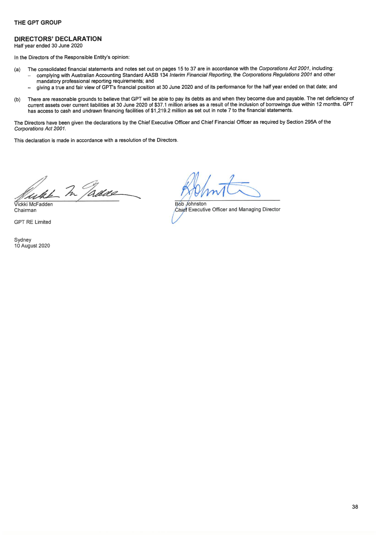# **DIRECTORS' DECLARATION**

Half year ended 30 June 2020

In the Directors of the Responsible Entity's opinion:

- The consolidated financial statements and notes set out on pages 15 to 37 are in accordance with the Corporations Act 2001, including:  $(a)$ 
	- complying with Australian Accounting Standard AASB 134 Interim Financial Reporting, the Corporations Regulations 2001 and other mandatory professional reporting requirements; and
	- giving a true and fair view of GPT's financial position at 30 June 2020 and of its performance for the half year ended on that date; and
- There are reasonable grounds to believe that GPT will be able to pay its debts as and when they become due and payable. The net deficiency of  $(b)$ current assets over current liabilities at 30 June 2020 of \$37.1 million arises as a result of the inclusion of borrowings due within 12 months. GPT has access to cash and undrawn financing facilities of \$1,219.2 million as set out in note 7 to the financial statements.

The Directors have been given the declarations by the Chief Executive Officer and Chief Financial Officer as required by Section 295A of the Corporations Act 2001.

This declaration is made in accordance with a resolution of the Directors.

like In Jadice

Vickki McFadden Chairman

**GPT RE Limited** 

Sydney 10 August 2020

Bób Johnston Chief Executive Officer and Managing Director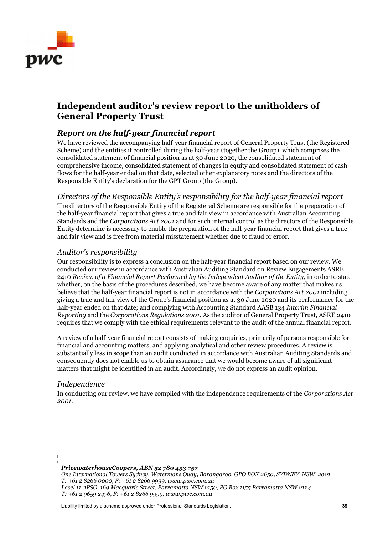<span id="page-38-0"></span>

# **Independent auditor's review report to the unitholders of General Property Trust**

# *Report on the half-year financial report*

We have reviewed the accompanying half-year financial report of General Property Trust (the Registered Scheme) and the entities it controlled during the half-year (together the Group), which comprises the consolidated statement of financial position as at 30 June 2020, the consolidated statement of comprehensive income, consolidated statement of changes in equity and consolidated statement of cash flows for the half-year ended on that date, selected other explanatory notes and the directors of the Responsible Entity's declaration for the GPT Group (the Group).

# *Directors of the Responsible Entity's responsibility for the half-year financial report*

The directors of the Responsible Entity of the Registered Scheme are responsible for the preparation of the half-year financial report that gives a true and fair view in accordance with Australian Accounting Standards and the *Corporations Act 2001* and for such internal control as the directors of the Responsible Entity determine is necessary to enable the preparation of the half-year financial report that gives a true and fair view and is free from material misstatement whether due to fraud or error.

# *Auditor's responsibility*

Our responsibility is to express a conclusion on the half-year financial report based on our review. We conducted our review in accordance with Australian Auditing Standard on Review Engagements ASRE 2410 *Review of a Financial Report Performed by the Independent Auditor of the Entity*, in order to state whether, on the basis of the procedures described, we have become aware of any matter that makes us believe that the half-year financial report is not in accordance with the *Corporations Act 2001* including giving a true and fair view of the Group's financial position as at 30 June 2020 and its performance for the half-year ended on that date; and complying with Accounting Standard AASB 134 *Interim Financial Reporting* and the *Corporations Regulations 2001*. As the auditor of General Property Trust, ASRE 2410 requires that we comply with the ethical requirements relevant to the audit of the annual financial report.

A review of a half-year financial report consists of making enquiries, primarily of persons responsible for financial and accounting matters, and applying analytical and other review procedures. A review is substantially less in scope than an audit conducted in accordance with Australian Auditing Standards and consequently does not enable us to obtain assurance that we would become aware of all significant matters that might be identified in an audit. Accordingly, we do not express an audit opinion.

# *Independence*

In conducting our review, we have complied with the independence requirements of the *Corporations Act 2001*.

# *PricewaterhouseCoopers, ABN 52 780 433 757*

*One International Towers Sydney, Watermans Quay, Barangaroo, GPO BOX 2650, SYDNEY NSW 2001 T: +61 2 8266 0000, F: +61 2 8266 9999, www.pwc.com.au Level 11, 1PSQ, 169 Macquarie Street, Parramatta NSW 2150, PO Box 1155 Parramatta NSW 2124 T: +61 2 9659 2476, F: +61 2 8266 9999, www.pwc.com.au* 

Liability limited by a scheme approved under Professional Standards Legislation. **39**